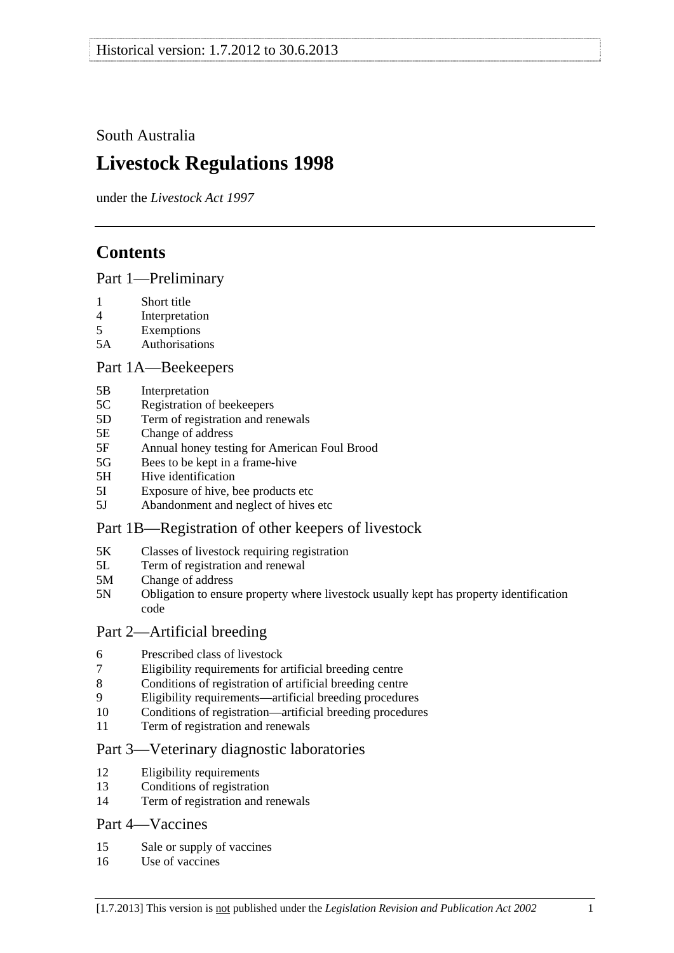<span id="page-0-0"></span>South Australia

# **Livestock Regulations 1998**

under the *Livestock Act 1997*

# **Contents**

[Part 1—Preliminary](#page-3-0)

- [1 Short title](#page-3-0)
- [4 Interpretation](#page-3-0)
- [5 Exemptions](#page-5-0)
- [5A Authorisations](#page-5-0)

## [Part 1A—Beekeepers](#page-6-0)

- [5B Interpretation](#page-6-0)
- [5C Registration of beekeepers](#page-6-0)
- [5D Term of registration and renewals](#page-6-0)
- [5E Change of address](#page-7-0)
- [5F Annual honey testing for American Foul Brood](#page-7-0)
- [5G Bees to be kept in a frame-hive](#page-8-0)
- [5H Hive identification](#page-8-0)
- [5I Exposure of hive, bee products etc](#page-9-0)
- [5J Abandonment and neglect of hives etc](#page-9-0)

## [Part 1B—Registration of other keepers of livestock](#page-10-0)

- [5K Classes of livestock requiring registration](#page-10-0)
- [5L Term of registration and renewal](#page-10-0)
- [5M Change of address](#page-11-0)
- [5N Obligation to ensure property where livestock usually kept has property identification](#page-11-0)  [code](#page-11-0)

## [Part 2—Artificial breeding](#page-11-0)

- [6 Prescribed class of livestock](#page-11-0)
- [7 Eligibility requirements for artificial breeding centre](#page-11-0)
- [8 Conditions of registration of artificial breeding centre](#page-12-0)
- [9 Eligibility requirements—artificial breeding procedures](#page-12-0)
- [10 Conditions of registration—artificial breeding procedures](#page-13-0)
- [11 Term of registration and renewals](#page-13-0)

## [Part 3—Veterinary diagnostic laboratories](#page-13-0)

- [12 Eligibility requirements](#page-13-0)
- [13 Conditions of registration](#page-14-0)
- [14 Term of registration and renewals](#page-14-0)

## [Part 4—Vaccines](#page-15-0)

- [15 Sale or supply of vaccines](#page-15-0)
- [16 Use of vaccines](#page-15-0)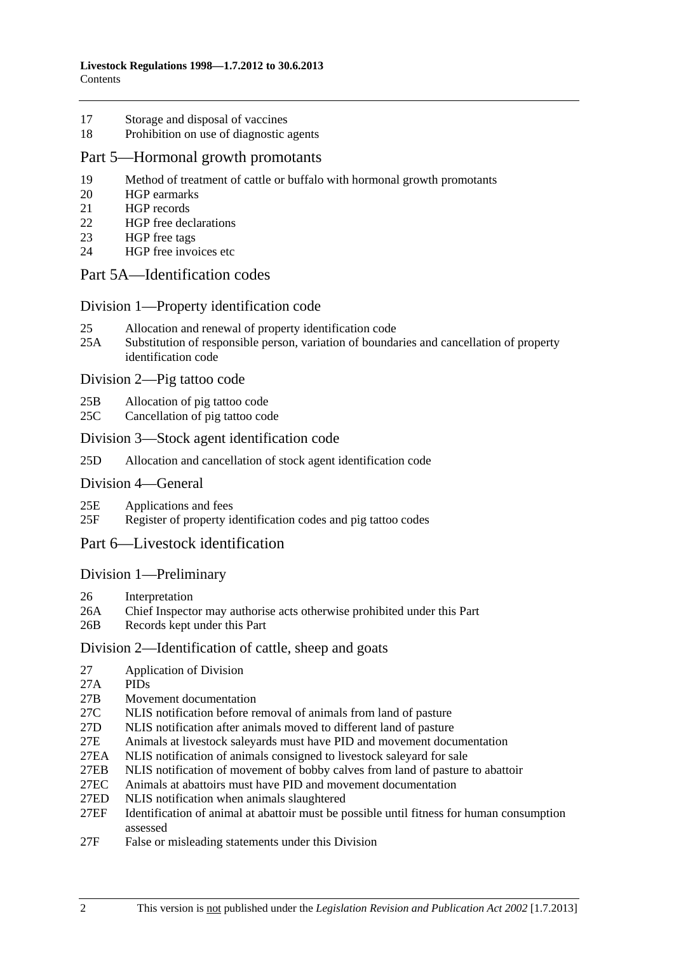- [17 Storage and disposal of vaccines](#page-15-0)
- [18 Prohibition on use of diagnostic agents](#page-15-0)

#### [Part 5—Hormonal growth promotants](#page-16-0)

- [19 Method of treatment of cattle or buffalo with hormonal growth promotants](#page-16-0)
- [20 HGP earmarks](#page-16-0)
- [21 HGP records](#page-16-0)
- [22 HGP free declarations](#page-17-0)
- [23 HGP free tags](#page-18-0)
- [24 HGP free invoices etc](#page-18-0)

### [Part 5A—Identification codes](#page-19-0)

#### [Division 1—Property identification code](#page-19-0)

- [25 Allocation and renewal of property identification code](#page-19-0)
- [25A Substitution of responsible person, variation of boundaries and cancellation of property](#page-20-0)  [identification code](#page-20-0)

[Division 2—Pig tattoo code](#page-20-0) 

- [25B Allocation of pig tattoo code](#page-20-0)
- [25C Cancellation of pig tattoo code](#page-20-0)

#### [Division 3—Stock agent identification code](#page-21-0)

[25D Allocation and cancellation of stock agent identification code](#page-21-0)

#### [Division 4—General](#page-21-0)

- [25E Applications and fees](#page-21-0)
- [25F Register of property identification codes and pig tattoo codes](#page-21-0)

## [Part 6—Livestock identification](#page-22-0)

#### [Division 1—Preliminary](#page-22-0)

- [26 Interpretation](#page-22-0)
- [26A Chief Inspector may authorise acts otherwise prohibited under this Part](#page-24-0)
- [26B Records kept under this Part](#page-25-0)

#### [Division 2—Identification of cattle, sheep and goats](#page-25-0)

- [27 Application of Division](#page-25-0)
- [27A PIDs](#page-25-0)
- [27B Movement documentation](#page-25-0)
- [27C NLIS notification before removal of animals from land of pasture](#page-28-0)
- [27D NLIS notification after animals moved to different land of pasture](#page-28-0)
- [27E Animals at livestock saleyards must have PID and movement documentation](#page-30-0)
- [27EA NLIS notification of animals consigned to livestock saleyard for sale](#page-31-0)
- [27EB NLIS notification of movement of bobby calves from land of pasture to abattoir](#page-34-0)
- [27EC Animals at abattoirs must have PID and movement documentation](#page-34-0)
- [27ED NLIS notification when animals slaughtered](#page-35-0)
- [27EF Identification of animal at abattoir must be possible until fitness for human consumption](#page-36-0)  [assessed](#page-36-0)
- [27F False or misleading statements under this Division](#page-36-0)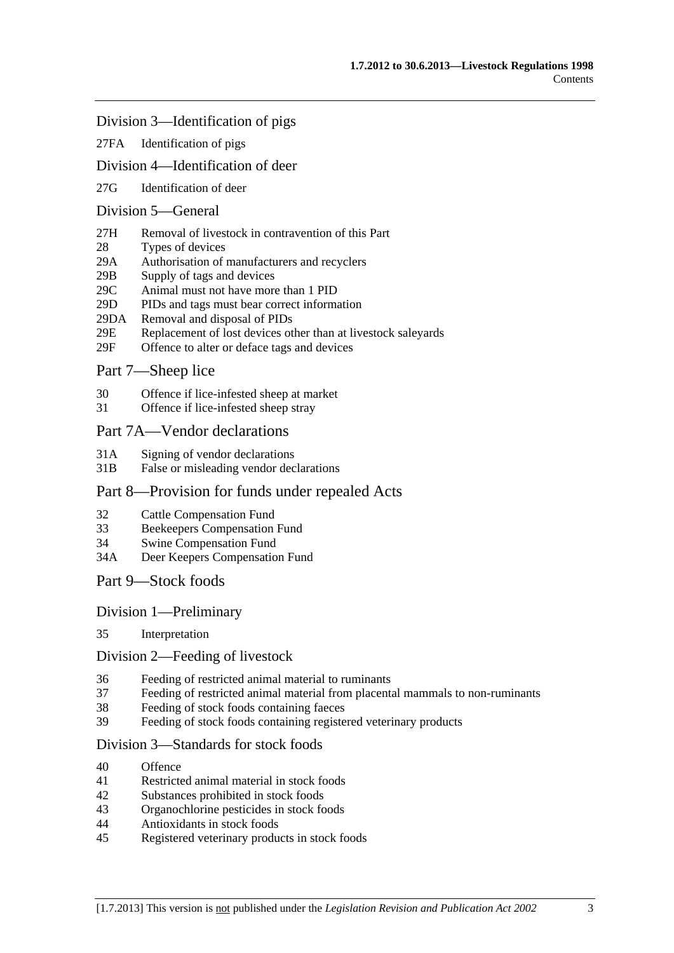#### [Division 3—Identification of pigs](#page-37-0)

[27FA Identification of pigs](#page-37-0)

### [Division 4—Identification of deer](#page-37-0)

[27G Identification of deer](#page-37-0) 

## [Division 5—General](#page-38-0)

- [27H Removal of livestock in contravention of this Part](#page-38-0)
- [28 Types of devices](#page-38-0)
- [29A Authorisation of manufacturers and recyclers](#page-38-0)
- [29B Supply of tags and devices](#page-38-0)
- [29C Animal must not have more than 1 PID](#page-39-0)
- [29D PIDs and tags must bear correct information](#page-39-0)
- [29DA Removal and disposal of PIDs](#page-39-0)
- [29E Replacement of lost devices other than at livestock saleyards](#page-40-0)
- [29F Offence to alter or deface tags and devices](#page-40-0)

## [Part 7—Sheep lice](#page-40-0)

- [30 Offence if lice-infested sheep at market](#page-40-0)
- [31 Offence if lice-infested sheep stray](#page-41-0)

#### [Part 7A—Vendor declarations](#page-41-0)

- [31A Signing of vendor declarations](#page-41-0)
- [31B False or misleading vendor declarations](#page-41-0)

#### [Part 8—Provision for funds under repealed Acts](#page-42-0)

- [32 Cattle Compensation Fund](#page-42-0)
- [33 Beekeepers Compensation Fund](#page-42-0)
- [34 Swine Compensation Fund](#page-42-0)
- [34A Deer Keepers Compensation Fund](#page-42-0)
- [Part 9—Stock foods](#page-42-0)

#### [Division 1—Preliminary](#page-42-0)

[35 Interpretation](#page-42-0) 

#### [Division 2—Feeding of livestock](#page-43-0)

- [36 Feeding of restricted animal material to ruminants](#page-43-0)
- [37 Feeding of restricted animal material from placental mammals to non-ruminants](#page-43-0)
- [38 Feeding of stock foods containing faeces](#page-43-0)
- [39 Feeding of stock foods containing registered veterinary products](#page-44-0)

#### [Division 3—Standards for stock foods](#page-44-0)

- [40 Offence](#page-44-0)
- [41 Restricted animal material in stock foods](#page-44-0)
- [42 Substances prohibited in stock foods](#page-44-0)
- [43 Organochlorine pesticides in stock foods](#page-44-0)
- [44 Antioxidants in stock foods](#page-44-0)
- [45 Registered veterinary products in stock foods](#page-45-0)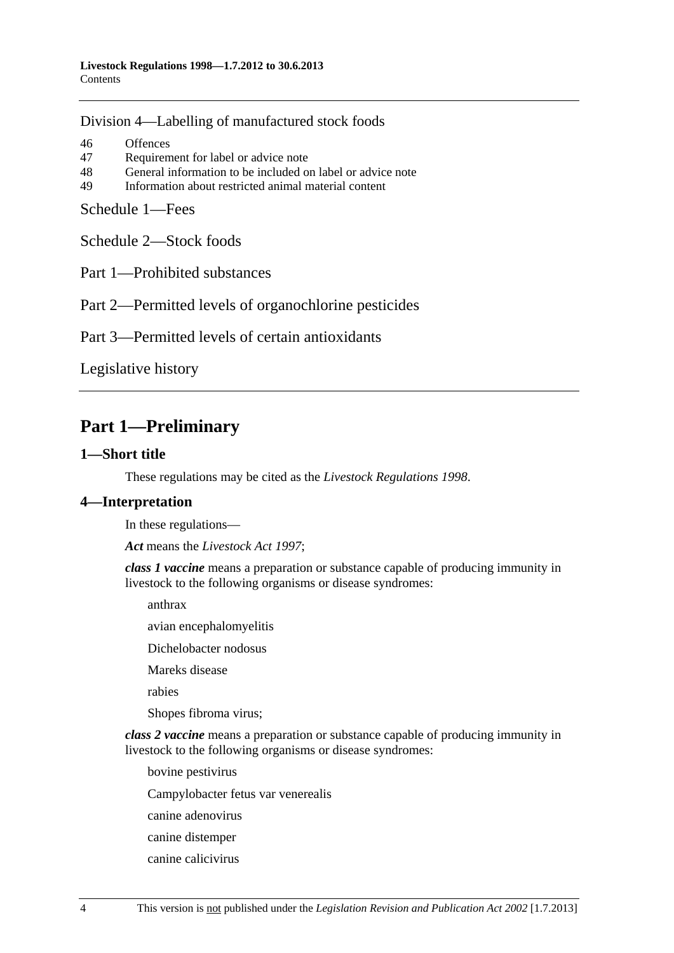<span id="page-3-0"></span>[Division 4—Labelling of manufactured stock foods](#page-45-0)

[46 Offences](#page-45-0) [47 Requirement for label or advice note](#page-45-0) [48 General information to be included on label or advice note](#page-46-0) [49 Information about restricted animal material content](#page-46-0) 

[Schedule 1—Fees](#page-46-0)

[Schedule 2—Stock foods](#page-47-0)

[Part 1—Prohibited substances](#page-0-0) 

[Part 2—Permitted levels of organochlorine pesticides](#page-0-0) 

[Part 3—Permitted levels of certain antioxidants](#page-0-0)

[Legislative history](#page-49-0) 

# **Part 1—Preliminary**

#### **1—Short title**

These regulations may be cited as the *Livestock Regulations 1998*.

## **4—Interpretation**

In these regulations—

*Act* means the *[Livestock Act 1997](http://www.legislation.sa.gov.au/index.aspx?action=legref&type=act&legtitle=Livestock%20Act%201997)*;

*class 1 vaccine* means a preparation or substance capable of producing immunity in livestock to the following organisms or disease syndromes:

anthrax

avian encephalomyelitis

Dichelobacter nodosus

Mareks disease

rabies

Shopes fibroma virus;

*class 2 vaccine* means a preparation or substance capable of producing immunity in livestock to the following organisms or disease syndromes:

bovine pestivirus

Campylobacter fetus var venerealis

canine adenovirus

- canine distemper
- canine calicivirus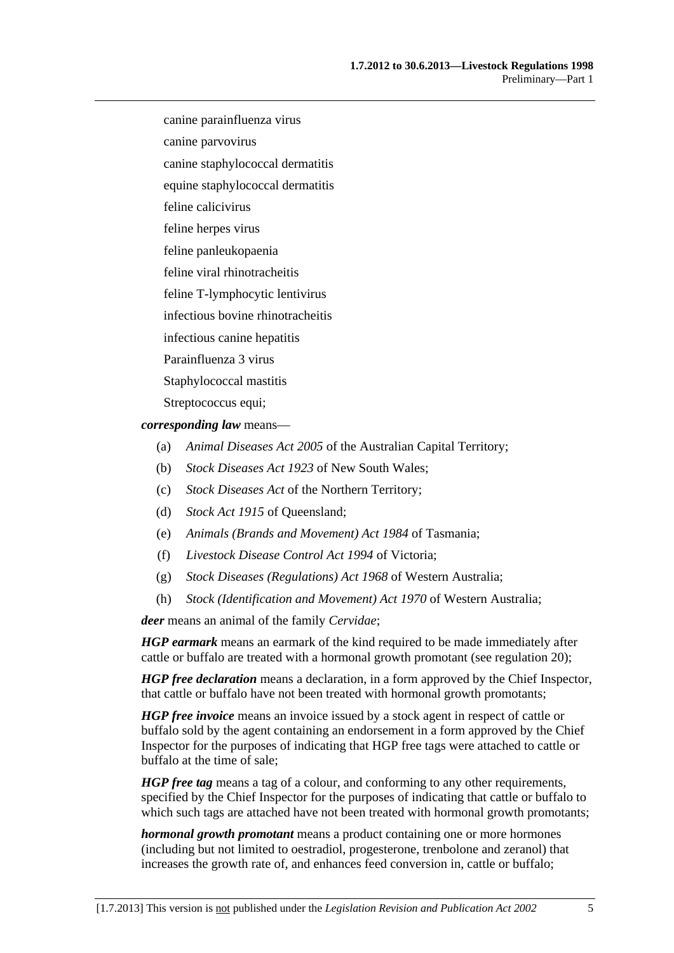canine parainfluenza virus

canine parvovirus

canine staphylococcal dermatitis

equine staphylococcal dermatitis

feline calicivirus

feline herpes virus

feline panleukopaenia

feline viral rhinotracheitis

feline T-lymphocytic lentivirus

infectious bovine rhinotracheitis

infectious canine hepatitis

Parainfluenza 3 virus

Staphylococcal mastitis

Streptococcus equi;

*corresponding law* means—

- (a) *Animal Diseases Act 2005* of the Australian Capital Territory;
- (b) *Stock Diseases Act 1923* of New South Wales;
- (c) *Stock Diseases Act* of the Northern Territory;
- (d) *Stock Act 1915* of Queensland;
- (e) *Animals (Brands and Movement) Act 1984* of Tasmania;
- (f) *Livestock Disease Control Act 1994* of Victoria;
- (g) *Stock Diseases (Regulations) Act 1968* of Western Australia;
- (h) *Stock (Identification and Movement) Act 1970* of Western Australia;

*deer* means an animal of the family *Cervidae*;

*HGP earmark* means an earmark of the kind required to be made immediately after cattle or buffalo are treated with a hormonal growth promotant (see [regulation 20](#page-16-0));

*HGP free declaration* means a declaration, in a form approved by the Chief Inspector, that cattle or buffalo have not been treated with hormonal growth promotants;

*HGP free invoice* means an invoice issued by a stock agent in respect of cattle or buffalo sold by the agent containing an endorsement in a form approved by the Chief Inspector for the purposes of indicating that HGP free tags were attached to cattle or buffalo at the time of sale;

*HGP free tag* means a tag of a colour, and conforming to any other requirements, specified by the Chief Inspector for the purposes of indicating that cattle or buffalo to which such tags are attached have not been treated with hormonal growth promotants;

*hormonal growth promotant* means a product containing one or more hormones (including but not limited to oestradiol, progesterone, trenbolone and zeranol) that increases the growth rate of, and enhances feed conversion in, cattle or buffalo;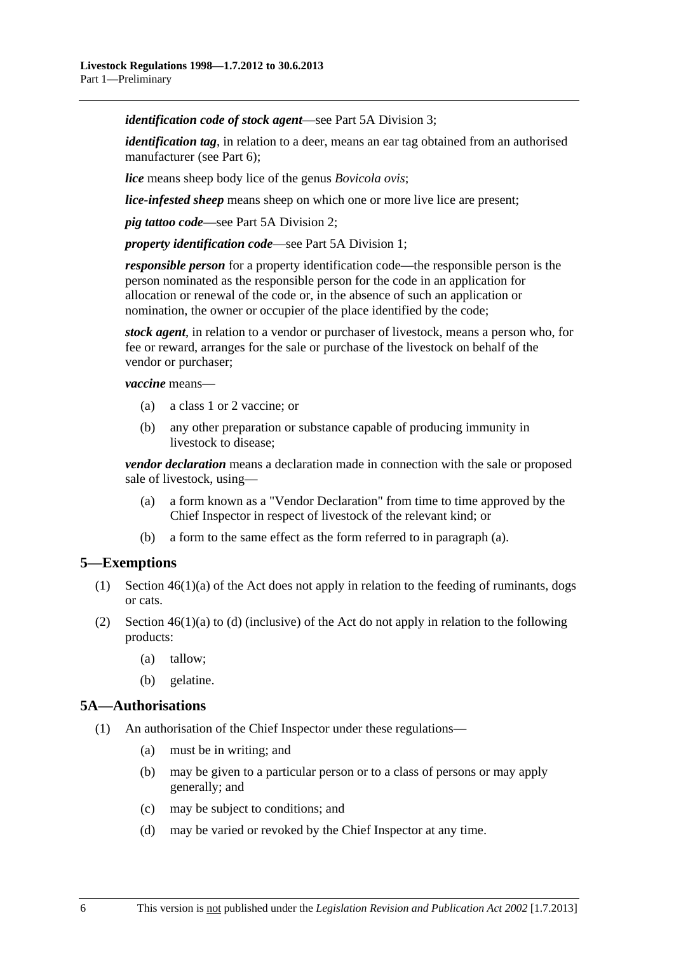<span id="page-5-0"></span>*identification code of stock agent*—see [Part 5A Division 3;](#page-21-0)

*identification tag*, in relation to a deer, means an ear tag obtained from an authorised manufacturer (see [Part 6](#page-22-0));

*lice* means sheep body lice of the genus *Bovicola ovis*;

*lice-infested sheep* means sheep on which one or more live lice are present;

*pig tattoo code*—see [Part 5A Division 2](#page-20-0);

*property identification code*—see [Part 5A Division 1;](#page-19-0)

*responsible person* for a property identification code—the responsible person is the person nominated as the responsible person for the code in an application for allocation or renewal of the code or, in the absence of such an application or nomination, the owner or occupier of the place identified by the code;

*stock agent*, in relation to a vendor or purchaser of livestock, means a person who, for fee or reward, arranges for the sale or purchase of the livestock on behalf of the vendor or purchaser;

*vaccine* means—

- (a) a class 1 or 2 vaccine; or
- (b) any other preparation or substance capable of producing immunity in livestock to disease;

*vendor declaration* means a declaration made in connection with the sale or proposed sale of livestock, using—

- (a) a form known as a "Vendor Declaration" from time to time approved by the Chief Inspector in respect of livestock of the relevant kind; or
- (b) a form to the same effect as the form referred to in [paragraph \(a\).](#page-5-0)

## **5—Exemptions**

- (1) Section 46(1)(a) of the Act does not apply in relation to the feeding of ruminants, dogs or cats.
- (2) Section  $46(1)(a)$  to (d) (inclusive) of the Act do not apply in relation to the following products:
	- (a) tallow;
	- (b) gelatine.

#### **5A—Authorisations**

- (1) An authorisation of the Chief Inspector under these regulations—
	- (a) must be in writing; and
	- (b) may be given to a particular person or to a class of persons or may apply generally; and
	- (c) may be subject to conditions; and
	- (d) may be varied or revoked by the Chief Inspector at any time.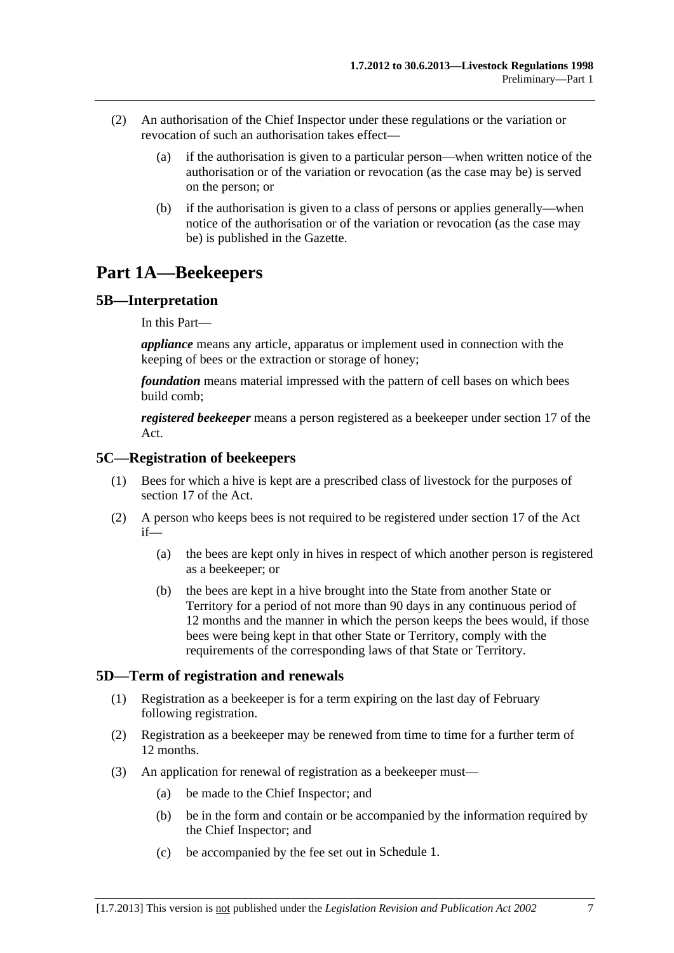- <span id="page-6-0"></span> (2) An authorisation of the Chief Inspector under these regulations or the variation or revocation of such an authorisation takes effect—
	- (a) if the authorisation is given to a particular person—when written notice of the authorisation or of the variation or revocation (as the case may be) is served on the person; or
	- (b) if the authorisation is given to a class of persons or applies generally—when notice of the authorisation or of the variation or revocation (as the case may be) is published in the Gazette.

# **Part 1A—Beekeepers**

## **5B—Interpretation**

In this Part—

*appliance* means any article, apparatus or implement used in connection with the keeping of bees or the extraction or storage of honey;

*foundation* means material impressed with the pattern of cell bases on which bees build comb;

*registered beekeeper* means a person registered as a beekeeper under section 17 of the Act.

#### **5C—Registration of beekeepers**

- (1) Bees for which a hive is kept are a prescribed class of livestock for the purposes of section 17 of the Act.
- (2) A person who keeps bees is not required to be registered under section 17 of the Act if—
	- (a) the bees are kept only in hives in respect of which another person is registered as a beekeeper; or
	- (b) the bees are kept in a hive brought into the State from another State or Territory for a period of not more than 90 days in any continuous period of 12 months and the manner in which the person keeps the bees would, if those bees were being kept in that other State or Territory, comply with the requirements of the corresponding laws of that State or Territory.

## **5D—Term of registration and renewals**

- (1) Registration as a beekeeper is for a term expiring on the last day of February following registration.
- (2) Registration as a beekeeper may be renewed from time to time for a further term of 12 months.
- (3) An application for renewal of registration as a beekeeper must—
	- (a) be made to the Chief Inspector; and
	- (b) be in the form and contain or be accompanied by the information required by the Chief Inspector; and
	- (c) be accompanied by the fee set out in [Schedule 1.](#page-46-0)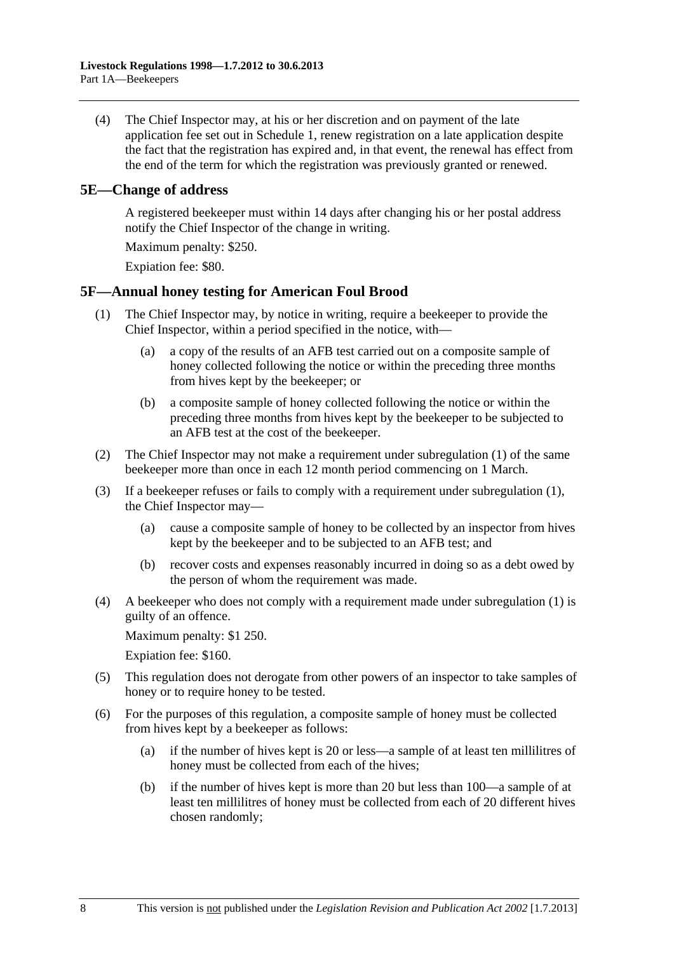<span id="page-7-0"></span> (4) The Chief Inspector may, at his or her discretion and on payment of the late application fee set out in [Schedule 1](#page-46-0), renew registration on a late application despite the fact that the registration has expired and, in that event, the renewal has effect from the end of the term for which the registration was previously granted or renewed.

#### **5E—Change of address**

A registered beekeeper must within 14 days after changing his or her postal address notify the Chief Inspector of the change in writing.

Maximum penalty: \$250.

Expiation fee: \$80.

## **5F—Annual honey testing for American Foul Brood**

- (1) The Chief Inspector may, by notice in writing, require a beekeeper to provide the Chief Inspector, within a period specified in the notice, with—
	- (a) a copy of the results of an AFB test carried out on a composite sample of honey collected following the notice or within the preceding three months from hives kept by the beekeeper; or
	- (b) a composite sample of honey collected following the notice or within the preceding three months from hives kept by the beekeeper to be subjected to an AFB test at the cost of the beekeeper.
- (2) The Chief Inspector may not make a requirement under [subregulation \(1\)](#page-7-0) of the same beekeeper more than once in each 12 month period commencing on 1 March.
- (3) If a beekeeper refuses or fails to comply with a requirement under [subregulation \(1\)](#page-7-0), the Chief Inspector may—
	- (a) cause a composite sample of honey to be collected by an inspector from hives kept by the beekeeper and to be subjected to an AFB test; and
	- (b) recover costs and expenses reasonably incurred in doing so as a debt owed by the person of whom the requirement was made.
- (4) A beekeeper who does not comply with a requirement made under [subregulation \(1\)](#page-7-0) is guilty of an offence.

Maximum penalty: \$1 250.

Expiation fee: \$160.

- (5) This regulation does not derogate from other powers of an inspector to take samples of honey or to require honey to be tested.
- (6) For the purposes of this regulation, a composite sample of honey must be collected from hives kept by a beekeeper as follows:
	- (a) if the number of hives kept is 20 or less—a sample of at least ten millilitres of honey must be collected from each of the hives;
	- (b) if the number of hives kept is more than 20 but less than 100—a sample of at least ten millilitres of honey must be collected from each of 20 different hives chosen randomly;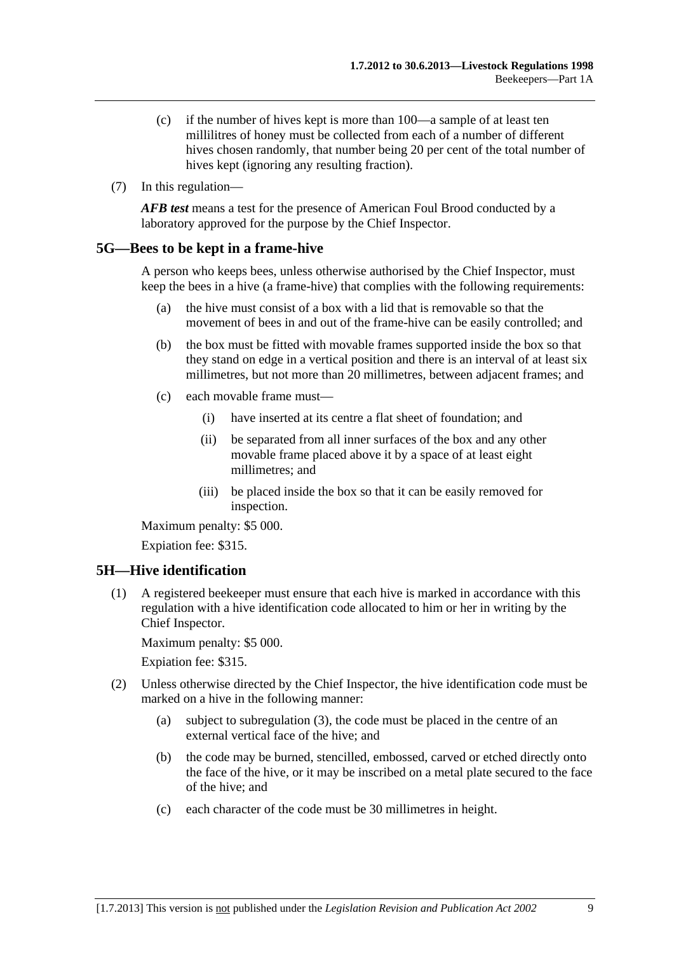- <span id="page-8-0"></span> (c) if the number of hives kept is more than 100—a sample of at least ten millilitres of honey must be collected from each of a number of different hives chosen randomly, that number being 20 per cent of the total number of hives kept (ignoring any resulting fraction).
- (7) In this regulation—

*AFB test* means a test for the presence of American Foul Brood conducted by a laboratory approved for the purpose by the Chief Inspector.

#### **5G—Bees to be kept in a frame-hive**

A person who keeps bees, unless otherwise authorised by the Chief Inspector, must keep the bees in a hive (a frame-hive) that complies with the following requirements:

- (a) the hive must consist of a box with a lid that is removable so that the movement of bees in and out of the frame-hive can be easily controlled; and
- (b) the box must be fitted with movable frames supported inside the box so that they stand on edge in a vertical position and there is an interval of at least six millimetres, but not more than 20 millimetres, between adjacent frames; and
- (c) each movable frame must—
	- (i) have inserted at its centre a flat sheet of foundation; and
	- (ii) be separated from all inner surfaces of the box and any other movable frame placed above it by a space of at least eight millimetres; and
	- (iii) be placed inside the box so that it can be easily removed for inspection.

Maximum penalty: \$5 000.

Expiation fee: \$315.

## **5H—Hive identification**

 (1) A registered beekeeper must ensure that each hive is marked in accordance with this regulation with a hive identification code allocated to him or her in writing by the Chief Inspector.

Maximum penalty: \$5 000.

- (2) Unless otherwise directed by the Chief Inspector, the hive identification code must be marked on a hive in the following manner:
	- (a) subject to [subregulation \(3\),](#page-9-0) the code must be placed in the centre of an external vertical face of the hive; and
	- (b) the code may be burned, stencilled, embossed, carved or etched directly onto the face of the hive, or it may be inscribed on a metal plate secured to the face of the hive; and
	- (c) each character of the code must be 30 millimetres in height.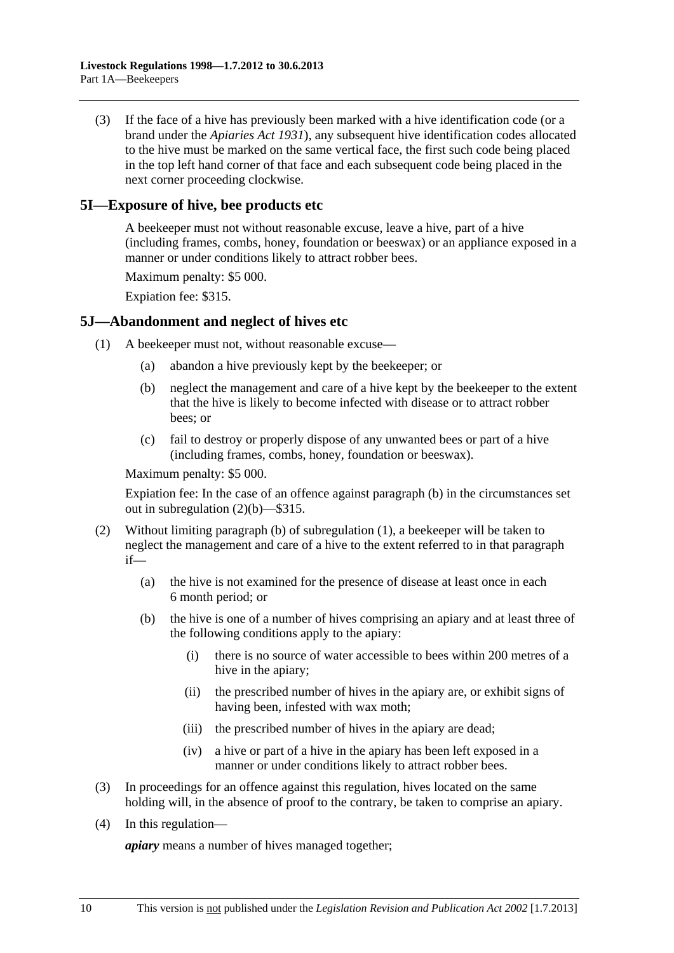<span id="page-9-0"></span> (3) If the face of a hive has previously been marked with a hive identification code (or a brand under the *[Apiaries Act 1931](http://www.legislation.sa.gov.au/index.aspx?action=legref&type=act&legtitle=Apiaries%20Act%201931)*), any subsequent hive identification codes allocated to the hive must be marked on the same vertical face, the first such code being placed in the top left hand corner of that face and each subsequent code being placed in the next corner proceeding clockwise.

### **5I—Exposure of hive, bee products etc**

A beekeeper must not without reasonable excuse, leave a hive, part of a hive (including frames, combs, honey, foundation or beeswax) or an appliance exposed in a manner or under conditions likely to attract robber bees.

Maximum penalty: \$5 000.

Expiation fee: \$315.

#### **5J—Abandonment and neglect of hives etc**

- (1) A beekeeper must not, without reasonable excuse—
	- (a) abandon a hive previously kept by the beekeeper; or
	- (b) neglect the management and care of a hive kept by the beekeeper to the extent that the hive is likely to become infected with disease or to attract robber bees; or
	- (c) fail to destroy or properly dispose of any unwanted bees or part of a hive (including frames, combs, honey, foundation or beeswax).

Maximum penalty: \$5 000.

Expiation fee: In the case of an offence against [paragraph \(b\)](#page-9-0) in the circumstances set out in [subregulation \(2\)\(b\)](#page-9-0)—\$315.

- (2) Without limiting [paragraph \(b\)](#page-9-0) of [subregulation \(1\),](#page-9-0) a beekeeper will be taken to neglect the management and care of a hive to the extent referred to in that paragraph if—
	- (a) the hive is not examined for the presence of disease at least once in each 6 month period; or
	- (b) the hive is one of a number of hives comprising an apiary and at least three of the following conditions apply to the apiary:
		- (i) there is no source of water accessible to bees within 200 metres of a hive in the apiary;
		- (ii) the prescribed number of hives in the apiary are, or exhibit signs of having been, infested with wax moth;
		- (iii) the prescribed number of hives in the apiary are dead;
		- (iv) a hive or part of a hive in the apiary has been left exposed in a manner or under conditions likely to attract robber bees.
- (3) In proceedings for an offence against this regulation, hives located on the same holding will, in the absence of proof to the contrary, be taken to comprise an apiary.
- (4) In this regulation—

*apiary* means a number of hives managed together;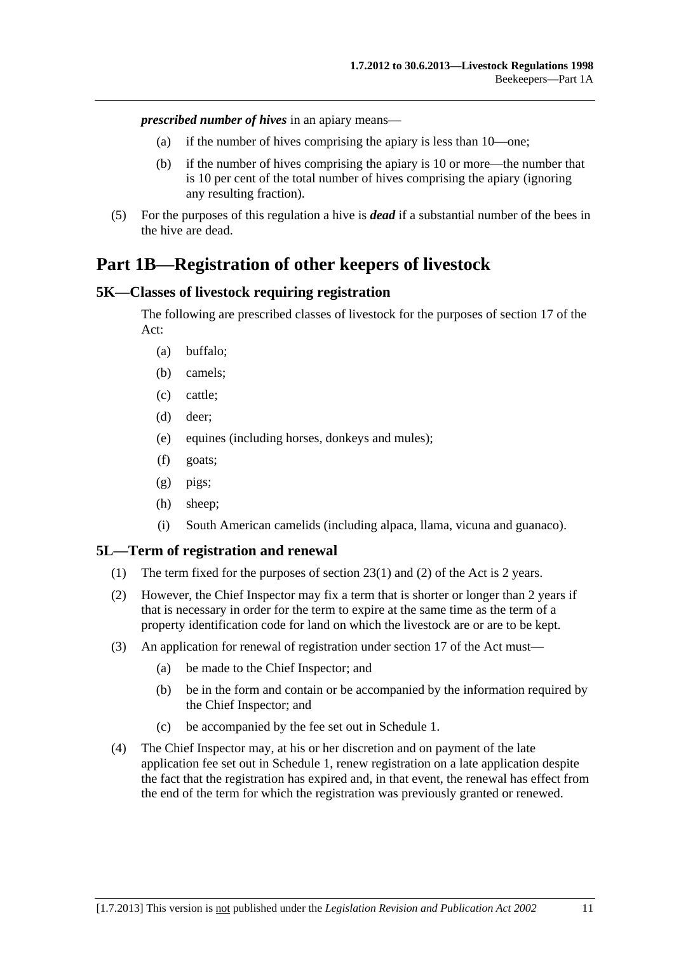<span id="page-10-0"></span>*prescribed number of hives* in an apiary means—

- (a) if the number of hives comprising the apiary is less than 10—one;
- (b) if the number of hives comprising the apiary is 10 or more—the number that is 10 per cent of the total number of hives comprising the apiary (ignoring any resulting fraction).
- (5) For the purposes of this regulation a hive is *dead* if a substantial number of the bees in the hive are dead.

# **Part 1B—Registration of other keepers of livestock**

#### **5K—Classes of livestock requiring registration**

The following are prescribed classes of livestock for the purposes of section 17 of the Act:

- (a) buffalo;
- (b) camels;
- (c) cattle;
- (d) deer;
- (e) equines (including horses, donkeys and mules);
- (f) goats;
- (g) pigs;
- (h) sheep;
- (i) South American camelids (including alpaca, llama, vicuna and guanaco).

#### **5L—Term of registration and renewal**

- (1) The term fixed for the purposes of section 23(1) and (2) of the Act is 2 years.
- (2) However, the Chief Inspector may fix a term that is shorter or longer than 2 years if that is necessary in order for the term to expire at the same time as the term of a property identification code for land on which the livestock are or are to be kept.
- (3) An application for renewal of registration under section 17 of the Act must—
	- (a) be made to the Chief Inspector; and
	- (b) be in the form and contain or be accompanied by the information required by the Chief Inspector; and
	- (c) be accompanied by the fee set out in [Schedule 1.](#page-46-0)
- (4) The Chief Inspector may, at his or her discretion and on payment of the late application fee set out in [Schedule 1,](#page-46-0) renew registration on a late application despite the fact that the registration has expired and, in that event, the renewal has effect from the end of the term for which the registration was previously granted or renewed.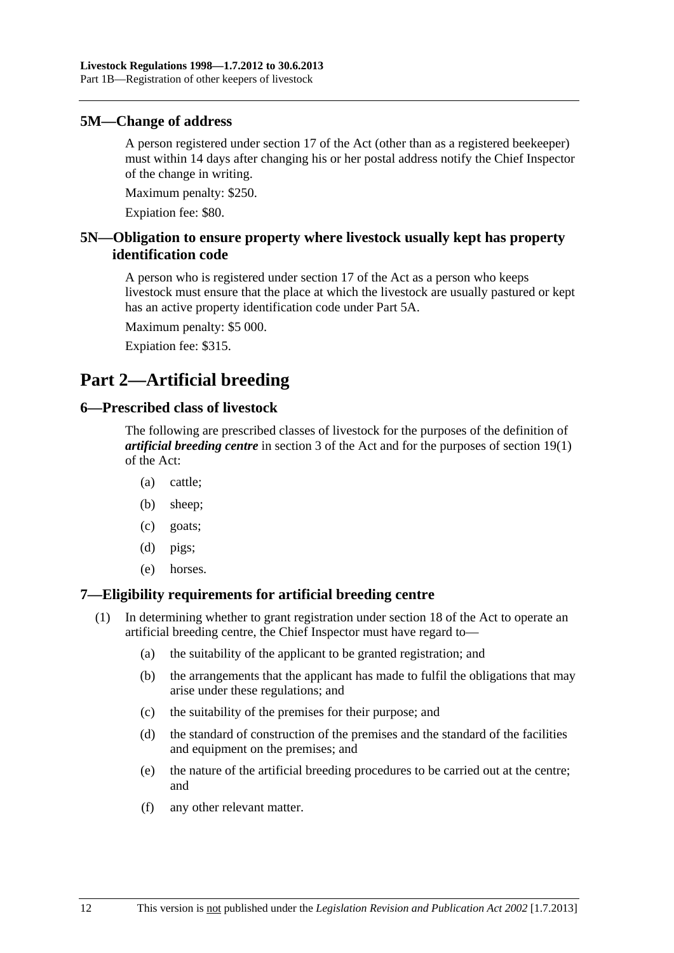#### <span id="page-11-0"></span>**5M—Change of address**

A person registered under section 17 of the Act (other than as a registered beekeeper) must within 14 days after changing his or her postal address notify the Chief Inspector of the change in writing.

Maximum penalty: \$250.

Expiation fee: \$80.

## **5N—Obligation to ensure property where livestock usually kept has property identification code**

A person who is registered under section 17 of the Act as a person who keeps livestock must ensure that the place at which the livestock are usually pastured or kept has an active property identification code under [Part 5A](#page-19-0).

Maximum penalty: \$5 000.

Expiation fee: \$315.

# **Part 2—Artificial breeding**

#### **6—Prescribed class of livestock**

The following are prescribed classes of livestock for the purposes of the definition of *artificial breeding centre* in section 3 of the Act and for the purposes of section 19(1) of the Act:

- (a) cattle;
- (b) sheep;
- (c) goats;
- (d) pigs;
- (e) horses.

## **7—Eligibility requirements for artificial breeding centre**

- (1) In determining whether to grant registration under section 18 of the Act to operate an artificial breeding centre, the Chief Inspector must have regard to—
	- (a) the suitability of the applicant to be granted registration; and
	- (b) the arrangements that the applicant has made to fulfil the obligations that may arise under these regulations; and
	- (c) the suitability of the premises for their purpose; and
	- (d) the standard of construction of the premises and the standard of the facilities and equipment on the premises; and
	- (e) the nature of the artificial breeding procedures to be carried out at the centre; and
	- (f) any other relevant matter.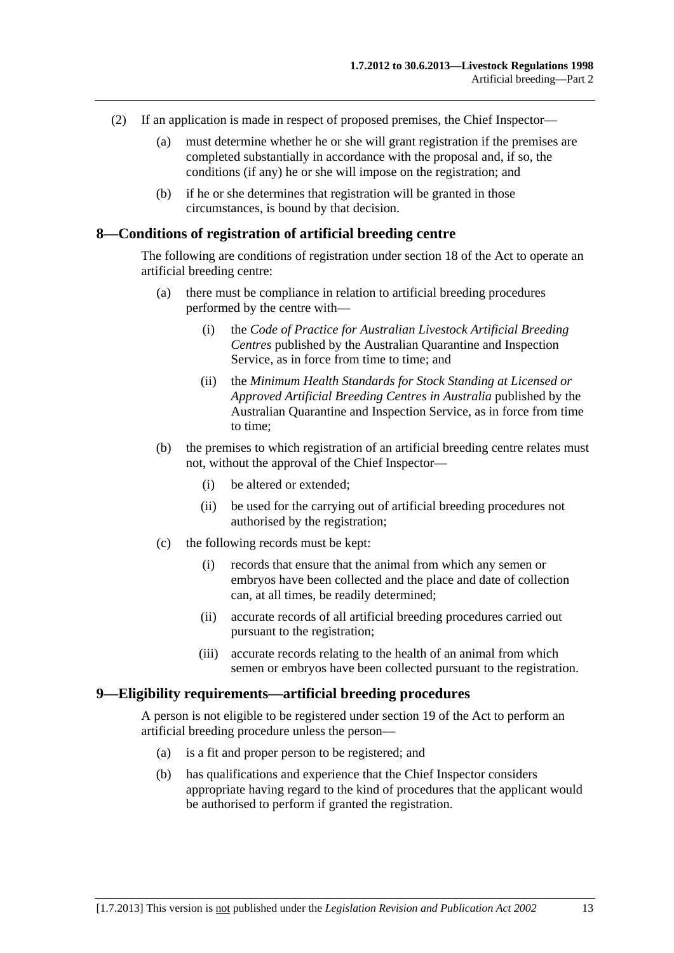- <span id="page-12-0"></span> (2) If an application is made in respect of proposed premises, the Chief Inspector—
	- (a) must determine whether he or she will grant registration if the premises are completed substantially in accordance with the proposal and, if so, the conditions (if any) he or she will impose on the registration; and
	- (b) if he or she determines that registration will be granted in those circumstances, is bound by that decision.

#### **8—Conditions of registration of artificial breeding centre**

The following are conditions of registration under section 18 of the Act to operate an artificial breeding centre:

- (a) there must be compliance in relation to artificial breeding procedures performed by the centre with—
	- (i) the *Code of Practice for Australian Livestock Artificial Breeding Centres* published by the Australian Quarantine and Inspection Service, as in force from time to time; and
	- (ii) the *Minimum Health Standards for Stock Standing at Licensed or Approved Artificial Breeding Centres in Australia* published by the Australian Quarantine and Inspection Service, as in force from time to time;
- (b) the premises to which registration of an artificial breeding centre relates must not, without the approval of the Chief Inspector—
	- (i) be altered or extended;
	- (ii) be used for the carrying out of artificial breeding procedures not authorised by the registration;
- (c) the following records must be kept:
	- (i) records that ensure that the animal from which any semen or embryos have been collected and the place and date of collection can, at all times, be readily determined;
	- (ii) accurate records of all artificial breeding procedures carried out pursuant to the registration;
	- (iii) accurate records relating to the health of an animal from which semen or embryos have been collected pursuant to the registration.

#### **9—Eligibility requirements—artificial breeding procedures**

A person is not eligible to be registered under section 19 of the Act to perform an artificial breeding procedure unless the person—

- (a) is a fit and proper person to be registered; and
- (b) has qualifications and experience that the Chief Inspector considers appropriate having regard to the kind of procedures that the applicant would be authorised to perform if granted the registration.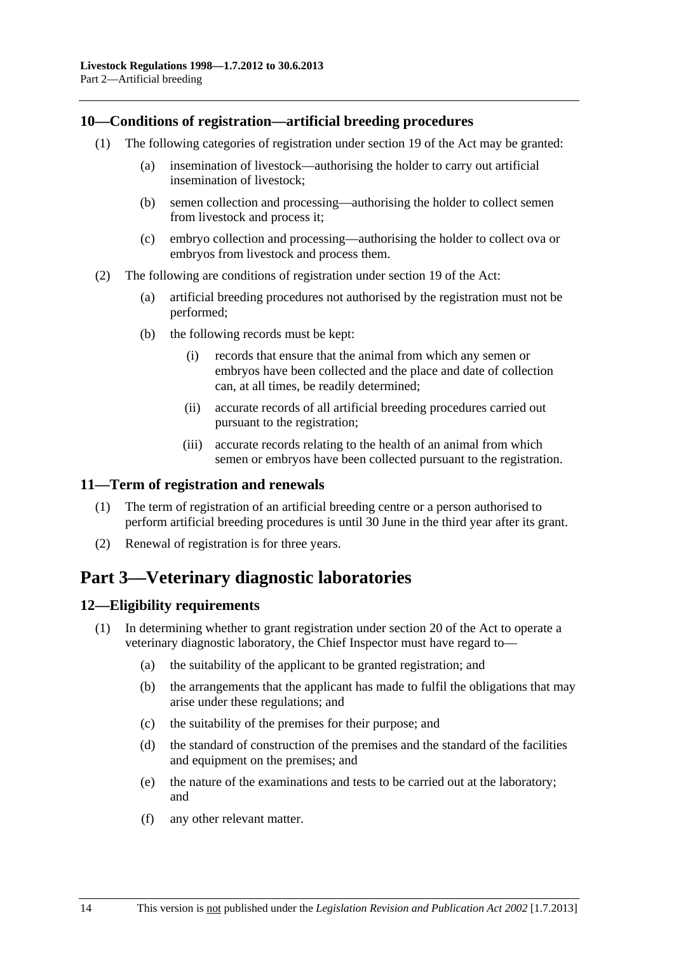#### <span id="page-13-0"></span>**10—Conditions of registration—artificial breeding procedures**

- (1) The following categories of registration under section 19 of the Act may be granted:
	- (a) insemination of livestock—authorising the holder to carry out artificial insemination of livestock;
	- (b) semen collection and processing—authorising the holder to collect semen from livestock and process it;
	- (c) embryo collection and processing—authorising the holder to collect ova or embryos from livestock and process them.
- (2) The following are conditions of registration under section 19 of the Act:
	- (a) artificial breeding procedures not authorised by the registration must not be performed;
	- (b) the following records must be kept:
		- (i) records that ensure that the animal from which any semen or embryos have been collected and the place and date of collection can, at all times, be readily determined;
		- (ii) accurate records of all artificial breeding procedures carried out pursuant to the registration;
		- (iii) accurate records relating to the health of an animal from which semen or embryos have been collected pursuant to the registration.

## **11—Term of registration and renewals**

- (1) The term of registration of an artificial breeding centre or a person authorised to perform artificial breeding procedures is until 30 June in the third year after its grant.
- (2) Renewal of registration is for three years.

## **Part 3—Veterinary diagnostic laboratories**

## **12—Eligibility requirements**

- (1) In determining whether to grant registration under section 20 of the Act to operate a veterinary diagnostic laboratory, the Chief Inspector must have regard to—
	- (a) the suitability of the applicant to be granted registration; and
	- (b) the arrangements that the applicant has made to fulfil the obligations that may arise under these regulations; and
	- (c) the suitability of the premises for their purpose; and
	- (d) the standard of construction of the premises and the standard of the facilities and equipment on the premises; and
	- (e) the nature of the examinations and tests to be carried out at the laboratory; and
	- (f) any other relevant matter.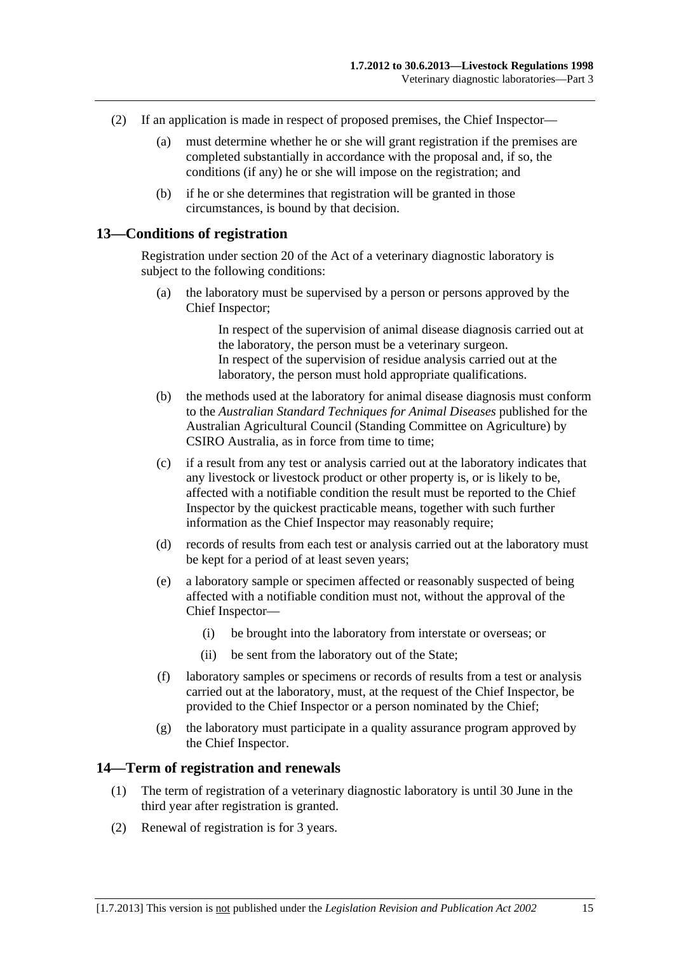- <span id="page-14-0"></span> (2) If an application is made in respect of proposed premises, the Chief Inspector—
	- (a) must determine whether he or she will grant registration if the premises are completed substantially in accordance with the proposal and, if so, the conditions (if any) he or she will impose on the registration; and
	- (b) if he or she determines that registration will be granted in those circumstances, is bound by that decision.

#### **13—Conditions of registration**

Registration under section 20 of the Act of a veterinary diagnostic laboratory is subject to the following conditions:

 (a) the laboratory must be supervised by a person or persons approved by the Chief Inspector;

> In respect of the supervision of animal disease diagnosis carried out at the laboratory, the person must be a veterinary surgeon. In respect of the supervision of residue analysis carried out at the laboratory, the person must hold appropriate qualifications.

- (b) the methods used at the laboratory for animal disease diagnosis must conform to the *Australian Standard Techniques for Animal Diseases* published for the Australian Agricultural Council (Standing Committee on Agriculture) by CSIRO Australia, as in force from time to time;
- (c) if a result from any test or analysis carried out at the laboratory indicates that any livestock or livestock product or other property is, or is likely to be, affected with a notifiable condition the result must be reported to the Chief Inspector by the quickest practicable means, together with such further information as the Chief Inspector may reasonably require;
- (d) records of results from each test or analysis carried out at the laboratory must be kept for a period of at least seven years;
- (e) a laboratory sample or specimen affected or reasonably suspected of being affected with a notifiable condition must not, without the approval of the Chief Inspector—
	- (i) be brought into the laboratory from interstate or overseas; or
	- (ii) be sent from the laboratory out of the State;
- (f) laboratory samples or specimens or records of results from a test or analysis carried out at the laboratory, must, at the request of the Chief Inspector, be provided to the Chief Inspector or a person nominated by the Chief;
- (g) the laboratory must participate in a quality assurance program approved by the Chief Inspector.

#### **14—Term of registration and renewals**

- (1) The term of registration of a veterinary diagnostic laboratory is until 30 June in the third year after registration is granted.
- (2) Renewal of registration is for 3 years.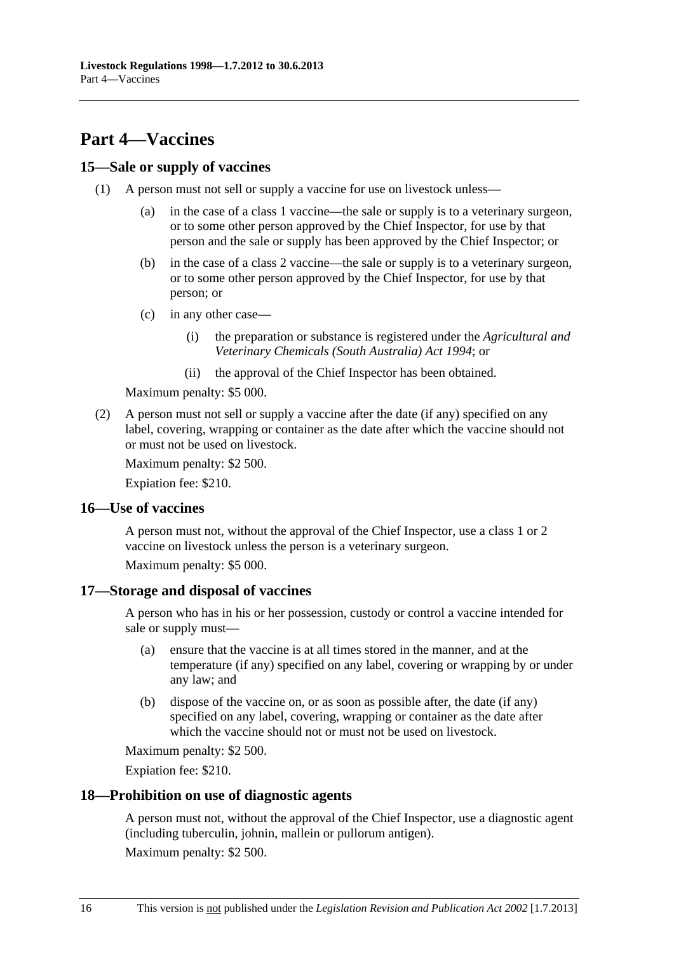# <span id="page-15-0"></span>**Part 4—Vaccines**

### **15—Sale or supply of vaccines**

- (1) A person must not sell or supply a vaccine for use on livestock unless—
	- (a) in the case of a class 1 vaccine—the sale or supply is to a veterinary surgeon, or to some other person approved by the Chief Inspector, for use by that person and the sale or supply has been approved by the Chief Inspector; or
	- (b) in the case of a class 2 vaccine—the sale or supply is to a veterinary surgeon, or to some other person approved by the Chief Inspector, for use by that person; or
	- (c) in any other case—
		- (i) the preparation or substance is registered under the *[Agricultural and](http://www.legislation.sa.gov.au/index.aspx?action=legref&type=act&legtitle=Agricultural%20and%20Veterinary%20Chemicals%20(South%20Australia)%20Act%201994)  [Veterinary Chemicals \(South Australia\) Act 1994](http://www.legislation.sa.gov.au/index.aspx?action=legref&type=act&legtitle=Agricultural%20and%20Veterinary%20Chemicals%20(South%20Australia)%20Act%201994)*; or
		- (ii) the approval of the Chief Inspector has been obtained.

Maximum penalty: \$5 000.

 (2) A person must not sell or supply a vaccine after the date (if any) specified on any label, covering, wrapping or container as the date after which the vaccine should not or must not be used on livestock.

Maximum penalty: \$2 500.

Expiation fee: \$210.

#### **16—Use of vaccines**

A person must not, without the approval of the Chief Inspector, use a class 1 or 2 vaccine on livestock unless the person is a veterinary surgeon.

Maximum penalty: \$5 000.

#### **17—Storage and disposal of vaccines**

A person who has in his or her possession, custody or control a vaccine intended for sale or supply must—

- (a) ensure that the vaccine is at all times stored in the manner, and at the temperature (if any) specified on any label, covering or wrapping by or under any law; and
- (b) dispose of the vaccine on, or as soon as possible after, the date (if any) specified on any label, covering, wrapping or container as the date after which the vaccine should not or must not be used on livestock.

Maximum penalty: \$2 500.

Expiation fee: \$210.

#### **18—Prohibition on use of diagnostic agents**

A person must not, without the approval of the Chief Inspector, use a diagnostic agent (including tuberculin, johnin, mallein or pullorum antigen).

Maximum penalty: \$2 500.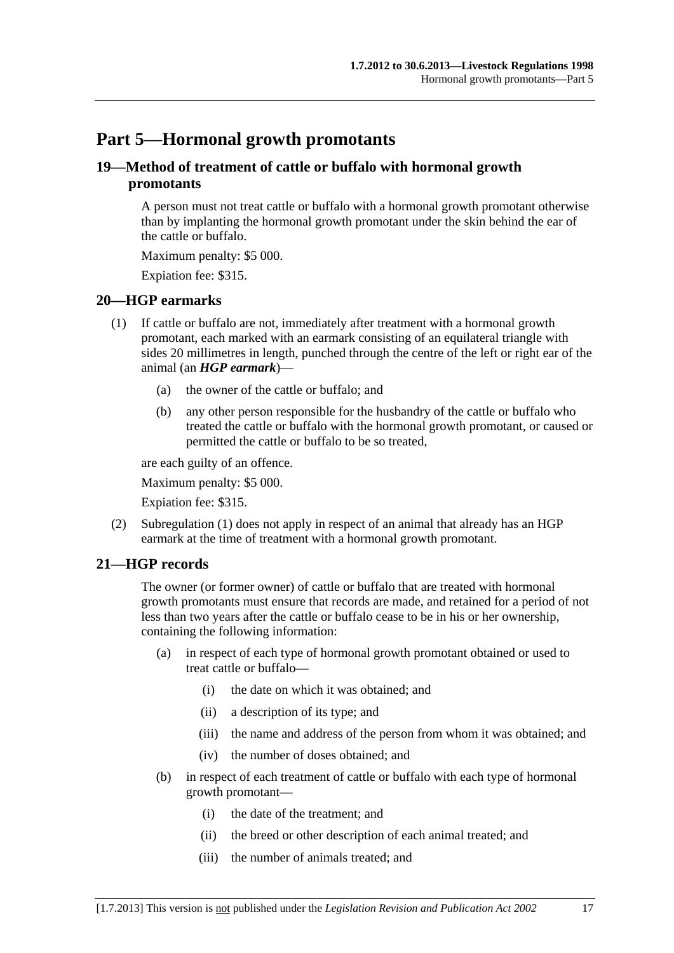# <span id="page-16-0"></span>**Part 5—Hormonal growth promotants**

## **19—Method of treatment of cattle or buffalo with hormonal growth promotants**

A person must not treat cattle or buffalo with a hormonal growth promotant otherwise than by implanting the hormonal growth promotant under the skin behind the ear of the cattle or buffalo.

Maximum penalty: \$5 000.

Expiation fee: \$315.

#### **20—HGP earmarks**

- (1) If cattle or buffalo are not, immediately after treatment with a hormonal growth promotant, each marked with an earmark consisting of an equilateral triangle with sides 20 millimetres in length, punched through the centre of the left or right ear of the animal (an *HGP earmark*)—
	- (a) the owner of the cattle or buffalo; and
	- (b) any other person responsible for the husbandry of the cattle or buffalo who treated the cattle or buffalo with the hormonal growth promotant, or caused or permitted the cattle or buffalo to be so treated,

are each guilty of an offence.

Maximum penalty: \$5 000.

Expiation fee: \$315.

 (2) [Subregulation \(1\)](#page-16-0) does not apply in respect of an animal that already has an HGP earmark at the time of treatment with a hormonal growth promotant.

## **21—HGP records**

The owner (or former owner) of cattle or buffalo that are treated with hormonal growth promotants must ensure that records are made, and retained for a period of not less than two years after the cattle or buffalo cease to be in his or her ownership, containing the following information:

- (a) in respect of each type of hormonal growth promotant obtained or used to treat cattle or buffalo—
	- (i) the date on which it was obtained; and
	- (ii) a description of its type; and
	- (iii) the name and address of the person from whom it was obtained; and
	- (iv) the number of doses obtained; and
- (b) in respect of each treatment of cattle or buffalo with each type of hormonal growth promotant—
	- (i) the date of the treatment; and
	- (ii) the breed or other description of each animal treated; and
	- (iii) the number of animals treated; and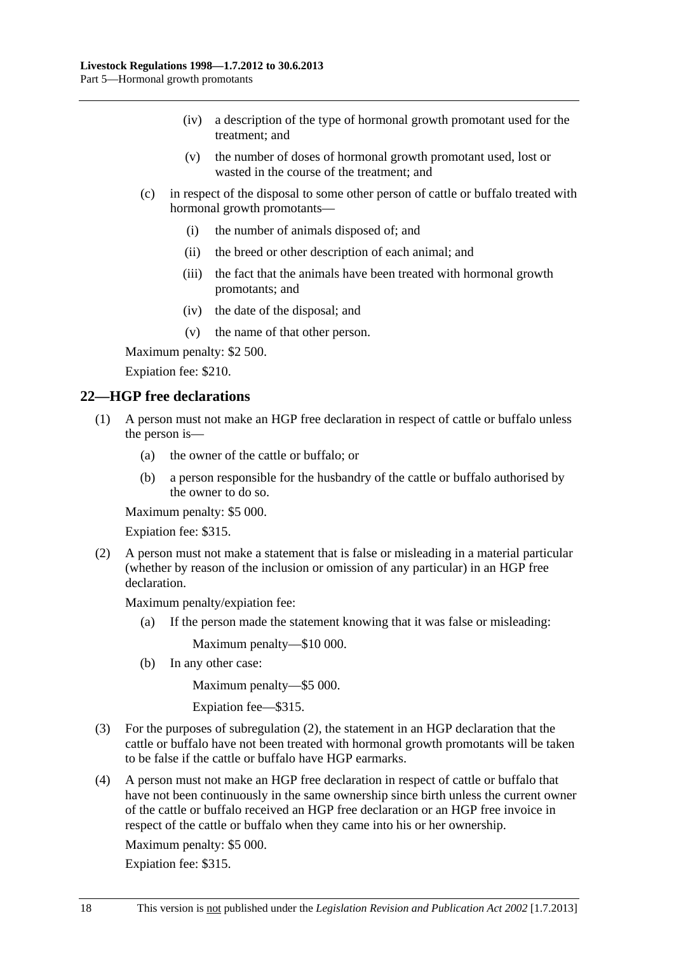- <span id="page-17-0"></span> (iv) a description of the type of hormonal growth promotant used for the treatment; and
- (v) the number of doses of hormonal growth promotant used, lost or wasted in the course of the treatment; and
- (c) in respect of the disposal to some other person of cattle or buffalo treated with hormonal growth promotants—
	- (i) the number of animals disposed of; and
	- (ii) the breed or other description of each animal; and
	- (iii) the fact that the animals have been treated with hormonal growth promotants; and
	- (iv) the date of the disposal; and
	- (v) the name of that other person.

Maximum penalty: \$2 500.

Expiation fee: \$210.

#### **22—HGP free declarations**

- (1) A person must not make an HGP free declaration in respect of cattle or buffalo unless the person is—
	- (a) the owner of the cattle or buffalo; or
	- (b) a person responsible for the husbandry of the cattle or buffalo authorised by the owner to do so.

Maximum penalty: \$5 000.

Expiation fee: \$315.

 (2) A person must not make a statement that is false or misleading in a material particular (whether by reason of the inclusion or omission of any particular) in an HGP free declaration.

Maximum penalty/expiation fee:

(a) If the person made the statement knowing that it was false or misleading:

Maximum penalty—\$10 000.

(b) In any other case:

Maximum penalty—\$5 000.

Expiation fee—\$315.

- (3) For the purposes of [subregulation \(2\),](#page-17-0) the statement in an HGP declaration that the cattle or buffalo have not been treated with hormonal growth promotants will be taken to be false if the cattle or buffalo have HGP earmarks.
- (4) A person must not make an HGP free declaration in respect of cattle or buffalo that have not been continuously in the same ownership since birth unless the current owner of the cattle or buffalo received an HGP free declaration or an HGP free invoice in respect of the cattle or buffalo when they came into his or her ownership.

Maximum penalty: \$5 000.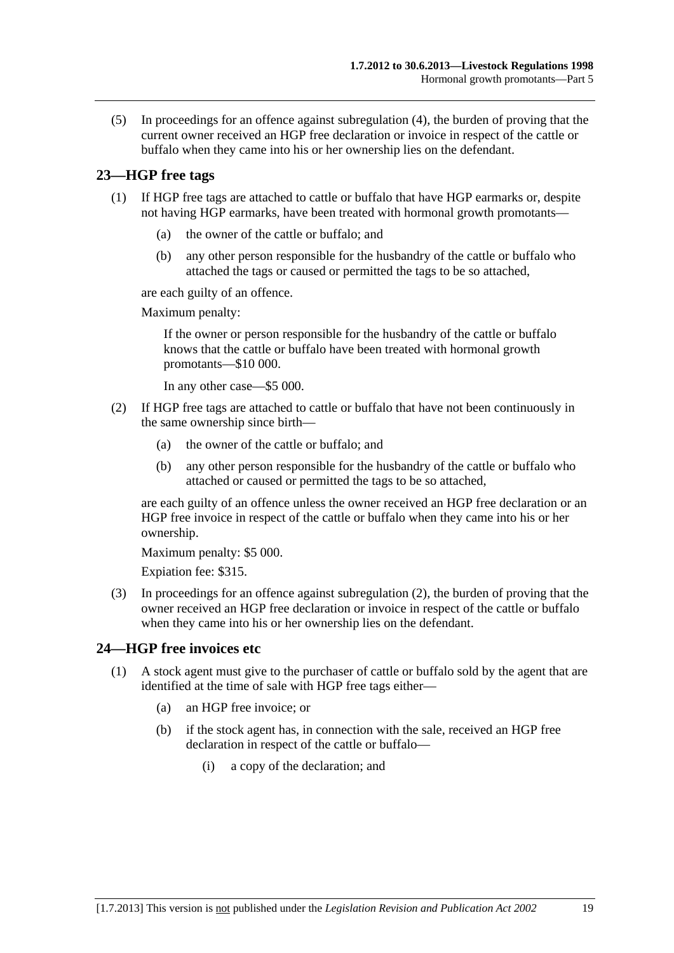<span id="page-18-0"></span> (5) In proceedings for an offence against [subregulation \(4\)](#page-17-0), the burden of proving that the current owner received an HGP free declaration or invoice in respect of the cattle or buffalo when they came into his or her ownership lies on the defendant.

## **23—HGP free tags**

- (1) If HGP free tags are attached to cattle or buffalo that have HGP earmarks or, despite not having HGP earmarks, have been treated with hormonal growth promotants—
	- (a) the owner of the cattle or buffalo; and
	- (b) any other person responsible for the husbandry of the cattle or buffalo who attached the tags or caused or permitted the tags to be so attached,

are each guilty of an offence.

Maximum penalty:

If the owner or person responsible for the husbandry of the cattle or buffalo knows that the cattle or buffalo have been treated with hormonal growth promotants—\$10 000.

In any other case—\$5 000.

- (2) If HGP free tags are attached to cattle or buffalo that have not been continuously in the same ownership since birth—
	- (a) the owner of the cattle or buffalo; and
	- (b) any other person responsible for the husbandry of the cattle or buffalo who attached or caused or permitted the tags to be so attached,

are each guilty of an offence unless the owner received an HGP free declaration or an HGP free invoice in respect of the cattle or buffalo when they came into his or her ownership.

Maximum penalty: \$5 000.

Expiation fee: \$315.

 (3) In proceedings for an offence against [subregulation \(2\)](#page-18-0), the burden of proving that the owner received an HGP free declaration or invoice in respect of the cattle or buffalo when they came into his or her ownership lies on the defendant.

## **24—HGP free invoices etc**

- (1) A stock agent must give to the purchaser of cattle or buffalo sold by the agent that are identified at the time of sale with HGP free tags either—
	- (a) an HGP free invoice; or
	- (b) if the stock agent has, in connection with the sale, received an HGP free declaration in respect of the cattle or buffalo—
		- (i) a copy of the declaration; and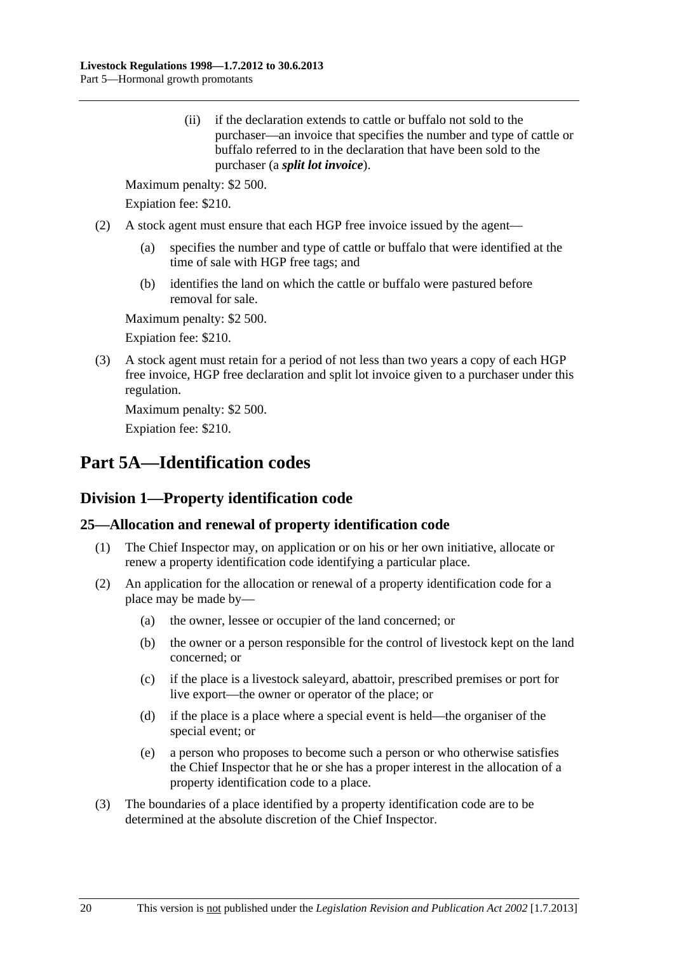<span id="page-19-0"></span> (ii) if the declaration extends to cattle or buffalo not sold to the purchaser—an invoice that specifies the number and type of cattle or buffalo referred to in the declaration that have been sold to the purchaser (a *split lot invoice*).

Maximum penalty: \$2 500.

Expiation fee: \$210.

- (2) A stock agent must ensure that each HGP free invoice issued by the agent—
	- (a) specifies the number and type of cattle or buffalo that were identified at the time of sale with HGP free tags; and
	- (b) identifies the land on which the cattle or buffalo were pastured before removal for sale.

Maximum penalty: \$2 500.

Expiation fee: \$210.

 (3) A stock agent must retain for a period of not less than two years a copy of each HGP free invoice, HGP free declaration and split lot invoice given to a purchaser under this regulation.

Maximum penalty: \$2 500.

Expiation fee: \$210.

# **Part 5A—Identification codes**

## **Division 1—Property identification code**

## **25—Allocation and renewal of property identification code**

- (1) The Chief Inspector may, on application or on his or her own initiative, allocate or renew a property identification code identifying a particular place.
- (2) An application for the allocation or renewal of a property identification code for a place may be made by—
	- (a) the owner, lessee or occupier of the land concerned; or
	- (b) the owner or a person responsible for the control of livestock kept on the land concerned; or
	- (c) if the place is a livestock saleyard, abattoir, prescribed premises or port for live export—the owner or operator of the place; or
	- (d) if the place is a place where a special event is held—the organiser of the special event; or
	- (e) a person who proposes to become such a person or who otherwise satisfies the Chief Inspector that he or she has a proper interest in the allocation of a property identification code to a place.
- (3) The boundaries of a place identified by a property identification code are to be determined at the absolute discretion of the Chief Inspector.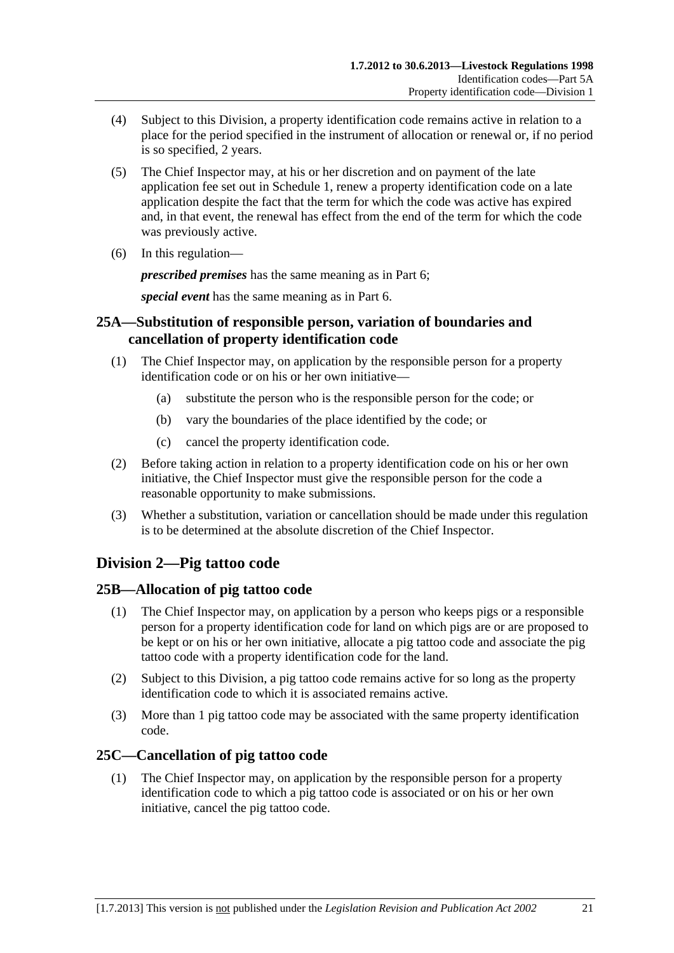- <span id="page-20-0"></span> (4) Subject to this Division, a property identification code remains active in relation to a place for the period specified in the instrument of allocation or renewal or, if no period is so specified, 2 years.
- (5) The Chief Inspector may, at his or her discretion and on payment of the late application fee set out in [Schedule 1,](#page-46-0) renew a property identification code on a late application despite the fact that the term for which the code was active has expired and, in that event, the renewal has effect from the end of the term for which the code was previously active.
- (6) In this regulation—

*prescribed premises* has the same meaning as in [Part 6;](#page-22-0)

*special event* has the same meaning as in [Part 6.](#page-22-0)

## **25A—Substitution of responsible person, variation of boundaries and cancellation of property identification code**

- (1) The Chief Inspector may, on application by the responsible person for a property identification code or on his or her own initiative—
	- (a) substitute the person who is the responsible person for the code; or
	- (b) vary the boundaries of the place identified by the code; or
	- (c) cancel the property identification code.
- (2) Before taking action in relation to a property identification code on his or her own initiative, the Chief Inspector must give the responsible person for the code a reasonable opportunity to make submissions.
- (3) Whether a substitution, variation or cancellation should be made under this regulation is to be determined at the absolute discretion of the Chief Inspector.

## **Division 2—Pig tattoo code**

## **25B—Allocation of pig tattoo code**

- (1) The Chief Inspector may, on application by a person who keeps pigs or a responsible person for a property identification code for land on which pigs are or are proposed to be kept or on his or her own initiative, allocate a pig tattoo code and associate the pig tattoo code with a property identification code for the land.
- (2) Subject to this Division, a pig tattoo code remains active for so long as the property identification code to which it is associated remains active.
- (3) More than 1 pig tattoo code may be associated with the same property identification code.

## **25C—Cancellation of pig tattoo code**

 (1) The Chief Inspector may, on application by the responsible person for a property identification code to which a pig tattoo code is associated or on his or her own initiative, cancel the pig tattoo code.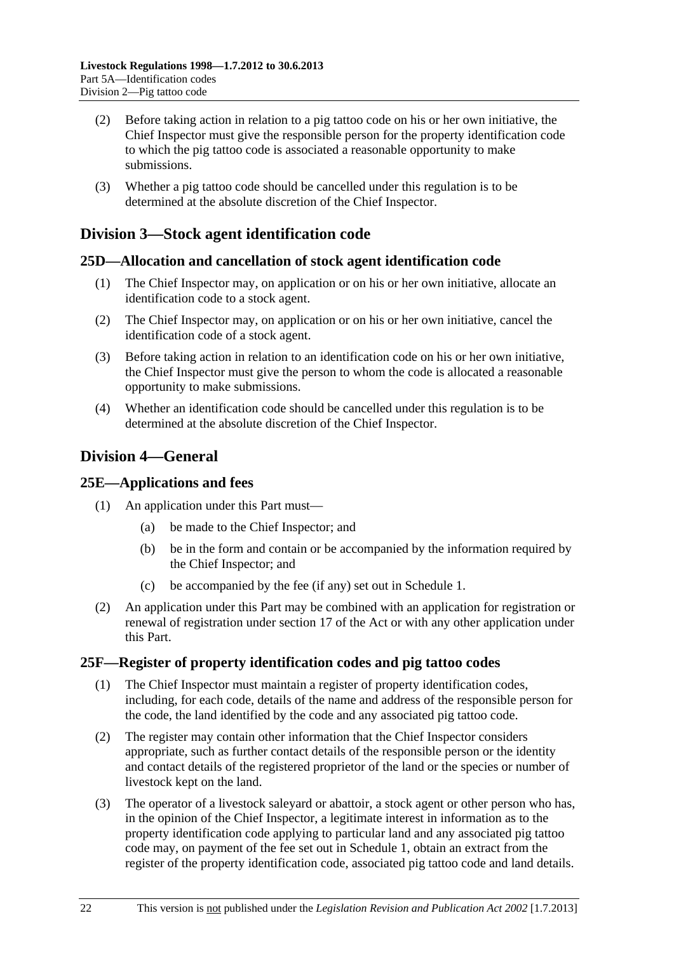- <span id="page-21-0"></span> (2) Before taking action in relation to a pig tattoo code on his or her own initiative, the Chief Inspector must give the responsible person for the property identification code to which the pig tattoo code is associated a reasonable opportunity to make submissions.
- (3) Whether a pig tattoo code should be cancelled under this regulation is to be determined at the absolute discretion of the Chief Inspector.

## **Division 3—Stock agent identification code**

#### **25D—Allocation and cancellation of stock agent identification code**

- (1) The Chief Inspector may, on application or on his or her own initiative, allocate an identification code to a stock agent.
- (2) The Chief Inspector may, on application or on his or her own initiative, cancel the identification code of a stock agent.
- (3) Before taking action in relation to an identification code on his or her own initiative, the Chief Inspector must give the person to whom the code is allocated a reasonable opportunity to make submissions.
- (4) Whether an identification code should be cancelled under this regulation is to be determined at the absolute discretion of the Chief Inspector.

## **Division 4—General**

#### **25E—Applications and fees**

- (1) An application under this Part must—
	- (a) be made to the Chief Inspector; and
	- (b) be in the form and contain or be accompanied by the information required by the Chief Inspector; and
	- (c) be accompanied by the fee (if any) set out in [Schedule 1.](#page-46-0)
- (2) An application under this Part may be combined with an application for registration or renewal of registration under section 17 of the Act or with any other application under this Part.

#### **25F—Register of property identification codes and pig tattoo codes**

- (1) The Chief Inspector must maintain a register of property identification codes, including, for each code, details of the name and address of the responsible person for the code, the land identified by the code and any associated pig tattoo code.
- (2) The register may contain other information that the Chief Inspector considers appropriate, such as further contact details of the responsible person or the identity and contact details of the registered proprietor of the land or the species or number of livestock kept on the land.
- (3) The operator of a livestock saleyard or abattoir, a stock agent or other person who has, in the opinion of the Chief Inspector, a legitimate interest in information as to the property identification code applying to particular land and any associated pig tattoo code may, on payment of the fee set out in [Schedule 1,](#page-46-0) obtain an extract from the register of the property identification code, associated pig tattoo code and land details.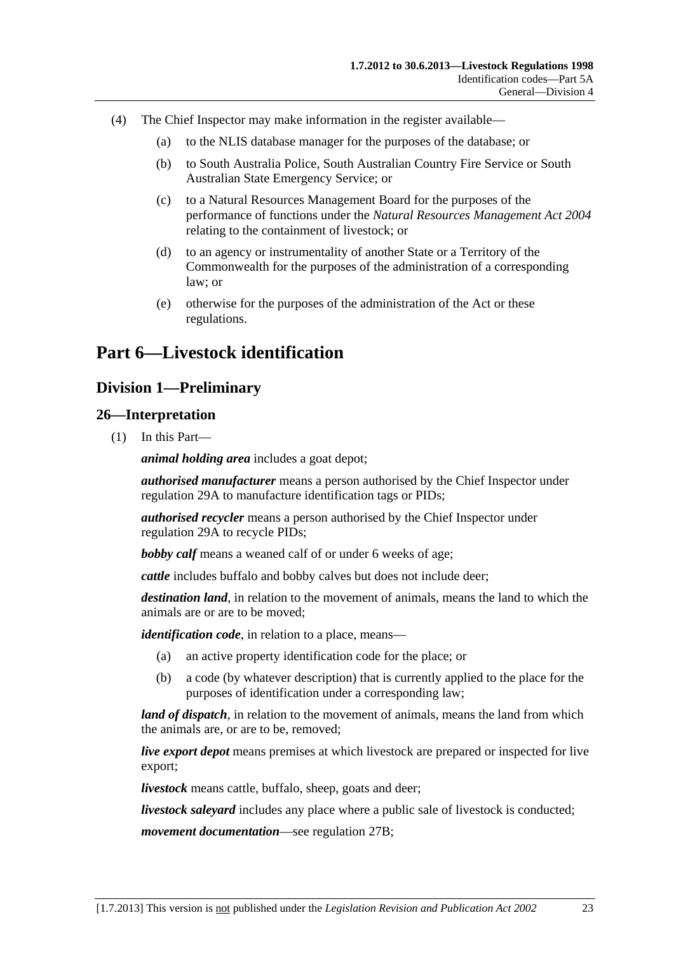- <span id="page-22-0"></span> (4) The Chief Inspector may make information in the register available—
	- (a) to the NLIS database manager for the purposes of the database; or
	- (b) to South Australia Police, South Australian Country Fire Service or South Australian State Emergency Service; or
	- (c) to a Natural Resources Management Board for the purposes of the performance of functions under the *[Natural Resources Management Act 2004](http://www.legislation.sa.gov.au/index.aspx?action=legref&type=act&legtitle=Natural%20Resources%20Management%20Act%202004)* relating to the containment of livestock; or
	- (d) to an agency or instrumentality of another State or a Territory of the Commonwealth for the purposes of the administration of a corresponding law; or
	- (e) otherwise for the purposes of the administration of the Act or these regulations.

# **Part 6—Livestock identification**

## **Division 1—Preliminary**

#### **26—Interpretation**

(1) In this Part—

*animal holding area* includes a goat depot;

*authorised manufacturer* means a person authorised by the Chief Inspector under [regulation 29A](#page-38-0) to manufacture identification tags or PIDs;

*authorised recycler* means a person authorised by the Chief Inspector under [regulation 29A](#page-38-0) to recycle PIDs;

*bobby calf* means a weaned calf of or under 6 weeks of age;

*cattle* includes buffalo and bobby calves but does not include deer;

*destination land*, in relation to the movement of animals, means the land to which the animals are or are to be moved;

*identification code*, in relation to a place, means—

- (a) an active property identification code for the place; or
- (b) a code (by whatever description) that is currently applied to the place for the purposes of identification under a corresponding law;

*land of dispatch*, in relation to the movement of animals, means the land from which the animals are, or are to be, removed;

*live export depot* means premises at which livestock are prepared or inspected for live export;

*livestock* means cattle, buffalo, sheep, goats and deer;

*livestock saleyard* includes any place where a public sale of livestock is conducted;

*movement documentation*—see [regulation 27B;](#page-25-0)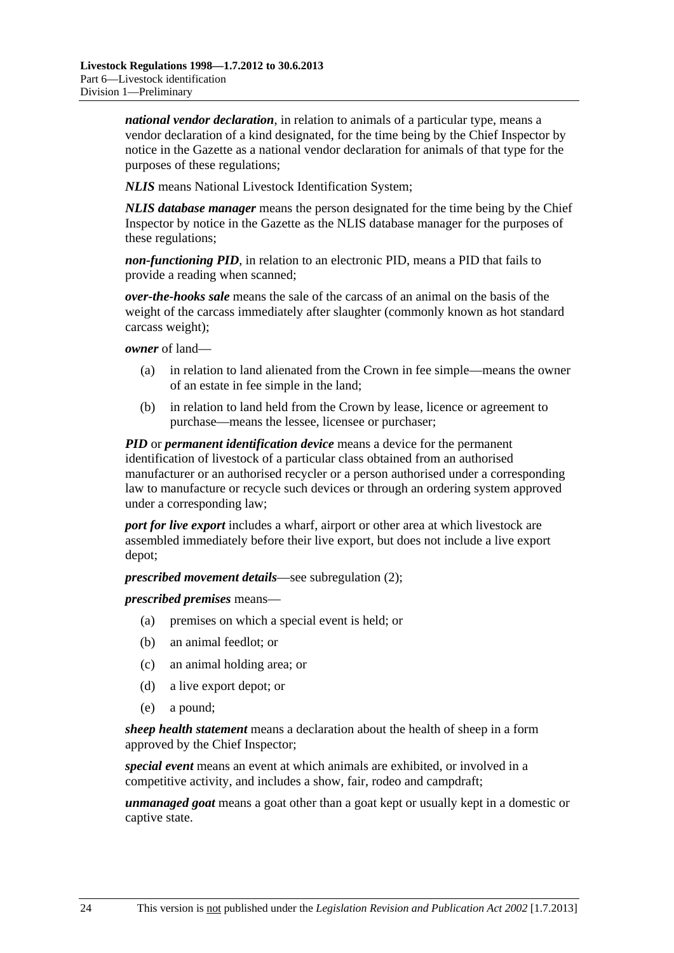*national vendor declaration*, in relation to animals of a particular type, means a vendor declaration of a kind designated, for the time being by the Chief Inspector by notice in the Gazette as a national vendor declaration for animals of that type for the purposes of these regulations;

*NLIS* means National Livestock Identification System;

*NLIS database manager* means the person designated for the time being by the Chief Inspector by notice in the Gazette as the NLIS database manager for the purposes of these regulations;

*non-functioning PID*, in relation to an electronic PID, means a PID that fails to provide a reading when scanned;

*over-the-hooks sale* means the sale of the carcass of an animal on the basis of the weight of the carcass immediately after slaughter (commonly known as hot standard carcass weight);

*owner* of land—

- (a) in relation to land alienated from the Crown in fee simple—means the owner of an estate in fee simple in the land;
- (b) in relation to land held from the Crown by lease, licence or agreement to purchase—means the lessee, licensee or purchaser;

*PID* or *permanent identification device* means a device for the permanent identification of livestock of a particular class obtained from an authorised manufacturer or an authorised recycler or a person authorised under a corresponding law to manufacture or recycle such devices or through an ordering system approved under a corresponding law;

*port for live export* includes a wharf, airport or other area at which livestock are assembled immediately before their live export, but does not include a live export depot;

*prescribed movement details*—see [subregulation \(2\);](#page-24-0)

*prescribed premises* means—

- (a) premises on which a special event is held; or
- (b) an animal feedlot; or
- (c) an animal holding area; or
- (d) a live export depot; or
- (e) a pound;

*sheep health statement* means a declaration about the health of sheep in a form approved by the Chief Inspector;

*special event* means an event at which animals are exhibited, or involved in a competitive activity, and includes a show, fair, rodeo and campdraft;

*unmanaged goat* means a goat other than a goat kept or usually kept in a domestic or captive state.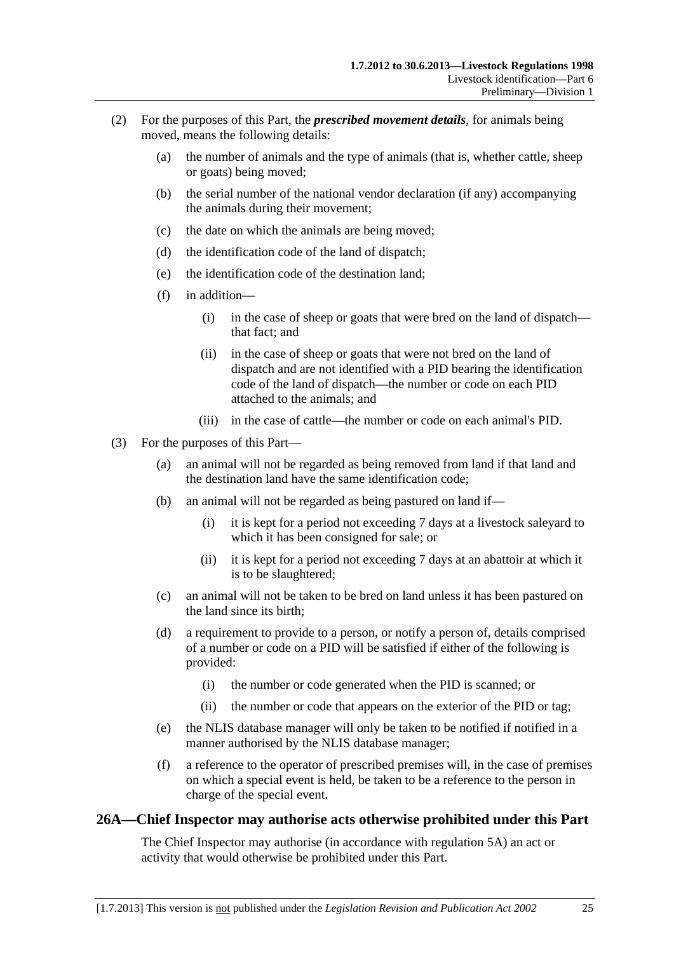- <span id="page-24-0"></span> (2) For the purposes of this Part, the *prescribed movement details*, for animals being moved, means the following details:
	- (a) the number of animals and the type of animals (that is, whether cattle, sheep or goats) being moved;
	- (b) the serial number of the national vendor declaration (if any) accompanying the animals during their movement;
	- (c) the date on which the animals are being moved;
	- (d) the identification code of the land of dispatch;
	- (e) the identification code of the destination land;
	- (f) in addition—
		- (i) in the case of sheep or goats that were bred on the land of dispatch that fact; and
		- (ii) in the case of sheep or goats that were not bred on the land of dispatch and are not identified with a PID bearing the identification code of the land of dispatch—the number or code on each PID attached to the animals; and
		- (iii) in the case of cattle—the number or code on each animal's PID.
- (3) For the purposes of this Part—
	- (a) an animal will not be regarded as being removed from land if that land and the destination land have the same identification code;
	- (b) an animal will not be regarded as being pastured on land if—
		- (i) it is kept for a period not exceeding 7 days at a livestock saleyard to which it has been consigned for sale; or
		- (ii) it is kept for a period not exceeding 7 days at an abattoir at which it is to be slaughtered;
	- (c) an animal will not be taken to be bred on land unless it has been pastured on the land since its birth;
	- (d) a requirement to provide to a person, or notify a person of, details comprised of a number or code on a PID will be satisfied if either of the following is provided:
		- (i) the number or code generated when the PID is scanned; or
		- (ii) the number or code that appears on the exterior of the PID or tag;
	- (e) the NLIS database manager will only be taken to be notified if notified in a manner authorised by the NLIS database manager;
	- (f) a reference to the operator of prescribed premises will, in the case of premises on which a special event is held, be taken to be a reference to the person in charge of the special event.

#### **26A—Chief Inspector may authorise acts otherwise prohibited under this Part**

The Chief Inspector may authorise (in accordance with [regulation 5A](#page-5-0)) an act or activity that would otherwise be prohibited under this Part.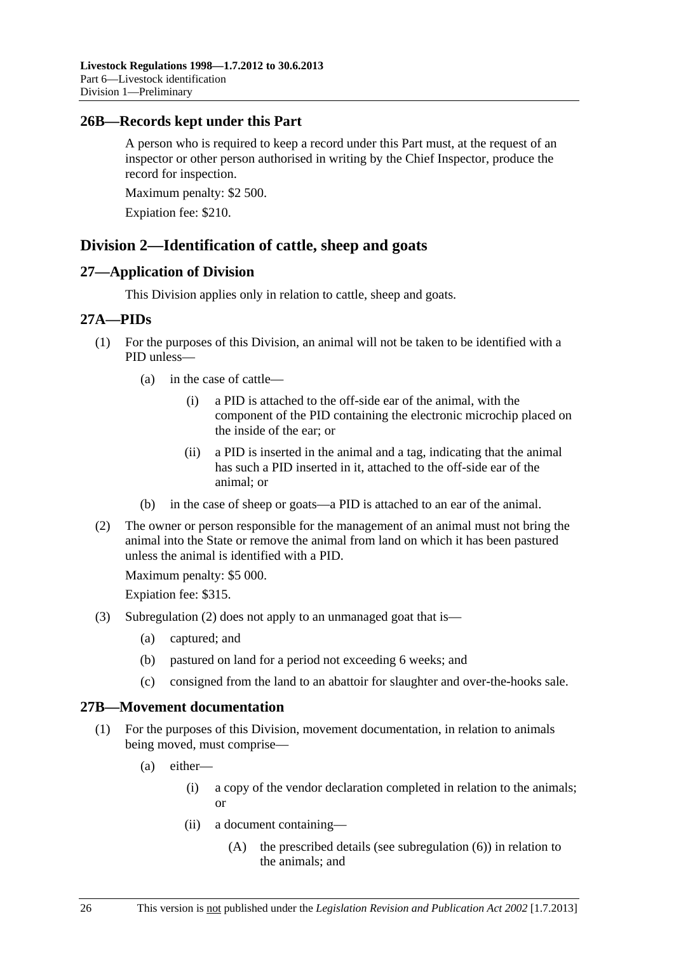## <span id="page-25-0"></span>**26B—Records kept under this Part**

A person who is required to keep a record under this Part must, at the request of an inspector or other person authorised in writing by the Chief Inspector, produce the record for inspection.

Maximum penalty: \$2 500.

Expiation fee: \$210.

## **Division 2—Identification of cattle, sheep and goats**

#### **27—Application of Division**

This Division applies only in relation to cattle, sheep and goats.

#### **27A—PIDs**

- (1) For the purposes of this Division, an animal will not be taken to be identified with a PID unless—
	- (a) in the case of cattle—
		- (i) a PID is attached to the off-side ear of the animal, with the component of the PID containing the electronic microchip placed on the inside of the ear; or
		- (ii) a PID is inserted in the animal and a tag, indicating that the animal has such a PID inserted in it, attached to the off-side ear of the animal; or
	- (b) in the case of sheep or goats—a PID is attached to an ear of the animal.
- (2) The owner or person responsible for the management of an animal must not bring the animal into the State or remove the animal from land on which it has been pastured unless the animal is identified with a PID.

Maximum penalty: \$5 000.

Expiation fee: \$315.

- (3) [Subregulation \(2\)](#page-25-0) does not apply to an unmanaged goat that is—
	- (a) captured; and
	- (b) pastured on land for a period not exceeding 6 weeks; and
	- (c) consigned from the land to an abattoir for slaughter and over-the-hooks sale.

#### **27B—Movement documentation**

- (1) For the purposes of this Division, movement documentation, in relation to animals being moved, must comprise—
	- (a) either—
		- (i) a copy of the vendor declaration completed in relation to the animals; or
		- (ii) a document containing—
			- (A) the prescribed details (see [subregulation \(6\)\)](#page-27-0) in relation to the animals; and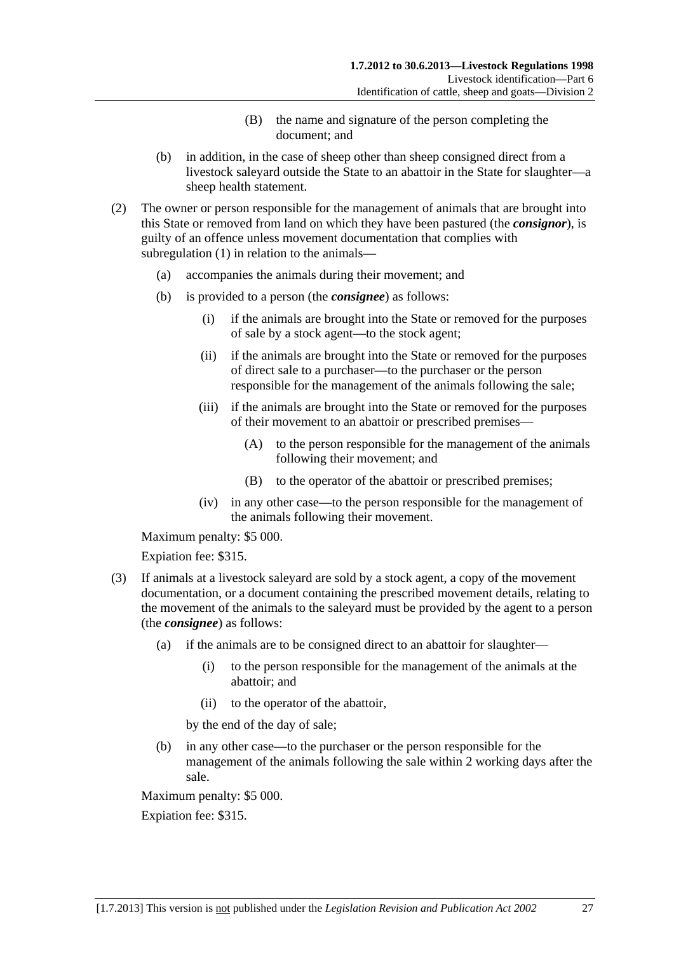- (B) the name and signature of the person completing the document; and
- <span id="page-26-0"></span> (b) in addition, in the case of sheep other than sheep consigned direct from a livestock saleyard outside the State to an abattoir in the State for slaughter—a sheep health statement.
- (2) The owner or person responsible for the management of animals that are brought into this State or removed from land on which they have been pastured (the *consignor*), is guilty of an offence unless movement documentation that complies with [subregulation \(1\)](#page-25-0) in relation to the animals—
	- (a) accompanies the animals during their movement; and
	- (b) is provided to a person (the *consignee*) as follows:
		- (i) if the animals are brought into the State or removed for the purposes of sale by a stock agent—to the stock agent;
		- (ii) if the animals are brought into the State or removed for the purposes of direct sale to a purchaser—to the purchaser or the person responsible for the management of the animals following the sale;
		- (iii) if the animals are brought into the State or removed for the purposes of their movement to an abattoir or prescribed premises—
			- (A) to the person responsible for the management of the animals following their movement; and
			- (B) to the operator of the abattoir or prescribed premises;
		- (iv) in any other case—to the person responsible for the management of the animals following their movement.

Maximum penalty: \$5 000.

Expiation fee: \$315.

- (3) If animals at a livestock saleyard are sold by a stock agent, a copy of the movement documentation, or a document containing the prescribed movement details, relating to the movement of the animals to the saleyard must be provided by the agent to a person (the *consignee*) as follows:
	- (a) if the animals are to be consigned direct to an abattoir for slaughter—
		- (i) to the person responsible for the management of the animals at the abattoir; and
		- (ii) to the operator of the abattoir,

by the end of the day of sale;

 (b) in any other case—to the purchaser or the person responsible for the management of the animals following the sale within 2 working days after the sale.

Maximum penalty: \$5 000.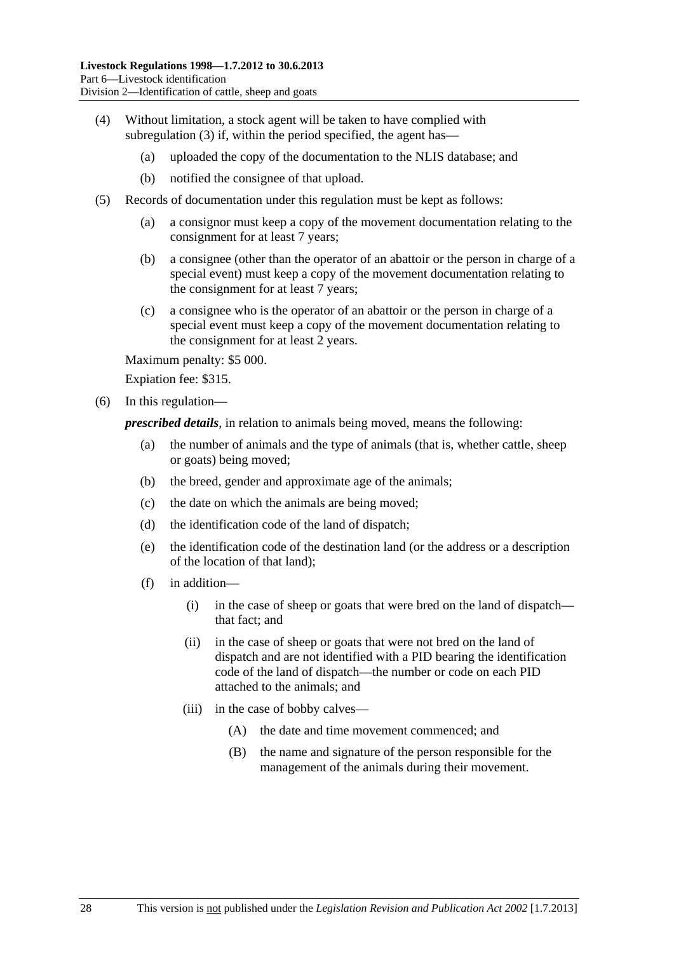- <span id="page-27-0"></span> (4) Without limitation, a stock agent will be taken to have complied with [subregulation \(3\)](#page-26-0) if, within the period specified, the agent has—
	- (a) uploaded the copy of the documentation to the NLIS database; and
	- (b) notified the consignee of that upload.
- (5) Records of documentation under this regulation must be kept as follows:
	- (a) a consignor must keep a copy of the movement documentation relating to the consignment for at least 7 years;
	- (b) a consignee (other than the operator of an abattoir or the person in charge of a special event) must keep a copy of the movement documentation relating to the consignment for at least 7 years;
	- (c) a consignee who is the operator of an abattoir or the person in charge of a special event must keep a copy of the movement documentation relating to the consignment for at least 2 years.

Maximum penalty: \$5 000.

Expiation fee: \$315.

(6) In this regulation—

*prescribed details*, in relation to animals being moved, means the following:

- (a) the number of animals and the type of animals (that is, whether cattle, sheep or goats) being moved;
- (b) the breed, gender and approximate age of the animals;
- (c) the date on which the animals are being moved;
- (d) the identification code of the land of dispatch;
- (e) the identification code of the destination land (or the address or a description of the location of that land);
- (f) in addition—
	- (i) in the case of sheep or goats that were bred on the land of dispatch that fact; and
	- (ii) in the case of sheep or goats that were not bred on the land of dispatch and are not identified with a PID bearing the identification code of the land of dispatch—the number or code on each PID attached to the animals; and
	- (iii) in the case of bobby calves—
		- (A) the date and time movement commenced; and
		- (B) the name and signature of the person responsible for the management of the animals during their movement.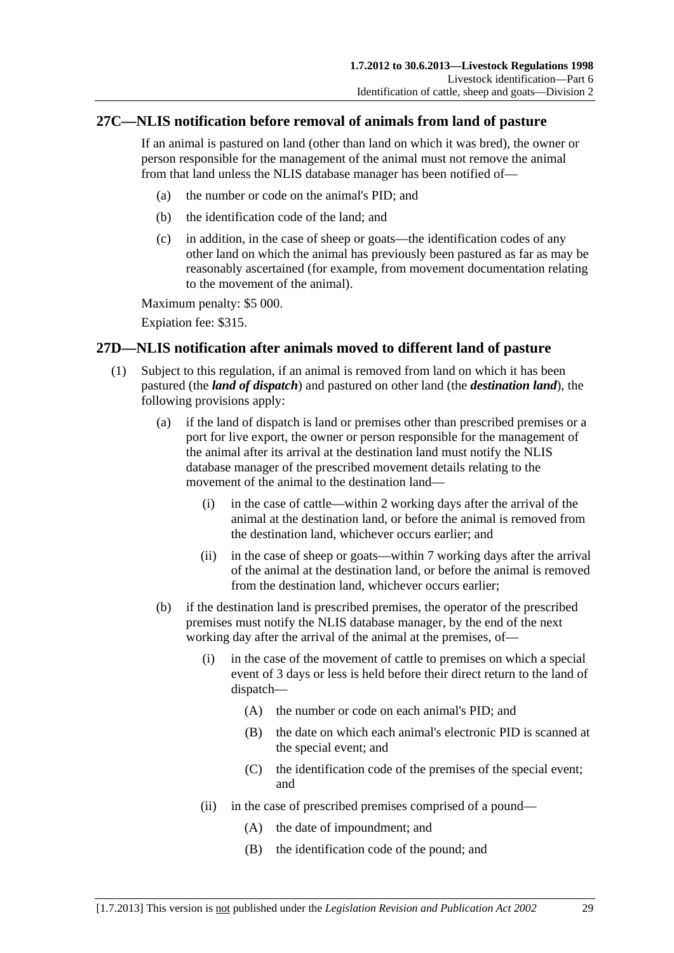## <span id="page-28-0"></span>**27C—NLIS notification before removal of animals from land of pasture**

If an animal is pastured on land (other than land on which it was bred), the owner or person responsible for the management of the animal must not remove the animal from that land unless the NLIS database manager has been notified of—

- (a) the number or code on the animal's PID; and
- (b) the identification code of the land; and
- (c) in addition, in the case of sheep or goats—the identification codes of any other land on which the animal has previously been pastured as far as may be reasonably ascertained (for example, from movement documentation relating to the movement of the animal).

Maximum penalty: \$5 000.

Expiation fee: \$315.

## **27D—NLIS notification after animals moved to different land of pasture**

- (1) Subject to this regulation, if an animal is removed from land on which it has been pastured (the *land of dispatch*) and pastured on other land (the *destination land*), the following provisions apply:
	- (a) if the land of dispatch is land or premises other than prescribed premises or a port for live export, the owner or person responsible for the management of the animal after its arrival at the destination land must notify the NLIS database manager of the prescribed movement details relating to the movement of the animal to the destination land—
		- (i) in the case of cattle—within 2 working days after the arrival of the animal at the destination land, or before the animal is removed from the destination land, whichever occurs earlier; and
		- (ii) in the case of sheep or goats—within 7 working days after the arrival of the animal at the destination land, or before the animal is removed from the destination land, whichever occurs earlier;
	- (b) if the destination land is prescribed premises, the operator of the prescribed premises must notify the NLIS database manager, by the end of the next working day after the arrival of the animal at the premises, of—
		- (i) in the case of the movement of cattle to premises on which a special event of 3 days or less is held before their direct return to the land of dispatch—
			- (A) the number or code on each animal's PID; and
			- (B) the date on which each animal's electronic PID is scanned at the special event; and
			- (C) the identification code of the premises of the special event; and
		- (ii) in the case of prescribed premises comprised of a pound—
			- (A) the date of impoundment; and
			- (B) the identification code of the pound; and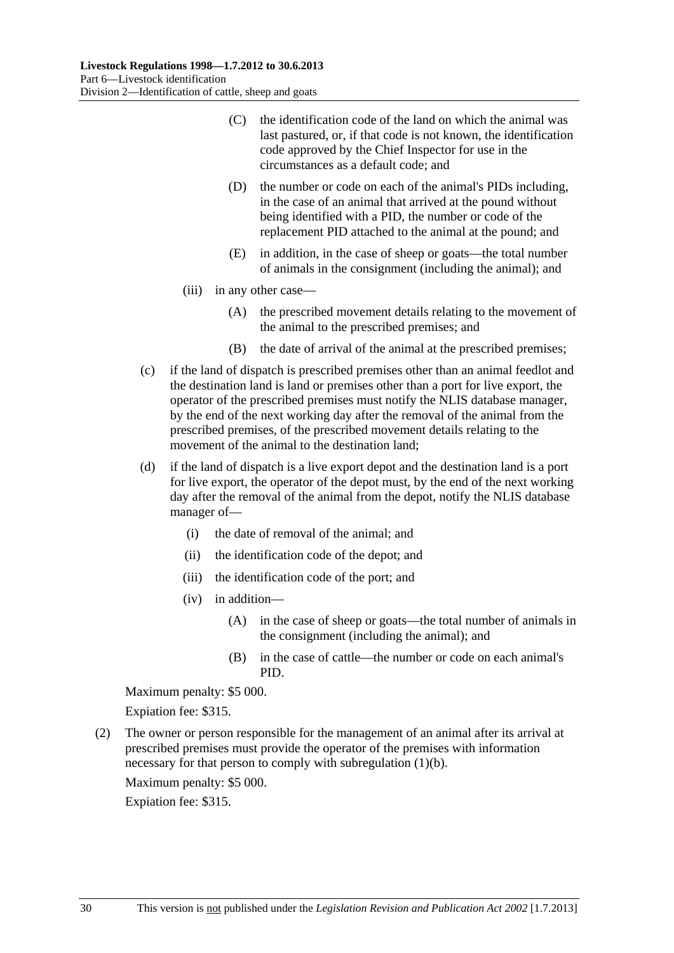- <span id="page-29-0"></span> (C) the identification code of the land on which the animal was last pastured, or, if that code is not known, the identification code approved by the Chief Inspector for use in the circumstances as a default code; and
- (D) the number or code on each of the animal's PIDs including, in the case of an animal that arrived at the pound without being identified with a PID, the number or code of the replacement PID attached to the animal at the pound; and
- (E) in addition, in the case of sheep or goats—the total number of animals in the consignment (including the animal); and
- (iii) in any other case—
	- (A) the prescribed movement details relating to the movement of the animal to the prescribed premises; and
	- (B) the date of arrival of the animal at the prescribed premises;
- (c) if the land of dispatch is prescribed premises other than an animal feedlot and the destination land is land or premises other than a port for live export, the operator of the prescribed premises must notify the NLIS database manager, by the end of the next working day after the removal of the animal from the prescribed premises, of the prescribed movement details relating to the movement of the animal to the destination land;
- (d) if the land of dispatch is a live export depot and the destination land is a port for live export, the operator of the depot must, by the end of the next working day after the removal of the animal from the depot, notify the NLIS database manager of—
	- (i) the date of removal of the animal; and
	- (ii) the identification code of the depot; and
	- (iii) the identification code of the port; and
	- (iv) in addition—
		- (A) in the case of sheep or goats—the total number of animals in the consignment (including the animal); and
		- (B) in the case of cattle—the number or code on each animal's PID.

Maximum penalty: \$5 000.

Expiation fee: \$315.

 (2) The owner or person responsible for the management of an animal after its arrival at prescribed premises must provide the operator of the premises with information necessary for that person to comply with [subregulation \(1\)\(b\).](#page-28-0)

Maximum penalty: \$5 000.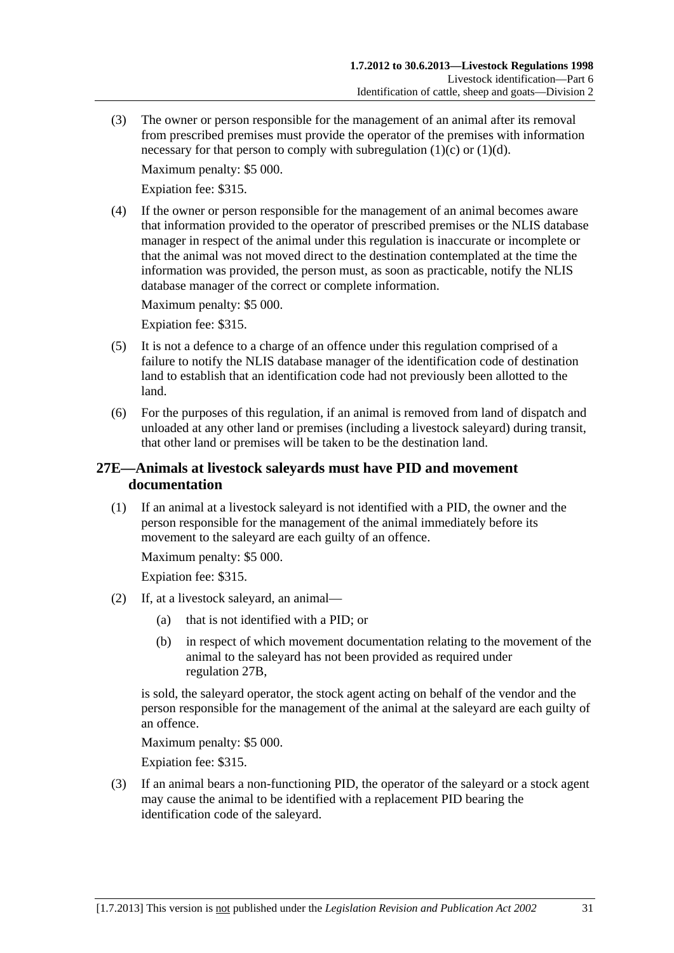<span id="page-30-0"></span> (3) The owner or person responsible for the management of an animal after its removal from prescribed premises must provide the operator of the premises with information necessary for that person to comply with subregulation  $(1)(c)$  or  $(1)(d)$ .

Maximum penalty: \$5 000.

Expiation fee: \$315.

 (4) If the owner or person responsible for the management of an animal becomes aware that information provided to the operator of prescribed premises or the NLIS database manager in respect of the animal under this regulation is inaccurate or incomplete or that the animal was not moved direct to the destination contemplated at the time the information was provided, the person must, as soon as practicable, notify the NLIS database manager of the correct or complete information.

Maximum penalty: \$5 000.

Expiation fee: \$315.

- (5) It is not a defence to a charge of an offence under this regulation comprised of a failure to notify the NLIS database manager of the identification code of destination land to establish that an identification code had not previously been allotted to the land.
- (6) For the purposes of this regulation, if an animal is removed from land of dispatch and unloaded at any other land or premises (including a livestock saleyard) during transit, that other land or premises will be taken to be the destination land.

## **27E—Animals at livestock saleyards must have PID and movement documentation**

 (1) If an animal at a livestock saleyard is not identified with a PID, the owner and the person responsible for the management of the animal immediately before its movement to the saleyard are each guilty of an offence.

Maximum penalty: \$5 000.

Expiation fee: \$315.

- (2) If, at a livestock saleyard, an animal—
	- (a) that is not identified with a PID; or
	- (b) in respect of which movement documentation relating to the movement of the animal to the saleyard has not been provided as required under [regulation 27B](#page-25-0),

is sold, the saleyard operator, the stock agent acting on behalf of the vendor and the person responsible for the management of the animal at the saleyard are each guilty of an offence.

Maximum penalty: \$5 000.

Expiation fee: \$315.

 (3) If an animal bears a non-functioning PID, the operator of the saleyard or a stock agent may cause the animal to be identified with a replacement PID bearing the identification code of the saleyard.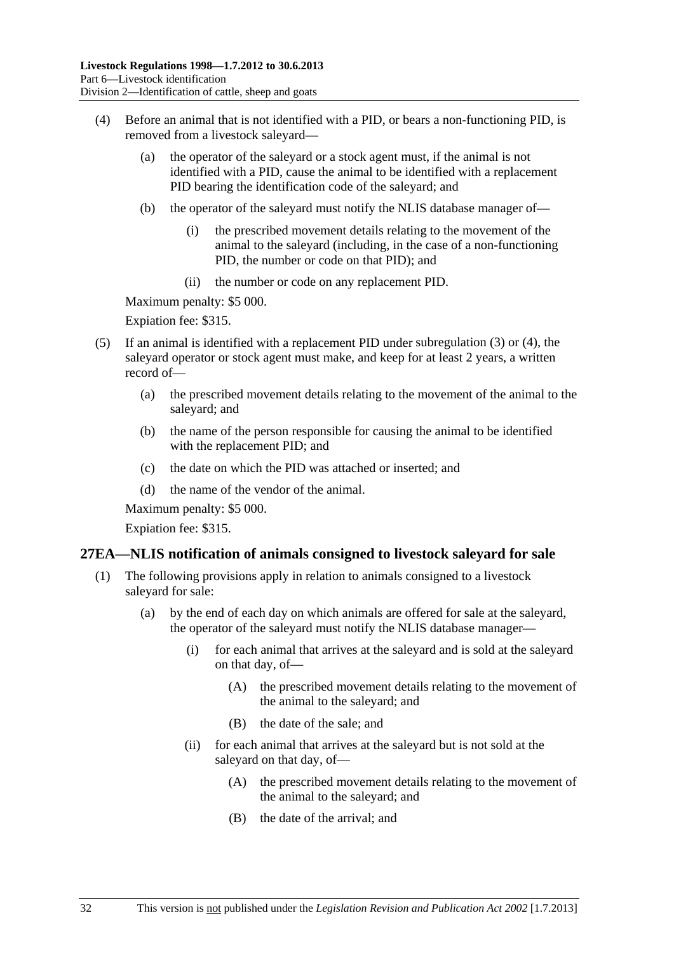- <span id="page-31-0"></span> (4) Before an animal that is not identified with a PID, or bears a non-functioning PID, is removed from a livestock saleyard—
	- (a) the operator of the saleyard or a stock agent must, if the animal is not identified with a PID, cause the animal to be identified with a replacement PID bearing the identification code of the saleyard; and
	- (b) the operator of the saleyard must notify the NLIS database manager of—
		- (i) the prescribed movement details relating to the movement of the animal to the saleyard (including, in the case of a non-functioning PID, the number or code on that PID); and
		- (ii) the number or code on any replacement PID.

Maximum penalty: \$5 000.

Expiation fee: \$315.

- (5) If an animal is identified with a replacement PID under [subregulation \(3\)](#page-30-0) or [\(4\),](#page-31-0) the saleyard operator or stock agent must make, and keep for at least 2 years, a written record of—
	- (a) the prescribed movement details relating to the movement of the animal to the saleyard; and
	- (b) the name of the person responsible for causing the animal to be identified with the replacement PID; and
	- (c) the date on which the PID was attached or inserted; and
	- (d) the name of the vendor of the animal.

Maximum penalty: \$5 000.

Expiation fee: \$315.

#### **27EA—NLIS notification of animals consigned to livestock saleyard for sale**

- (1) The following provisions apply in relation to animals consigned to a livestock saleyard for sale:
	- (a) by the end of each day on which animals are offered for sale at the saleyard, the operator of the saleyard must notify the NLIS database manager—
		- (i) for each animal that arrives at the saleyard and is sold at the saleyard on that day, of—
			- (A) the prescribed movement details relating to the movement of the animal to the saleyard; and
			- (B) the date of the sale; and
		- (ii) for each animal that arrives at the saleyard but is not sold at the saleyard on that day, of—
			- (A) the prescribed movement details relating to the movement of the animal to the saleyard; and
			- (B) the date of the arrival; and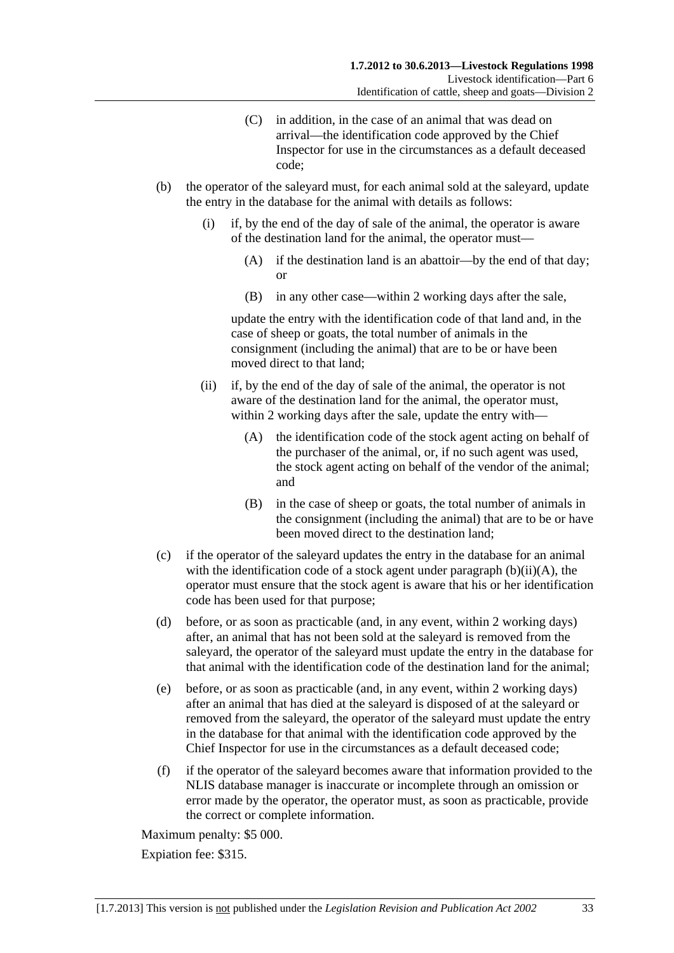- (C) in addition, in the case of an animal that was dead on arrival—the identification code approved by the Chief Inspector for use in the circumstances as a default deceased code;
- <span id="page-32-0"></span> (b) the operator of the saleyard must, for each animal sold at the saleyard, update the entry in the database for the animal with details as follows:
	- (i) if, by the end of the day of sale of the animal, the operator is aware of the destination land for the animal, the operator must—
		- (A) if the destination land is an abattoir—by the end of that day; or
		- (B) in any other case—within 2 working days after the sale,

update the entry with the identification code of that land and, in the case of sheep or goats, the total number of animals in the consignment (including the animal) that are to be or have been moved direct to that land;

- (ii) if, by the end of the day of sale of the animal, the operator is not aware of the destination land for the animal, the operator must, within 2 working days after the sale, update the entry with—
	- (A) the identification code of the stock agent acting on behalf of the purchaser of the animal, or, if no such agent was used, the stock agent acting on behalf of the vendor of the animal; and
	- (B) in the case of sheep or goats, the total number of animals in the consignment (including the animal) that are to be or have been moved direct to the destination land;
- (c) if the operator of the saleyard updates the entry in the database for an animal with the identification code of a stock agent under paragraph  $(b)(ii)(A)$ , the operator must ensure that the stock agent is aware that his or her identification code has been used for that purpose;
- (d) before, or as soon as practicable (and, in any event, within 2 working days) after, an animal that has not been sold at the saleyard is removed from the saleyard, the operator of the saleyard must update the entry in the database for that animal with the identification code of the destination land for the animal;
- (e) before, or as soon as practicable (and, in any event, within 2 working days) after an animal that has died at the saleyard is disposed of at the saleyard or removed from the saleyard, the operator of the saleyard must update the entry in the database for that animal with the identification code approved by the Chief Inspector for use in the circumstances as a default deceased code;
- (f) if the operator of the saleyard becomes aware that information provided to the NLIS database manager is inaccurate or incomplete through an omission or error made by the operator, the operator must, as soon as practicable, provide the correct or complete information.

Maximum penalty: \$5 000.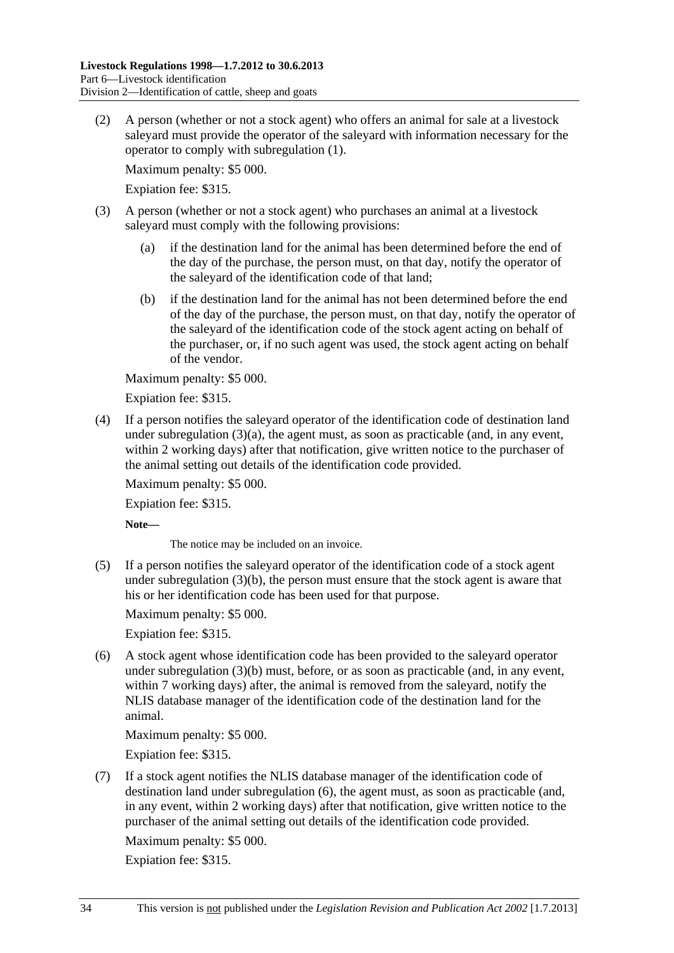<span id="page-33-0"></span> (2) A person (whether or not a stock agent) who offers an animal for sale at a livestock saleyard must provide the operator of the saleyard with information necessary for the operator to comply with [subregulation \(1\)](#page-31-0).

Maximum penalty: \$5 000.

Expiation fee: \$315.

- (3) A person (whether or not a stock agent) who purchases an animal at a livestock saleyard must comply with the following provisions:
	- (a) if the destination land for the animal has been determined before the end of the day of the purchase, the person must, on that day, notify the operator of the saleyard of the identification code of that land;
	- (b) if the destination land for the animal has not been determined before the end of the day of the purchase, the person must, on that day, notify the operator of the saleyard of the identification code of the stock agent acting on behalf of the purchaser, or, if no such agent was used, the stock agent acting on behalf of the vendor.

Maximum penalty: \$5 000.

Expiation fee: \$315.

 (4) If a person notifies the saleyard operator of the identification code of destination land under subregulation  $(3)(a)$ , the agent must, as soon as practicable (and, in any event, within 2 working days) after that notification, give written notice to the purchaser of the animal setting out details of the identification code provided.

Maximum penalty: \$5 000.

Expiation fee: \$315.

**Note—** 

The notice may be included on an invoice.

 (5) If a person notifies the saleyard operator of the identification code of a stock agent under [subregulation \(3\)\(b\),](#page-33-0) the person must ensure that the stock agent is aware that his or her identification code has been used for that purpose.

Maximum penalty: \$5 000.

Expiation fee: \$315.

 (6) A stock agent whose identification code has been provided to the saleyard operator under [subregulation \(3\)\(b\)](#page-33-0) must, before, or as soon as practicable (and, in any event, within 7 working days) after, the animal is removed from the saleyard, notify the NLIS database manager of the identification code of the destination land for the animal.

Maximum penalty: \$5 000.

Expiation fee: \$315.

 (7) If a stock agent notifies the NLIS database manager of the identification code of destination land under [subregulation \(6\),](#page-33-0) the agent must, as soon as practicable (and, in any event, within 2 working days) after that notification, give written notice to the purchaser of the animal setting out details of the identification code provided.

Maximum penalty: \$5 000.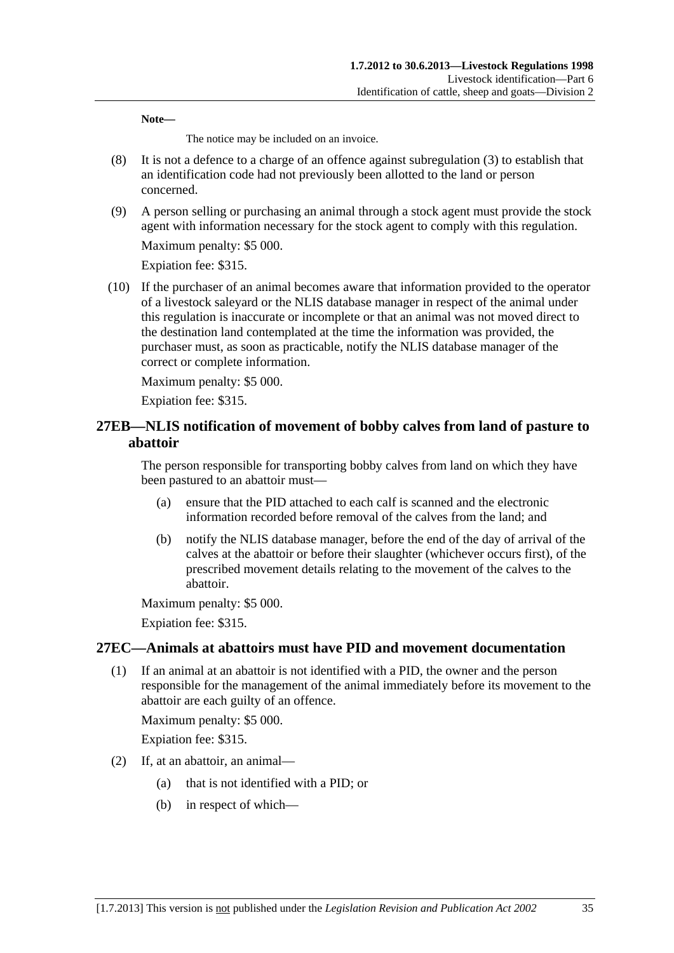<span id="page-34-0"></span>**Note—** 

The notice may be included on an invoice.

- (8) It is not a defence to a charge of an offence against [subregulation \(3\)](#page-33-0) to establish that an identification code had not previously been allotted to the land or person concerned.
- (9) A person selling or purchasing an animal through a stock agent must provide the stock agent with information necessary for the stock agent to comply with this regulation.

Maximum penalty: \$5 000.

Expiation fee: \$315.

 (10) If the purchaser of an animal becomes aware that information provided to the operator of a livestock saleyard or the NLIS database manager in respect of the animal under this regulation is inaccurate or incomplete or that an animal was not moved direct to the destination land contemplated at the time the information was provided, the purchaser must, as soon as practicable, notify the NLIS database manager of the correct or complete information.

Maximum penalty: \$5 000.

Expiation fee: \$315.

## **27EB—NLIS notification of movement of bobby calves from land of pasture to abattoir**

The person responsible for transporting bobby calves from land on which they have been pastured to an abattoir must—

- (a) ensure that the PID attached to each calf is scanned and the electronic information recorded before removal of the calves from the land; and
- (b) notify the NLIS database manager, before the end of the day of arrival of the calves at the abattoir or before their slaughter (whichever occurs first), of the prescribed movement details relating to the movement of the calves to the abattoir.

Maximum penalty: \$5 000.

Expiation fee: \$315.

## **27EC—Animals at abattoirs must have PID and movement documentation**

 (1) If an animal at an abattoir is not identified with a PID, the owner and the person responsible for the management of the animal immediately before its movement to the abattoir are each guilty of an offence.

Maximum penalty: \$5 000.

- (2) If, at an abattoir, an animal—
	- (a) that is not identified with a PID; or
	- (b) in respect of which—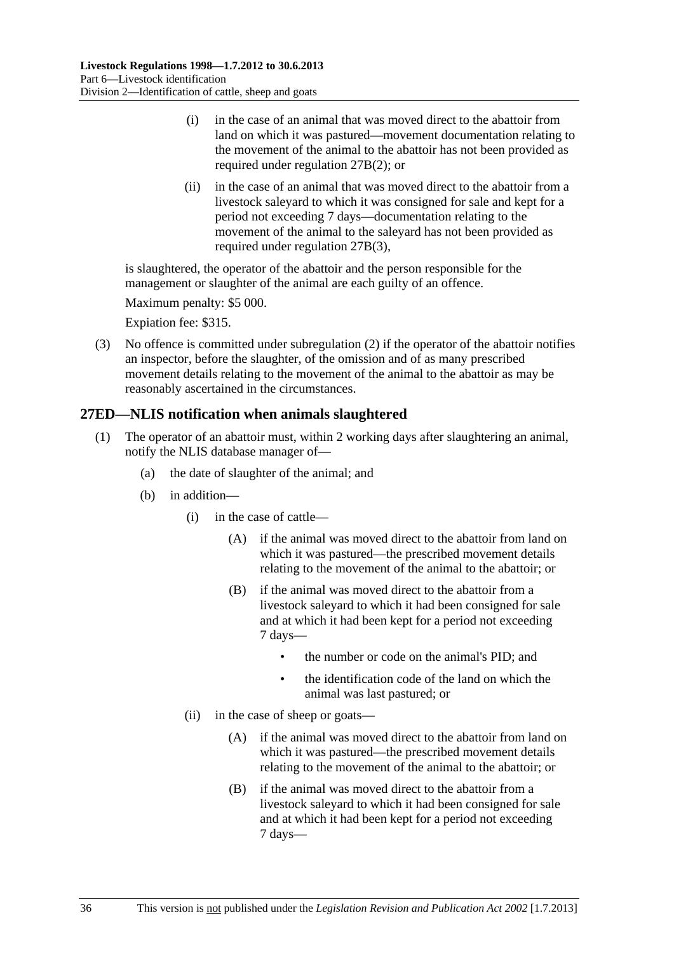- <span id="page-35-0"></span> (i) in the case of an animal that was moved direct to the abattoir from land on which it was pastured—movement documentation relating to the movement of the animal to the abattoir has not been provided as required under [regulation 27B\(2\)](#page-26-0); or
- (ii) in the case of an animal that was moved direct to the abattoir from a livestock saleyard to which it was consigned for sale and kept for a period not exceeding 7 days—documentation relating to the movement of the animal to the saleyard has not been provided as required under [regulation 27B\(3\)](#page-26-0),

is slaughtered, the operator of the abattoir and the person responsible for the management or slaughter of the animal are each guilty of an offence.

Maximum penalty: \$5 000.

Expiation fee: \$315.

 (3) No offence is committed under [subregulation \(2\)](#page-34-0) if the operator of the abattoir notifies an inspector, before the slaughter, of the omission and of as many prescribed movement details relating to the movement of the animal to the abattoir as may be reasonably ascertained in the circumstances.

## **27ED—NLIS notification when animals slaughtered**

- (1) The operator of an abattoir must, within 2 working days after slaughtering an animal, notify the NLIS database manager of—
	- (a) the date of slaughter of the animal; and
	- (b) in addition—
		- (i) in the case of cattle—
			- (A) if the animal was moved direct to the abattoir from land on which it was pastured—the prescribed movement details relating to the movement of the animal to the abattoir; or
			- (B) if the animal was moved direct to the abattoir from a livestock saleyard to which it had been consigned for sale and at which it had been kept for a period not exceeding 7 days—
				- the number or code on the animal's PID; and
				- the identification code of the land on which the animal was last pastured; or
		- (ii) in the case of sheep or goats—
			- (A) if the animal was moved direct to the abattoir from land on which it was pastured—the prescribed movement details relating to the movement of the animal to the abattoir; or
			- (B) if the animal was moved direct to the abattoir from a livestock saleyard to which it had been consigned for sale and at which it had been kept for a period not exceeding 7 days—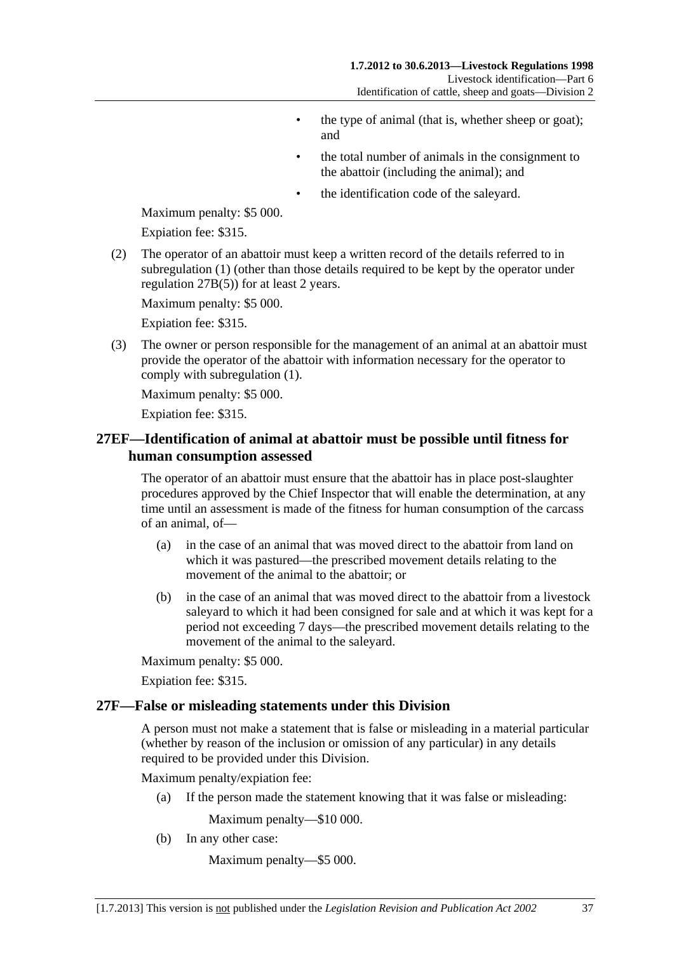- the type of animal (that is, whether sheep or goat); and
- the total number of animals in the consignment to the abattoir (including the animal); and
- the identification code of the saleyard.

<span id="page-36-0"></span>Maximum penalty: \$5 000.

Expiation fee: \$315.

 (2) The operator of an abattoir must keep a written record of the details referred to in [subregulation \(1\)](#page-35-0) (other than those details required to be kept by the operator under [regulation 27B\(5\)\)](#page-27-0) for at least 2 years.

Maximum penalty: \$5 000.

Expiation fee: \$315.

 (3) The owner or person responsible for the management of an animal at an abattoir must provide the operator of the abattoir with information necessary for the operator to comply with [subregulation \(1\)](#page-35-0).

Maximum penalty: \$5 000.

Expiation fee: \$315.

## **27EF—Identification of animal at abattoir must be possible until fitness for human consumption assessed**

The operator of an abattoir must ensure that the abattoir has in place post-slaughter procedures approved by the Chief Inspector that will enable the determination, at any time until an assessment is made of the fitness for human consumption of the carcass of an animal, of—

- (a) in the case of an animal that was moved direct to the abattoir from land on which it was pastured—the prescribed movement details relating to the movement of the animal to the abattoir; or
- (b) in the case of an animal that was moved direct to the abattoir from a livestock saleyard to which it had been consigned for sale and at which it was kept for a period not exceeding 7 days—the prescribed movement details relating to the movement of the animal to the saleyard.

Maximum penalty: \$5 000.

Expiation fee: \$315.

#### **27F—False or misleading statements under this Division**

A person must not make a statement that is false or misleading in a material particular (whether by reason of the inclusion or omission of any particular) in any details required to be provided under this Division.

Maximum penalty/expiation fee:

(a) If the person made the statement knowing that it was false or misleading:

Maximum penalty—\$10 000.

(b) In any other case:

Maximum penalty—\$5 000.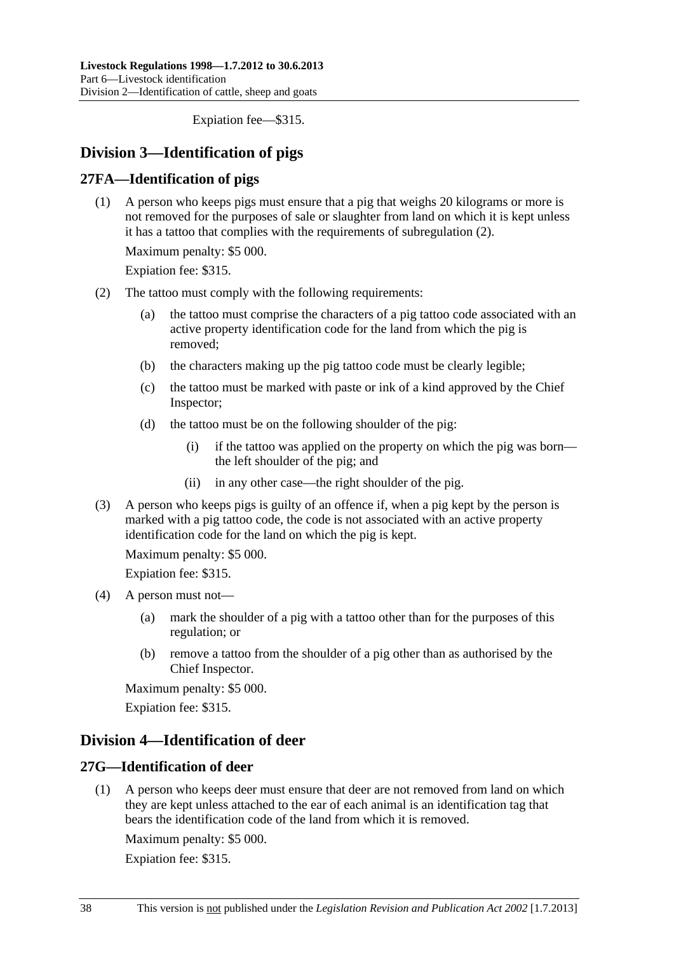Expiation fee—\$315.

## <span id="page-37-0"></span>**Division 3—Identification of pigs**

## **27FA—Identification of pigs**

 (1) A person who keeps pigs must ensure that a pig that weighs 20 kilograms or more is not removed for the purposes of sale or slaughter from land on which it is kept unless it has a tattoo that complies with the requirements of [subregulation \(2\)](#page-37-0).

Maximum penalty: \$5 000.

Expiation fee: \$315.

- (2) The tattoo must comply with the following requirements:
	- (a) the tattoo must comprise the characters of a pig tattoo code associated with an active property identification code for the land from which the pig is removed;
	- (b) the characters making up the pig tattoo code must be clearly legible;
	- (c) the tattoo must be marked with paste or ink of a kind approved by the Chief Inspector;
	- (d) the tattoo must be on the following shoulder of the pig:
		- (i) if the tattoo was applied on the property on which the pig was born the left shoulder of the pig; and
		- (ii) in any other case—the right shoulder of the pig.
- (3) A person who keeps pigs is guilty of an offence if, when a pig kept by the person is marked with a pig tattoo code, the code is not associated with an active property identification code for the land on which the pig is kept.

Maximum penalty: \$5 000.

Expiation fee: \$315.

- (4) A person must not—
	- (a) mark the shoulder of a pig with a tattoo other than for the purposes of this regulation; or
	- (b) remove a tattoo from the shoulder of a pig other than as authorised by the Chief Inspector.

Maximum penalty: \$5 000.

Expiation fee: \$315.

## **Division 4—Identification of deer**

## **27G—Identification of deer**

 (1) A person who keeps deer must ensure that deer are not removed from land on which they are kept unless attached to the ear of each animal is an identification tag that bears the identification code of the land from which it is removed.

Maximum penalty: \$5 000.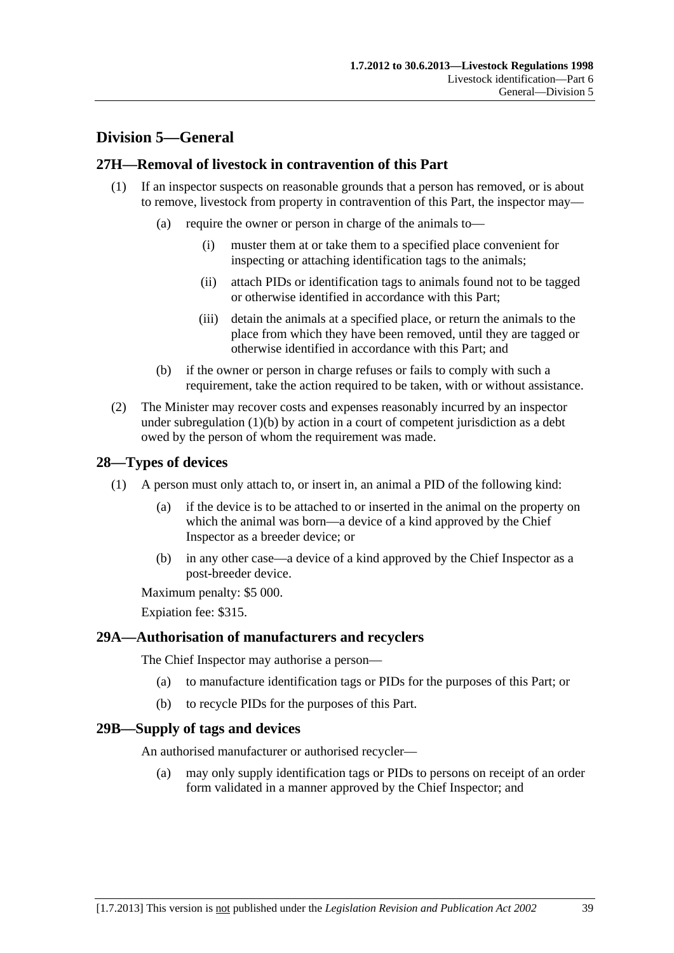## <span id="page-38-0"></span>**Division 5—General**

## **27H—Removal of livestock in contravention of this Part**

- (1) If an inspector suspects on reasonable grounds that a person has removed, or is about to remove, livestock from property in contravention of this Part, the inspector may—
	- (a) require the owner or person in charge of the animals to—
		- (i) muster them at or take them to a specified place convenient for inspecting or attaching identification tags to the animals;
		- (ii) attach PIDs or identification tags to animals found not to be tagged or otherwise identified in accordance with this Part;
		- (iii) detain the animals at a specified place, or return the animals to the place from which they have been removed, until they are tagged or otherwise identified in accordance with this Part; and
	- (b) if the owner or person in charge refuses or fails to comply with such a requirement, take the action required to be taken, with or without assistance.
- (2) The Minister may recover costs and expenses reasonably incurred by an inspector under subregulation  $(1)(b)$  by action in a court of competent jurisdiction as a debt owed by the person of whom the requirement was made.

## **28—Types of devices**

- (1) A person must only attach to, or insert in, an animal a PID of the following kind:
	- (a) if the device is to be attached to or inserted in the animal on the property on which the animal was born—a device of a kind approved by the Chief Inspector as a breeder device; or
	- (b) in any other case—a device of a kind approved by the Chief Inspector as a post-breeder device.

Maximum penalty: \$5 000.

Expiation fee: \$315.

## **29A—Authorisation of manufacturers and recyclers**

The Chief Inspector may authorise a person—

- (a) to manufacture identification tags or PIDs for the purposes of this Part; or
- (b) to recycle PIDs for the purposes of this Part.

## **29B—Supply of tags and devices**

An authorised manufacturer or authorised recycler—

 (a) may only supply identification tags or PIDs to persons on receipt of an order form validated in a manner approved by the Chief Inspector; and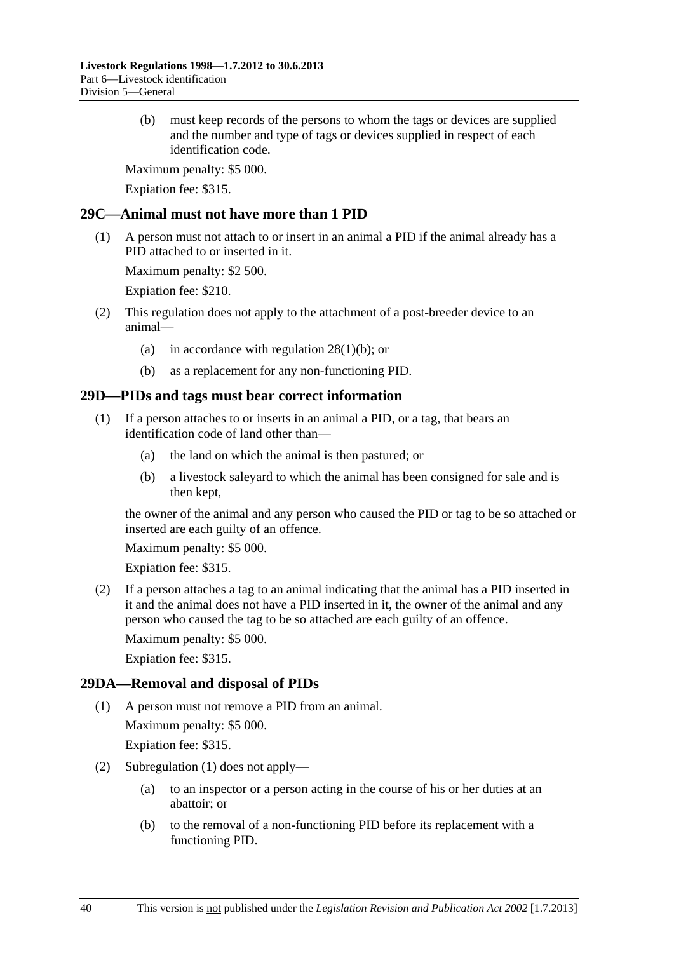<span id="page-39-0"></span> (b) must keep records of the persons to whom the tags or devices are supplied and the number and type of tags or devices supplied in respect of each identification code.

Maximum penalty: \$5 000.

Expiation fee: \$315.

## **29C—Animal must not have more than 1 PID**

 (1) A person must not attach to or insert in an animal a PID if the animal already has a PID attached to or inserted in it.

Maximum penalty: \$2 500.

Expiation fee: \$210.

- (2) This regulation does not apply to the attachment of a post-breeder device to an animal—
	- (a) in accordance with [regulation 28\(1\)\(b\);](#page-38-0) or
	- (b) as a replacement for any non-functioning PID.

## **29D—PIDs and tags must bear correct information**

- (1) If a person attaches to or inserts in an animal a PID, or a tag, that bears an identification code of land other than—
	- (a) the land on which the animal is then pastured; or
	- (b) a livestock saleyard to which the animal has been consigned for sale and is then kept,

the owner of the animal and any person who caused the PID or tag to be so attached or inserted are each guilty of an offence.

Maximum penalty: \$5 000.

Expiation fee: \$315.

 (2) If a person attaches a tag to an animal indicating that the animal has a PID inserted in it and the animal does not have a PID inserted in it, the owner of the animal and any person who caused the tag to be so attached are each guilty of an offence.

Maximum penalty: \$5 000.

Expiation fee: \$315.

## **29DA—Removal and disposal of PIDs**

(1) A person must not remove a PID from an animal.

Maximum penalty: \$5 000.

- (2) [Subregulation \(1\)](#page-39-0) does not apply—
	- (a) to an inspector or a person acting in the course of his or her duties at an abattoir; or
	- (b) to the removal of a non-functioning PID before its replacement with a functioning PID.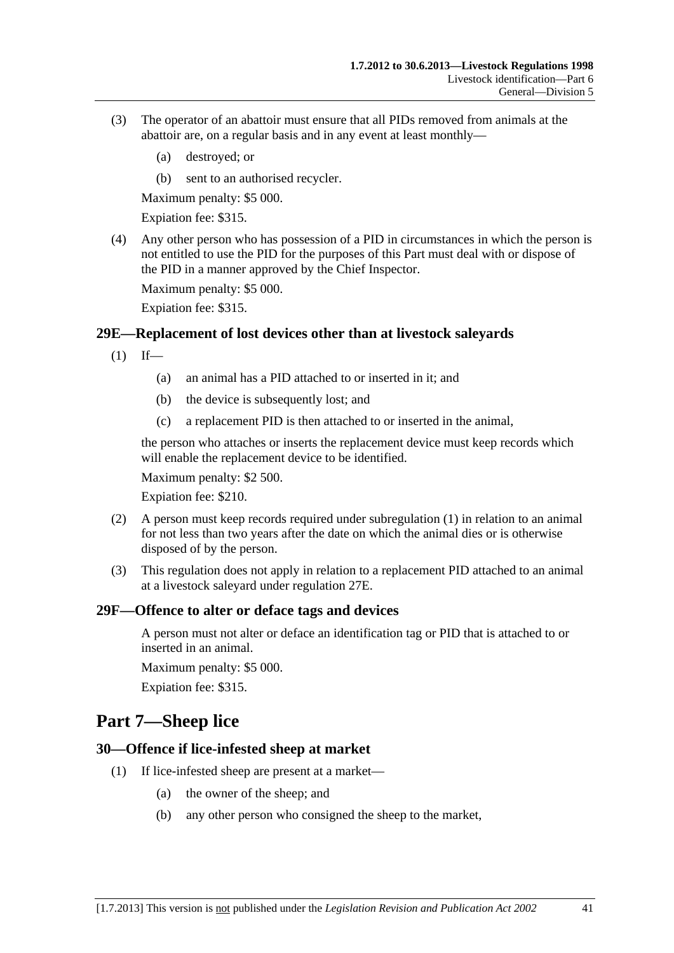- <span id="page-40-0"></span> (3) The operator of an abattoir must ensure that all PIDs removed from animals at the abattoir are, on a regular basis and in any event at least monthly—
	- (a) destroyed; or
	- (b) sent to an authorised recycler.

Maximum penalty: \$5 000.

Expiation fee: \$315.

 (4) Any other person who has possession of a PID in circumstances in which the person is not entitled to use the PID for the purposes of this Part must deal with or dispose of the PID in a manner approved by the Chief Inspector.

Maximum penalty: \$5 000.

Expiation fee: \$315.

#### **29E—Replacement of lost devices other than at livestock saleyards**

- $(1)$  If—
	- (a) an animal has a PID attached to or inserted in it; and
	- (b) the device is subsequently lost; and
	- (c) a replacement PID is then attached to or inserted in the animal,

the person who attaches or inserts the replacement device must keep records which will enable the replacement device to be identified.

Maximum penalty: \$2 500.

Expiation fee: \$210.

- (2) A person must keep records required under [subregulation \(1\)](#page-40-0) in relation to an animal for not less than two years after the date on which the animal dies or is otherwise disposed of by the person.
- (3) This regulation does not apply in relation to a replacement PID attached to an animal at a livestock saleyard under [regulation 27E.](#page-30-0)

#### **29F—Offence to alter or deface tags and devices**

A person must not alter or deface an identification tag or PID that is attached to or inserted in an animal.

Maximum penalty: \$5 000.

Expiation fee: \$315.

## **Part 7—Sheep lice**

#### **30—Offence if lice-infested sheep at market**

- (1) If lice-infested sheep are present at a market—
	- (a) the owner of the sheep; and
	- (b) any other person who consigned the sheep to the market,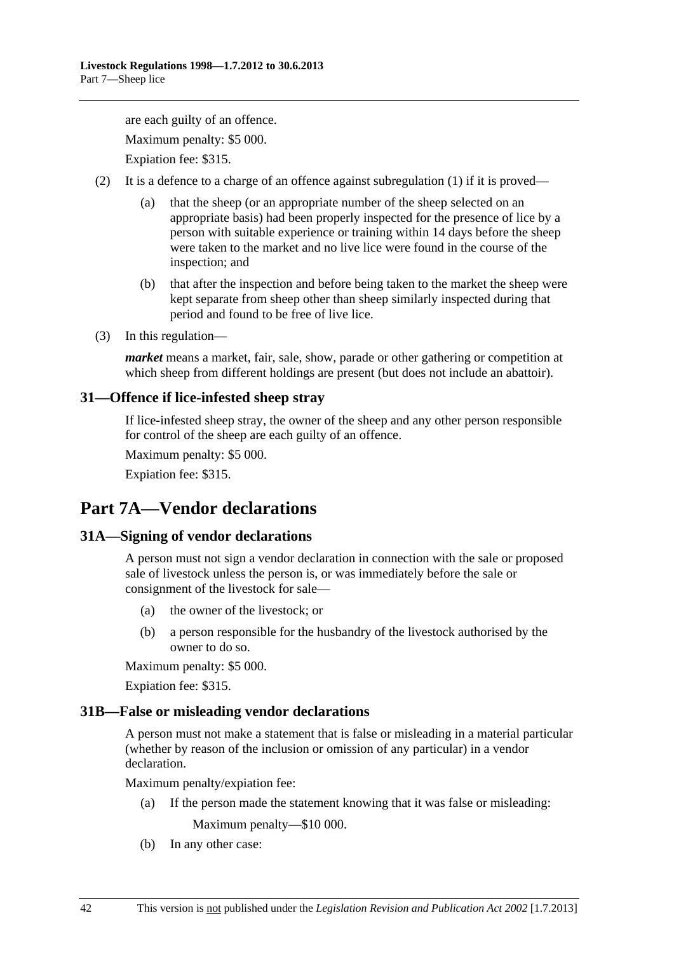<span id="page-41-0"></span>are each guilty of an offence. Maximum penalty: \$5 000. Expiation fee: \$315.

(2) It is a defence to a charge of an offence against [subregulation \(1\)](#page-40-0) if it is proved—

- (a) that the sheep (or an appropriate number of the sheep selected on an appropriate basis) had been properly inspected for the presence of lice by a person with suitable experience or training within 14 days before the sheep were taken to the market and no live lice were found in the course of the inspection; and
- (b) that after the inspection and before being taken to the market the sheep were kept separate from sheep other than sheep similarly inspected during that period and found to be free of live lice.
- (3) In this regulation—

*market* means a market, fair, sale, show, parade or other gathering or competition at which sheep from different holdings are present (but does not include an abattoir).

## **31—Offence if lice-infested sheep stray**

If lice-infested sheep stray, the owner of the sheep and any other person responsible for control of the sheep are each guilty of an offence.

Maximum penalty: \$5 000.

Expiation fee: \$315.

# **Part 7A—Vendor declarations**

## **31A—Signing of vendor declarations**

A person must not sign a vendor declaration in connection with the sale or proposed sale of livestock unless the person is, or was immediately before the sale or consignment of the livestock for sale—

- (a) the owner of the livestock; or
- (b) a person responsible for the husbandry of the livestock authorised by the owner to do so.

Maximum penalty: \$5 000.

Expiation fee: \$315.

## **31B—False or misleading vendor declarations**

A person must not make a statement that is false or misleading in a material particular (whether by reason of the inclusion or omission of any particular) in a vendor declaration.

Maximum penalty/expiation fee:

(a) If the person made the statement knowing that it was false or misleading:

Maximum penalty—\$10 000.

(b) In any other case: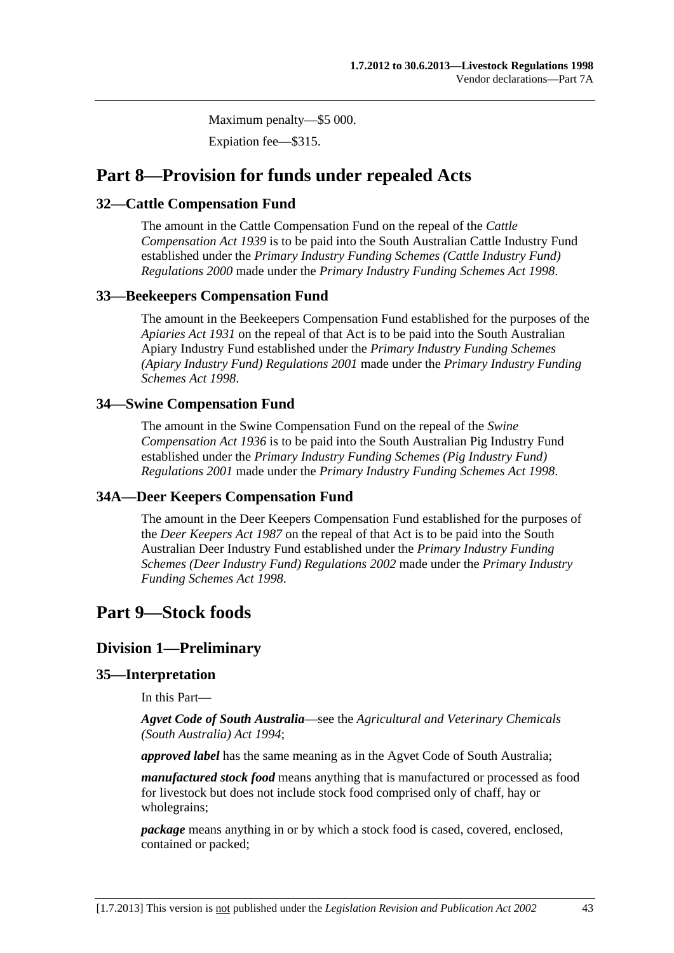Maximum penalty—\$5 000.

Expiation fee—\$315.

## <span id="page-42-0"></span>**Part 8—Provision for funds under repealed Acts**

## **32—Cattle Compensation Fund**

The amount in the Cattle Compensation Fund on the repeal of the *[Cattle](http://www.legislation.sa.gov.au/index.aspx?action=legref&type=act&legtitle=Cattle%20Compensation%20Act%201939)  [Compensation Act 1939](http://www.legislation.sa.gov.au/index.aspx?action=legref&type=act&legtitle=Cattle%20Compensation%20Act%201939)* is to be paid into the South Australian Cattle Industry Fund established under the *[Primary Industry Funding Schemes \(Cattle Industry Fund\)](http://www.legislation.sa.gov.au/index.aspx?action=legref&type=subordleg&legtitle=Primary%20Industry%20Funding%20Schemes%20(Cattle%20Industry%20Fund)%20Regulations%202000)  [Regulations 2000](http://www.legislation.sa.gov.au/index.aspx?action=legref&type=subordleg&legtitle=Primary%20Industry%20Funding%20Schemes%20(Cattle%20Industry%20Fund)%20Regulations%202000)* made under the *[Primary Industry Funding Schemes Act 1998](http://www.legislation.sa.gov.au/index.aspx?action=legref&type=act&legtitle=Primary%20Industry%20Funding%20Schemes%20Act%201998)*.

## **33—Beekeepers Compensation Fund**

The amount in the Beekeepers Compensation Fund established for the purposes of the *[Apiaries Act 1931](http://www.legislation.sa.gov.au/index.aspx?action=legref&type=act&legtitle=Apiaries%20Act%201931)* on the repeal of that Act is to be paid into the South Australian Apiary Industry Fund established under the *[Primary Industry Funding Schemes](http://www.legislation.sa.gov.au/index.aspx?action=legref&type=subordleg&legtitle=Primary%20Industry%20Funding%20Schemes%20(Apiary%20Industry%20Fund)%20Regulations%202001)  [\(Apiary Industry Fund\) Regulations 2001](http://www.legislation.sa.gov.au/index.aspx?action=legref&type=subordleg&legtitle=Primary%20Industry%20Funding%20Schemes%20(Apiary%20Industry%20Fund)%20Regulations%202001)* made under the *[Primary Industry Funding](http://www.legislation.sa.gov.au/index.aspx?action=legref&type=act&legtitle=Primary%20Industry%20Funding%20Schemes%20Act%201998)  [Schemes Act 1998](http://www.legislation.sa.gov.au/index.aspx?action=legref&type=act&legtitle=Primary%20Industry%20Funding%20Schemes%20Act%201998)*.

## **34—Swine Compensation Fund**

The amount in the Swine Compensation Fund on the repeal of the *[Swine](http://www.legislation.sa.gov.au/index.aspx?action=legref&type=act&legtitle=Swine%20Compensation%20Act%201936)  [Compensation Act 1936](http://www.legislation.sa.gov.au/index.aspx?action=legref&type=act&legtitle=Swine%20Compensation%20Act%201936)* is to be paid into the South Australian Pig Industry Fund established under the *[Primary Industry Funding Schemes \(Pig Industry Fund\)](http://www.legislation.sa.gov.au/index.aspx?action=legref&type=subordleg&legtitle=Primary%20Industry%20Funding%20Schemes%20(Pig%20Industry%20Fund)%20Regulations%202001)  [Regulations 2001](http://www.legislation.sa.gov.au/index.aspx?action=legref&type=subordleg&legtitle=Primary%20Industry%20Funding%20Schemes%20(Pig%20Industry%20Fund)%20Regulations%202001)* made under the *[Primary Industry Funding Schemes Act 1998](http://www.legislation.sa.gov.au/index.aspx?action=legref&type=act&legtitle=Primary%20Industry%20Funding%20Schemes%20Act%201998)*.

## **34A—Deer Keepers Compensation Fund**

The amount in the Deer Keepers Compensation Fund established for the purposes of the *[Deer Keepers Act 1987](http://www.legislation.sa.gov.au/index.aspx?action=legref&type=act&legtitle=Deer%20Keepers%20Act%201987)* on the repeal of that Act is to be paid into the South Australian Deer Industry Fund established under the *[Primary Industry Funding](http://www.legislation.sa.gov.au/index.aspx?action=legref&type=subordleg&legtitle=Primary%20Industry%20Funding%20Schemes%20(Deer%20Industry%20Fund)%20Regulations%202002)  [Schemes \(Deer Industry Fund\) Regulations 2002](http://www.legislation.sa.gov.au/index.aspx?action=legref&type=subordleg&legtitle=Primary%20Industry%20Funding%20Schemes%20(Deer%20Industry%20Fund)%20Regulations%202002)* made under the *[Primary Industry](http://www.legislation.sa.gov.au/index.aspx?action=legref&type=act&legtitle=Primary%20Industry%20Funding%20Schemes%20Act%201998)  [Funding Schemes Act 1998](http://www.legislation.sa.gov.au/index.aspx?action=legref&type=act&legtitle=Primary%20Industry%20Funding%20Schemes%20Act%201998)*.

## **Part 9—Stock foods**

## **Division 1—Preliminary**

## **35—Interpretation**

In this Part—

*Agvet Code of South Australia*—see the *[Agricultural and Veterinary Chemicals](http://www.legislation.sa.gov.au/index.aspx?action=legref&type=act&legtitle=Agricultural%20and%20Veterinary%20Chemicals%20(South%20Australia)%20Act%201994)  [\(South Australia\) Act 1994](http://www.legislation.sa.gov.au/index.aspx?action=legref&type=act&legtitle=Agricultural%20and%20Veterinary%20Chemicals%20(South%20Australia)%20Act%201994)*;

*approved label* has the same meaning as in the Agvet Code of South Australia;

*manufactured stock food* means anything that is manufactured or processed as food for livestock but does not include stock food comprised only of chaff, hay or wholegrains;

*package* means anything in or by which a stock food is cased, covered, enclosed, contained or packed;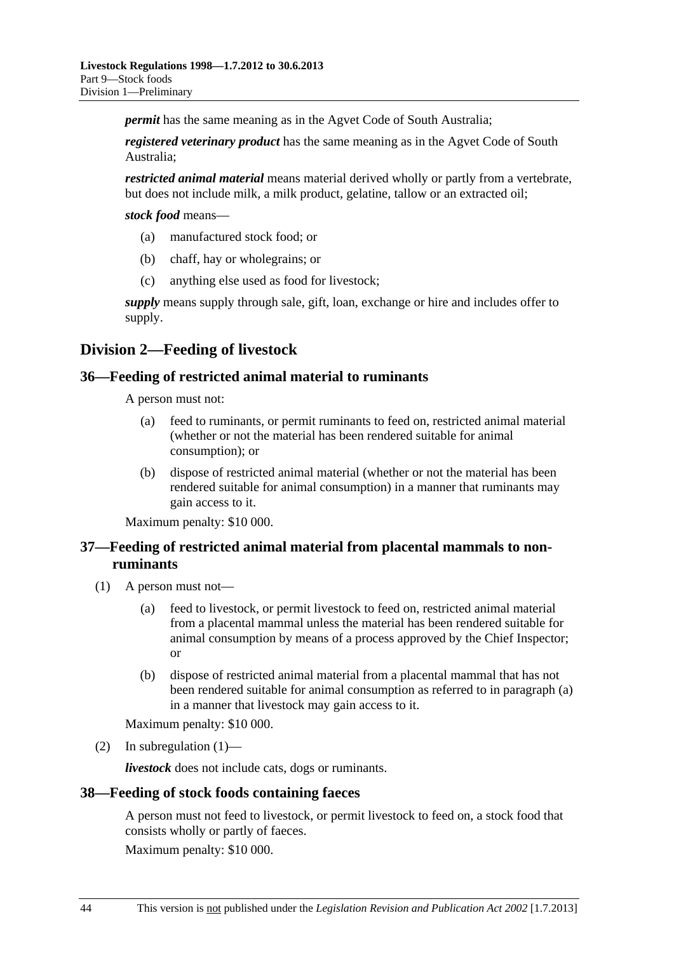<span id="page-43-0"></span>*permit* has the same meaning as in the Agvet Code of South Australia;

*registered veterinary product* has the same meaning as in the Agvet Code of South Australia;

*restricted animal material* means material derived wholly or partly from a vertebrate, but does not include milk, a milk product, gelatine, tallow or an extracted oil;

*stock food* means—

- (a) manufactured stock food; or
- (b) chaff, hay or wholegrains; or
- (c) anything else used as food for livestock;

*supply* means supply through sale, gift, loan, exchange or hire and includes offer to supply.

## **Division 2—Feeding of livestock**

#### **36—Feeding of restricted animal material to ruminants**

A person must not:

- (a) feed to ruminants, or permit ruminants to feed on, restricted animal material (whether or not the material has been rendered suitable for animal consumption); or
- (b) dispose of restricted animal material (whether or not the material has been rendered suitable for animal consumption) in a manner that ruminants may gain access to it.

Maximum penalty: \$10 000.

## **37—Feeding of restricted animal material from placental mammals to nonruminants**

- (1) A person must not—
	- (a) feed to livestock, or permit livestock to feed on, restricted animal material from a placental mammal unless the material has been rendered suitable for animal consumption by means of a process approved by the Chief Inspector; or
	- (b) dispose of restricted animal material from a placental mammal that has not been rendered suitable for animal consumption as referred to in [paragraph \(a\)](#page-43-0) in a manner that livestock may gain access to it.

Maximum penalty: \$10 000.

(2) In subregulation  $(1)$ —

*livestock* does not include cats, dogs or ruminants.

#### **38—Feeding of stock foods containing faeces**

A person must not feed to livestock, or permit livestock to feed on, a stock food that consists wholly or partly of faeces.

Maximum penalty: \$10 000.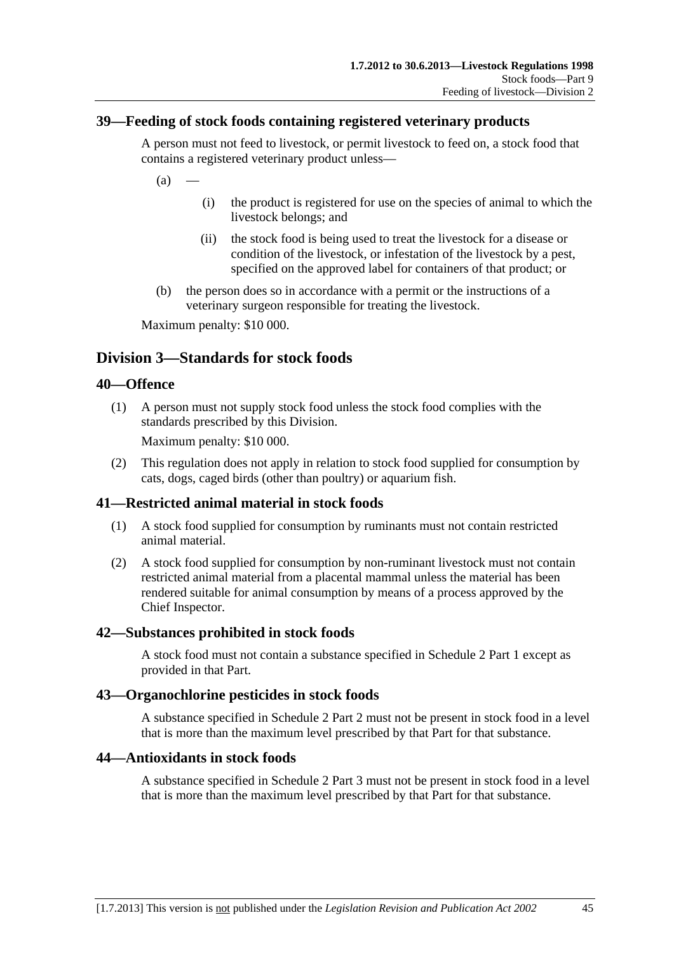## <span id="page-44-0"></span>**39—Feeding of stock foods containing registered veterinary products**

A person must not feed to livestock, or permit livestock to feed on, a stock food that contains a registered veterinary product unless—

 $(a)$ 

- (i) the product is registered for use on the species of animal to which the livestock belongs; and
- (ii) the stock food is being used to treat the livestock for a disease or condition of the livestock, or infestation of the livestock by a pest, specified on the approved label for containers of that product; or
- (b) the person does so in accordance with a permit or the instructions of a veterinary surgeon responsible for treating the livestock.

Maximum penalty: \$10 000.

## **Division 3—Standards for stock foods**

#### **40—Offence**

 (1) A person must not supply stock food unless the stock food complies with the standards prescribed by this Division.

Maximum penalty: \$10 000.

 (2) This regulation does not apply in relation to stock food supplied for consumption by cats, dogs, caged birds (other than poultry) or aquarium fish.

## **41—Restricted animal material in stock foods**

- (1) A stock food supplied for consumption by ruminants must not contain restricted animal material.
- (2) A stock food supplied for consumption by non-ruminant livestock must not contain restricted animal material from a placental mammal unless the material has been rendered suitable for animal consumption by means of a process approved by the Chief Inspector.

#### **42—Substances prohibited in stock foods**

A stock food must not contain a substance specified in [Schedule 2 Part 1](#page-0-0) except as provided in that Part.

#### **43—Organochlorine pesticides in stock foods**

A substance specified in [Schedule 2 Part 2](#page-0-0) must not be present in stock food in a level that is more than the maximum level prescribed by that Part for that substance.

#### **44—Antioxidants in stock foods**

A substance specified in [Schedule 2 Part 3](#page-0-0) must not be present in stock food in a level that is more than the maximum level prescribed by that Part for that substance.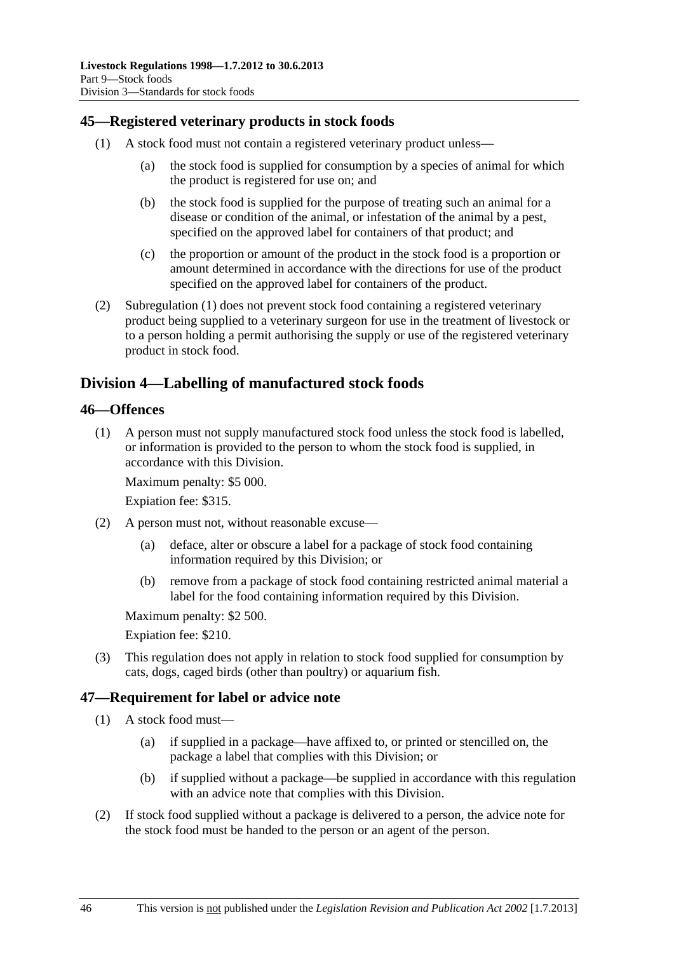## <span id="page-45-0"></span>**45—Registered veterinary products in stock foods**

- (1) A stock food must not contain a registered veterinary product unless—
	- (a) the stock food is supplied for consumption by a species of animal for which the product is registered for use on; and
	- (b) the stock food is supplied for the purpose of treating such an animal for a disease or condition of the animal, or infestation of the animal by a pest, specified on the approved label for containers of that product; and
	- (c) the proportion or amount of the product in the stock food is a proportion or amount determined in accordance with the directions for use of the product specified on the approved label for containers of the product.
- (2) [Subregulation \(1\)](#page-45-0) does not prevent stock food containing a registered veterinary product being supplied to a veterinary surgeon for use in the treatment of livestock or to a person holding a permit authorising the supply or use of the registered veterinary product in stock food.

## **Division 4—Labelling of manufactured stock foods**

#### **46—Offences**

 (1) A person must not supply manufactured stock food unless the stock food is labelled, or information is provided to the person to whom the stock food is supplied, in accordance with this Division.

Maximum penalty: \$5 000.

Expiation fee: \$315.

- (2) A person must not, without reasonable excuse—
	- (a) deface, alter or obscure a label for a package of stock food containing information required by this Division; or
	- (b) remove from a package of stock food containing restricted animal material a label for the food containing information required by this Division.

Maximum penalty: \$2 500.

Expiation fee: \$210.

 (3) This regulation does not apply in relation to stock food supplied for consumption by cats, dogs, caged birds (other than poultry) or aquarium fish.

## **47—Requirement for label or advice note**

- (1) A stock food must—
	- (a) if supplied in a package—have affixed to, or printed or stencilled on, the package a label that complies with this Division; or
	- (b) if supplied without a package—be supplied in accordance with this regulation with an advice note that complies with this Division.
- (2) If stock food supplied without a package is delivered to a person, the advice note for the stock food must be handed to the person or an agent of the person.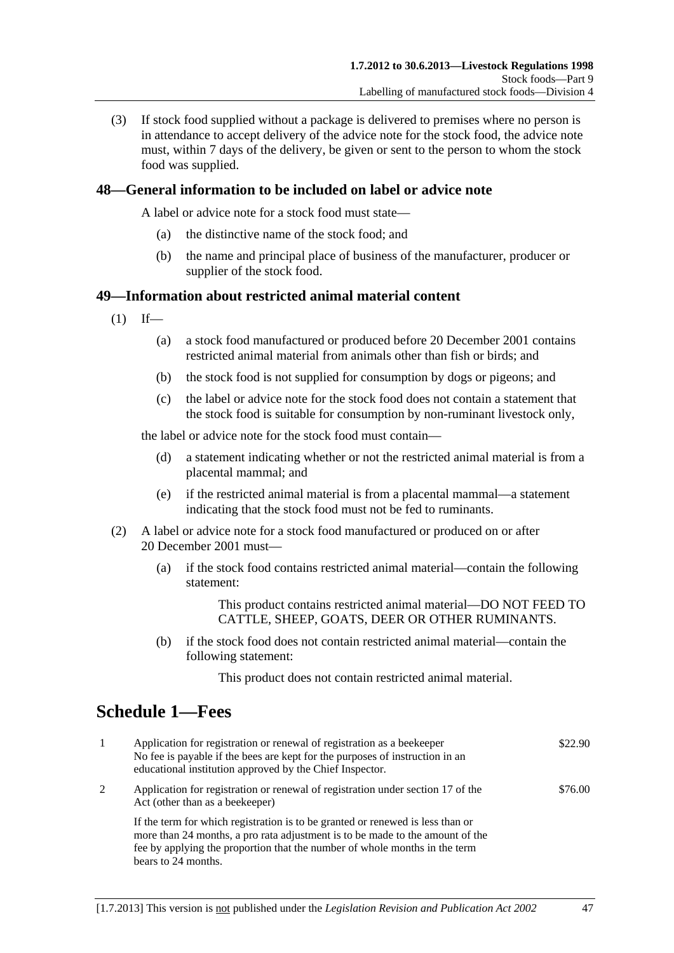<span id="page-46-0"></span> (3) If stock food supplied without a package is delivered to premises where no person is in attendance to accept delivery of the advice note for the stock food, the advice note must, within 7 days of the delivery, be given or sent to the person to whom the stock food was supplied.

## **48—General information to be included on label or advice note**

A label or advice note for a stock food must state—

- (a) the distinctive name of the stock food; and
- (b) the name and principal place of business of the manufacturer, producer or supplier of the stock food.

#### **49—Information about restricted animal material content**

- $(1)$  If—
	- (a) a stock food manufactured or produced before 20 December 2001 contains restricted animal material from animals other than fish or birds; and
	- (b) the stock food is not supplied for consumption by dogs or pigeons; and
	- (c) the label or advice note for the stock food does not contain a statement that the stock food is suitable for consumption by non-ruminant livestock only,

the label or advice note for the stock food must contain—

- (d) a statement indicating whether or not the restricted animal material is from a placental mammal; and
- (e) if the restricted animal material is from a placental mammal—a statement indicating that the stock food must not be fed to ruminants.
- (2) A label or advice note for a stock food manufactured or produced on or after 20 December 2001 must—
	- (a) if the stock food contains restricted animal material—contain the following statement:

This product contains restricted animal material—DO NOT FEED TO CATTLE, SHEEP, GOATS, DEER OR OTHER RUMINANTS.

 (b) if the stock food does not contain restricted animal material—contain the following statement:

This product does not contain restricted animal material.

# **Schedule 1—Fees**

| $\mathbf{1}$ | Application for registration or renewal of registration as a beekeeper<br>No fee is payable if the bees are kept for the purposes of instruction in an<br>educational institution approved by the Chief Inspector.                                                   | \$22.90 |
|--------------|----------------------------------------------------------------------------------------------------------------------------------------------------------------------------------------------------------------------------------------------------------------------|---------|
| 2            | Application for registration or renewal of registration under section 17 of the<br>Act (other than as a beekeeper)                                                                                                                                                   | \$76.00 |
|              | If the term for which registration is to be granted or renewed is less than or<br>more than 24 months, a pro rata adjustment is to be made to the amount of the<br>fee by applying the proportion that the number of whole months in the term<br>bears to 24 months. |         |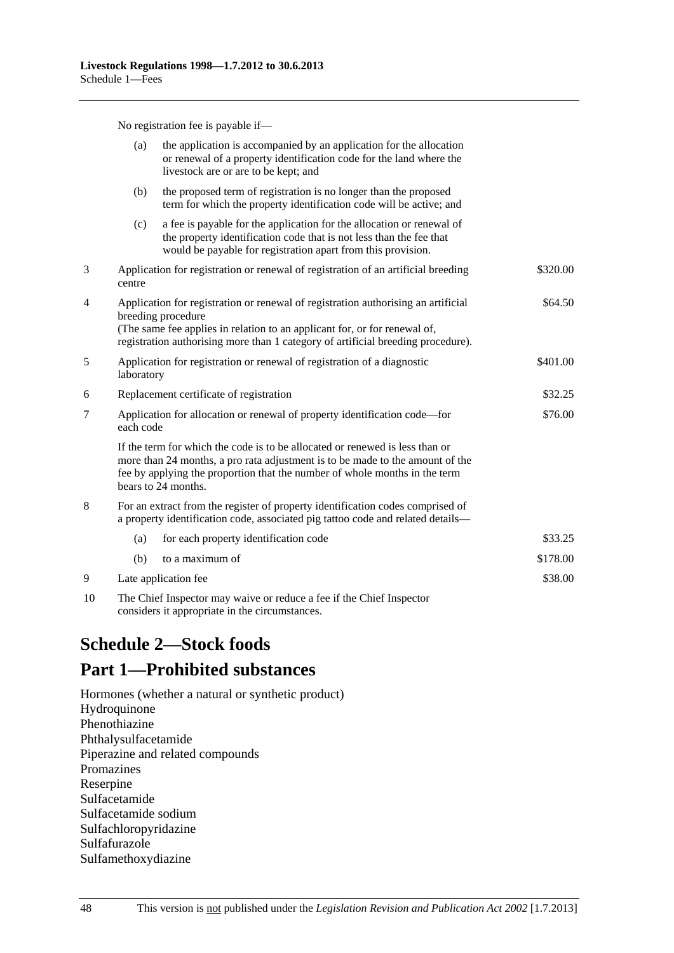No registration fee is payable if—

<span id="page-47-0"></span>

|    | (a)                                                                                                     | the application is accompanied by an application for the allocation<br>or renewal of a property identification code for the land where the<br>livestock are or are to be kept; and                                                                                 |          |  |  |  |
|----|---------------------------------------------------------------------------------------------------------|--------------------------------------------------------------------------------------------------------------------------------------------------------------------------------------------------------------------------------------------------------------------|----------|--|--|--|
|    | (b)                                                                                                     | the proposed term of registration is no longer than the proposed<br>term for which the property identification code will be active; and                                                                                                                            |          |  |  |  |
|    | (c)                                                                                                     | a fee is payable for the application for the allocation or renewal of<br>the property identification code that is not less than the fee that<br>would be payable for registration apart from this provision.                                                       |          |  |  |  |
| 3  | centre                                                                                                  | Application for registration or renewal of registration of an artificial breeding                                                                                                                                                                                  | \$320.00 |  |  |  |
| 4  | Application for registration or renewal of registration authorising an artificial<br>breeding procedure |                                                                                                                                                                                                                                                                    | \$64.50  |  |  |  |
|    |                                                                                                         | (The same fee applies in relation to an applicant for, or for renewal of,<br>registration authorising more than 1 category of artificial breeding procedure).                                                                                                      |          |  |  |  |
| 5  | Application for registration or renewal of registration of a diagnostic<br>laboratory                   |                                                                                                                                                                                                                                                                    | \$401.00 |  |  |  |
| 6  | Replacement certificate of registration                                                                 |                                                                                                                                                                                                                                                                    | \$32.25  |  |  |  |
| 7  | Application for allocation or renewal of property identification code—for<br>each code                  |                                                                                                                                                                                                                                                                    | \$76.00  |  |  |  |
|    |                                                                                                         | If the term for which the code is to be allocated or renewed is less than or<br>more than 24 months, a pro rata adjustment is to be made to the amount of the<br>fee by applying the proportion that the number of whole months in the term<br>bears to 24 months. |          |  |  |  |
| 8  |                                                                                                         | For an extract from the register of property identification codes comprised of<br>a property identification code, associated pig tattoo code and related details-                                                                                                  |          |  |  |  |
|    | (a)                                                                                                     | for each property identification code                                                                                                                                                                                                                              | \$33.25  |  |  |  |
|    | (b)                                                                                                     | to a maximum of                                                                                                                                                                                                                                                    | \$178.00 |  |  |  |
| 9  | Late application fee                                                                                    |                                                                                                                                                                                                                                                                    | \$38.00  |  |  |  |
| 10 |                                                                                                         | The Chief Inspector may waive or reduce a fee if the Chief Inspector                                                                                                                                                                                               |          |  |  |  |

considers it appropriate in the circumstances.

# **Schedule 2—Stock foods**

# **Part 1—Prohibited substances**

Hormones (whether a natural or synthetic product) Hydroquinone Phenothiazine Phthalysulfacetamide Piperazine and related compounds Promazines Reserpine Sulfacetamide Sulfacetamide sodium Sulfachloropyridazine Sulfafurazole Sulfamethoxydiazine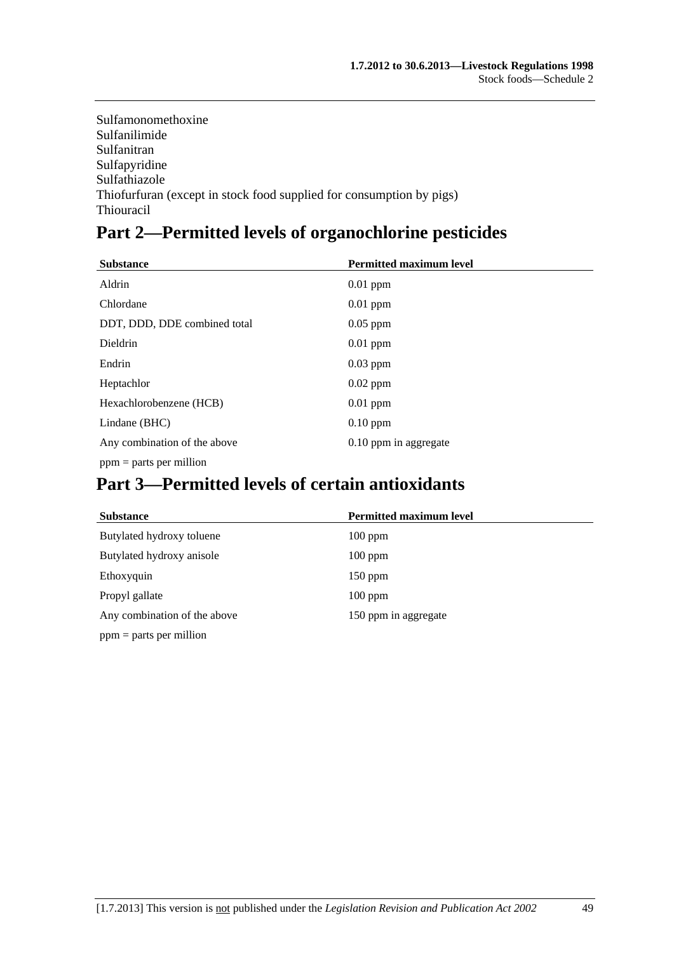Sulfamonomethoxine Sulfanilimide Sulfanitran Sulfapyridine Sulfathiazole Thiofurfuran (except in stock food supplied for consumption by pigs) Thiouracil

# **Part 2—Permitted levels of organochlorine pesticides**

| <b>Substance</b>             | <b>Permitted maximum level</b> |
|------------------------------|--------------------------------|
| Aldrin                       | $0.01$ ppm                     |
| Chlordane                    | $0.01$ ppm                     |
| DDT, DDD, DDE combined total | $0.05$ ppm                     |
| Dieldrin                     | $0.01$ ppm                     |
| Endrin                       | $0.03$ ppm                     |
| Heptachlor                   | $0.02$ ppm                     |
| Hexachlorobenzene (HCB)      | $0.01$ ppm                     |
| Lindane (BHC)                | $0.10$ ppm                     |
| Any combination of the above | 0.10 ppm in aggregate          |
| $ppm =$ parts per million    |                                |

# **Part 3—Permitted levels of certain antioxidants**

| <b>Substance</b>             | <b>Permitted maximum level</b> |
|------------------------------|--------------------------------|
| Butylated hydroxy toluene    | $100$ ppm                      |
| Butylated hydroxy anisole    | $100$ ppm                      |
| Ethoxyquin                   | $150$ ppm                      |
| Propyl gallate               | $100$ ppm                      |
| Any combination of the above | 150 ppm in aggregate           |
| $ppm =$ parts per million    |                                |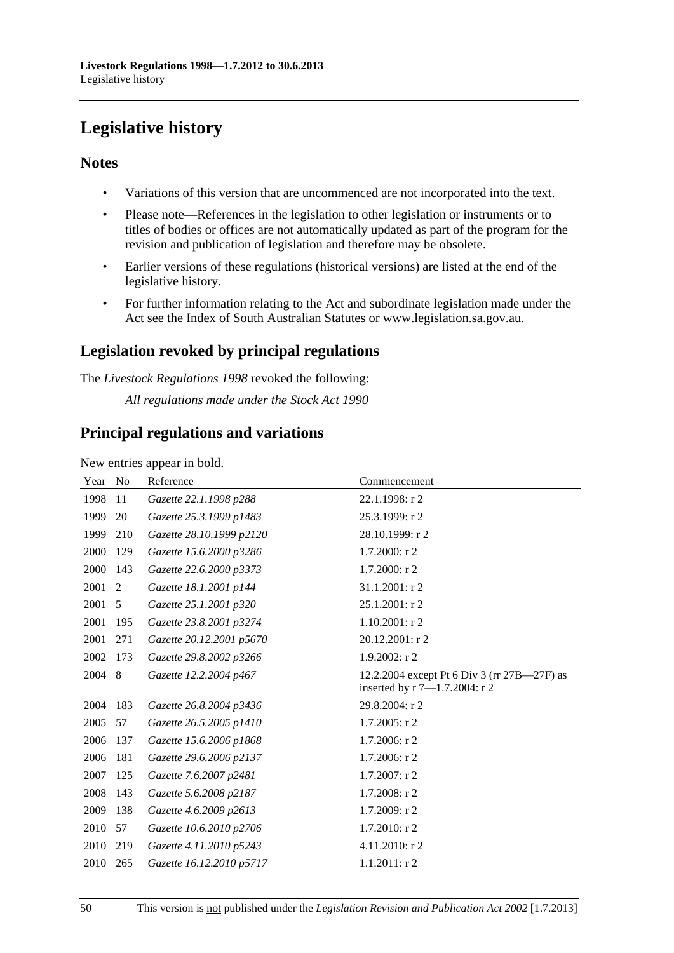# <span id="page-49-0"></span>**Legislative history**

## **Notes**

- Variations of this version that are uncommenced are not incorporated into the text.
- Please note—References in the legislation to other legislation or instruments or to titles of bodies or offices are not automatically updated as part of the program for the revision and publication of legislation and therefore may be obsolete.
- Earlier versions of these regulations (historical versions) are listed at the end of the legislative history.
- For further information relating to the Act and subordinate legislation made under the Act see the Index of South Australian Statutes or www.legislation.sa.gov.au.

## **Legislation revoked by principal regulations**

The *Livestock Regulations 1998* revoked the following:

*All regulations made under the Stock Act 1990*

## **Principal regulations and variations**

New entries appear in bold.

| Year | N <sub>0</sub> | Reference                | Commencement                                                                 |
|------|----------------|--------------------------|------------------------------------------------------------------------------|
| 1998 | 11             | Gazette 22.1.1998 p288   | 22.1.1998: r 2                                                               |
| 1999 | 20             | Gazette 25.3.1999 p1483  | 25.3.1999: r 2                                                               |
| 1999 | 210            | Gazette 28.10.1999 p2120 | 28.10.1999: r 2                                                              |
| 2000 | 129            | Gazette 15.6.2000 p3286  | $1.7.2000:$ r 2                                                              |
| 2000 | 143            | Gazette 22.6.2000 p3373  | 1.7.2000: r 2                                                                |
| 2001 | 2              | Gazette 18.1.2001 p144   | 31.1.2001: r 2                                                               |
| 2001 | 5              | Gazette 25.1.2001 p320   | 25.1.2001: r 2                                                               |
| 2001 | 195            | Gazette 23.8.2001 p3274  | $1.10.2001$ : r 2                                                            |
| 2001 | 271            | Gazette 20.12.2001 p5670 | 20.12.2001: r 2                                                              |
| 2002 | 173            | Gazette 29.8.2002 p3266  | $1.9.2002$ : r 2                                                             |
| 2004 | 8              | Gazette 12.2.2004 p467   | 12.2.2004 except Pt 6 Div 3 (rr 27B—27F) as<br>inserted by r 7-1.7.2004: r 2 |
| 2004 | 183            | Gazette 26.8.2004 p3436  | 29.8.2004: r 2                                                               |
| 2005 | 57             | Gazette 26.5.2005 p1410  | 1.7.2005: r 2                                                                |
| 2006 | 137            | Gazette 15.6.2006 p1868  | 1.7.2006: r 2                                                                |
| 2006 | 181            | Gazette 29.6.2006 p2137  | $1.7.2006$ : r 2                                                             |
| 2007 | 125            | Gazette 7.6.2007 p2481   | 1.7.2007: r 2                                                                |
| 2008 | 143            | Gazette 5.6.2008 p2187   | $1.7.2008$ : r 2                                                             |
| 2009 | 138            | Gazette 4.6.2009 p2613   | 1.7.2009: r 2                                                                |
| 2010 | 57             | Gazette 10.6.2010 p2706  | 1.7.2010: r 2                                                                |
| 2010 | 219            | Gazette 4.11.2010 p5243  | 4.11.2010: r 2                                                               |
| 2010 | 265            | Gazette 16.12.2010 p5717 | $1.1.2011:$ r2                                                               |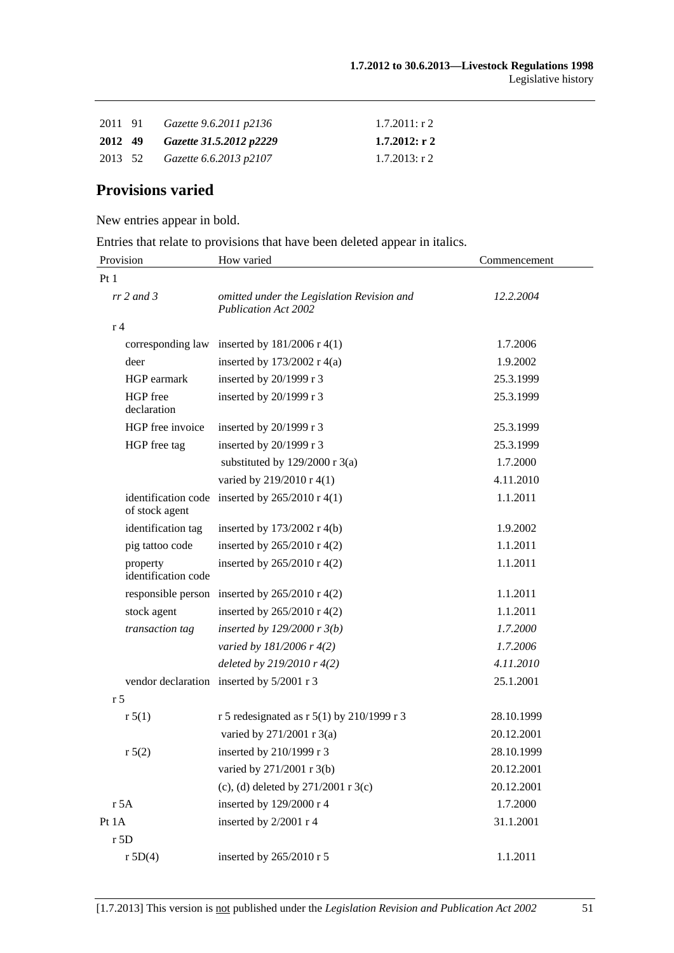|  | 2011 91 Gazette 9.6.2011 p2136  | $1.7.2011:$ r 2  |
|--|---------------------------------|------------------|
|  | 2012 49 Gazette 31.5.2012 p2229 | $1.7.2012:$ r 2  |
|  | 2013 52 Gazette 6.6.2013 p2107  | $1.7.2013$ : r 2 |

## **Provisions varied**

New entries appear in bold.

Entries that relate to provisions that have been deleted appear in italics.

| Provision                       | How varied                                                         | Commencement |
|---------------------------------|--------------------------------------------------------------------|--------------|
| Pt1                             |                                                                    |              |
| $rr 2$ and 3                    | omitted under the Legislation Revision and<br>Publication Act 2002 | 12.2.2004    |
| r <sub>4</sub>                  |                                                                    |              |
|                                 | corresponding law inserted by $181/2006$ r 4(1)                    | 1.7.2006     |
| deer                            | inserted by $173/2002$ r 4(a)                                      | 1.9.2002     |
| HGP earmark                     | inserted by 20/1999 r 3                                            | 25.3.1999    |
| HGP free<br>declaration         | inserted by 20/1999 r 3                                            | 25.3.1999    |
| HGP free invoice                | inserted by $20/1999$ r 3                                          | 25.3.1999    |
| HGP free tag                    | inserted by $20/1999$ r 3                                          | 25.3.1999    |
|                                 | substituted by $129/2000$ r 3(a)                                   | 1.7.2000     |
|                                 | varied by 219/2010 r 4(1)                                          | 4.11.2010    |
| of stock agent                  | identification code inserted by $265/2010$ r 4(1)                  | 1.1.2011     |
| identification tag              | inserted by $173/2002$ r 4(b)                                      | 1.9.2002     |
| pig tattoo code                 | inserted by $265/2010$ r 4(2)                                      | 1.1.2011     |
| property<br>identification code | inserted by 265/2010 r 4(2)                                        | 1.1.2011     |
|                                 | responsible person inserted by $265/2010$ r 4(2)                   | 1.1.2011     |
| stock agent                     | inserted by $265/2010$ r 4(2)                                      | 1.1.2011     |
| transaction tag                 | inserted by $129/2000$ r $3(b)$                                    | 1.7.2000     |
|                                 | varied by 181/2006 r 4(2)                                          | 1.7.2006     |
|                                 | deleted by $219/2010r$ 4(2)                                        | 4.11.2010    |
|                                 | vendor declaration inserted by 5/2001 r 3                          | 25.1.2001    |
| r <sub>5</sub>                  |                                                                    |              |
| r 5(1)                          | r 5 redesignated as r 5(1) by 210/1999 r 3                         | 28.10.1999   |
|                                 | varied by 271/2001 r 3(a)                                          | 20.12.2001   |
| r 5(2)                          | inserted by 210/1999 r 3                                           | 28.10.1999   |
|                                 | varied by 271/2001 r 3(b)                                          | 20.12.2001   |
|                                 | (c), (d) deleted by $271/2001$ r 3(c)                              | 20.12.2001   |
| r 5A                            | inserted by 129/2000 r 4                                           | 1.7.2000     |
| Pt 1A                           | inserted by 2/2001 r 4                                             | 31.1.2001    |
| r 5D                            |                                                                    |              |
| r 5D(4)                         | inserted by 265/2010 r 5                                           | 1.1.2011     |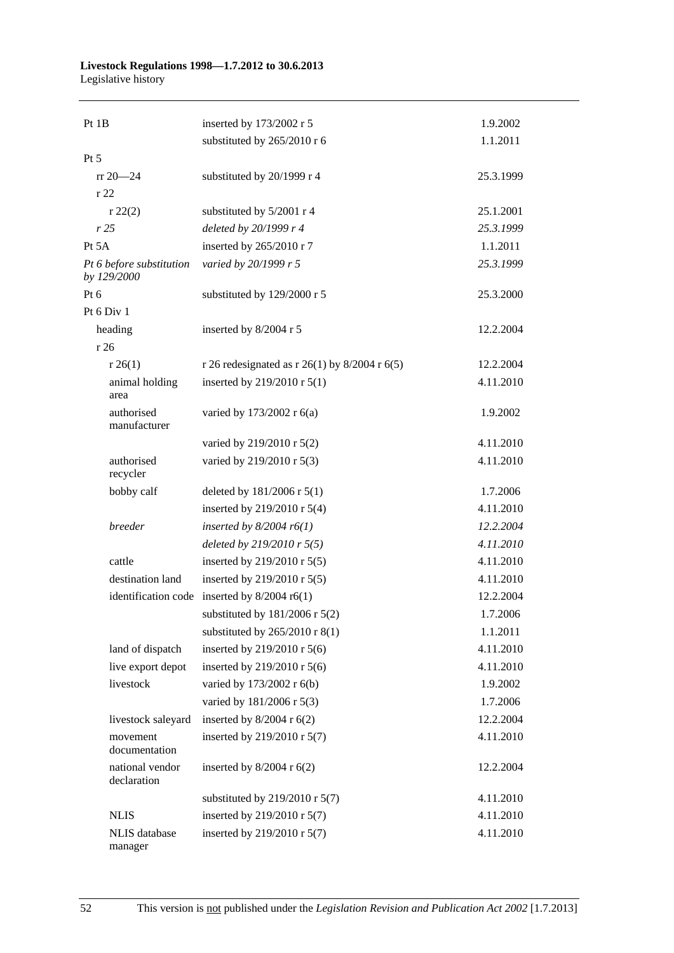#### **Livestock Regulations 1998—1.7.2012 to 30.6.2013**  Legislative history

| Pt 1B                                   | inserted by 173/2002 r 5                        | 1.9.2002  |
|-----------------------------------------|-------------------------------------------------|-----------|
|                                         | substituted by 265/2010 r 6                     | 1.1.2011  |
| Pt 5                                    |                                                 |           |
| $rr 20 - 24$                            | substituted by 20/1999 r 4                      | 25.3.1999 |
| r22                                     |                                                 |           |
| $r\,22(2)$                              | substituted by 5/2001 r 4                       | 25.1.2001 |
| r25                                     | deleted by 20/1999 r 4                          | 25.3.1999 |
| Pt 5A                                   | inserted by 265/2010 r 7                        | 1.1.2011  |
| Pt 6 before substitution<br>by 129/2000 | varied by 20/1999 r 5                           | 25.3.1999 |
| Pt 6                                    | substituted by 129/2000 r 5                     | 25.3.2000 |
| Pt 6 Div 1                              |                                                 |           |
| heading                                 | inserted by 8/2004 r 5                          | 12.2.2004 |
| r 26                                    |                                                 |           |
| r 26(1)                                 | r 26 redesignated as r 26(1) by $8/2004$ r 6(5) | 12.2.2004 |
| animal holding<br>area                  | inserted by 219/2010 r 5(1)                     | 4.11.2010 |
| authorised<br>manufacturer              | varied by 173/2002 r 6(a)                       | 1.9.2002  |
|                                         | varied by 219/2010 r 5(2)                       | 4.11.2010 |
| authorised<br>recycler                  | varied by 219/2010 r 5(3)                       | 4.11.2010 |
| bobby calf                              | deleted by 181/2006 r 5(1)                      | 1.7.2006  |
|                                         | inserted by 219/2010 r 5(4)                     | 4.11.2010 |
| breeder                                 | inserted by $8/2004$ r6(1)                      | 12.2.2004 |
|                                         | deleted by $219/2010$ r $5(5)$                  | 4.11.2010 |
| cattle                                  | inserted by 219/2010 r 5(5)                     | 4.11.2010 |
| destination land                        | inserted by 219/2010 r 5(5)                     | 4.11.2010 |
| identification code                     | inserted by $8/2004$ r6(1)                      | 12.2.2004 |
|                                         | substituted by $181/2006$ r $5(2)$              | 1.7.2006  |
|                                         | substituted by $265/2010$ r 8(1)                | 1.1.2011  |
| land of dispatch                        | inserted by 219/2010 r 5(6)                     | 4.11.2010 |
| live export depot                       | inserted by 219/2010 r $5(6)$                   | 4.11.2010 |
| livestock                               | varied by 173/2002 r 6(b)                       | 1.9.2002  |
|                                         | varied by 181/2006 r 5(3)                       | 1.7.2006  |
| livestock saleyard                      | inserted by $8/2004$ r $6(2)$                   | 12.2.2004 |
| movement<br>documentation               | inserted by 219/2010 r 5(7)                     | 4.11.2010 |
| national vendor<br>declaration          | inserted by $8/2004$ r $6(2)$                   | 12.2.2004 |
|                                         | substituted by $219/2010$ r 5(7)                | 4.11.2010 |
| <b>NLIS</b>                             | inserted by 219/2010 r 5(7)                     | 4.11.2010 |
| NLIS database<br>manager                | inserted by 219/2010 r 5(7)                     | 4.11.2010 |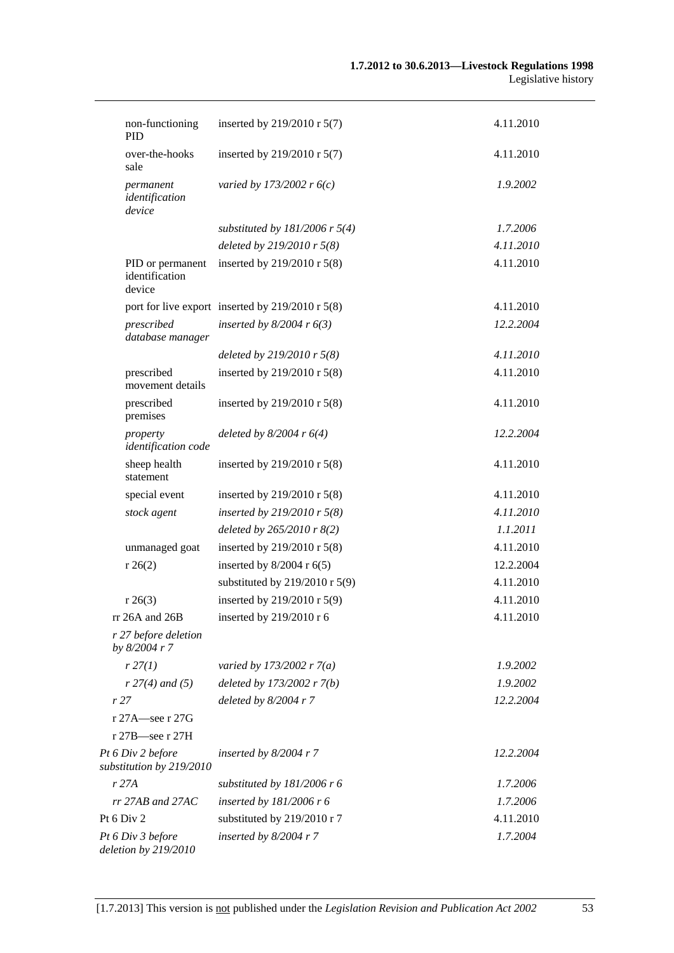| non-functioning<br>PID                        | inserted by 219/2010 r 5(7)                          | 4.11.2010 |
|-----------------------------------------------|------------------------------------------------------|-----------|
| over-the-hooks<br>sale                        | inserted by 219/2010 r 5(7)                          | 4.11.2010 |
| permanent<br>identification<br>device         | varied by 173/2002 r $6(c)$                          | 1.9.2002  |
|                                               | substituted by $181/2006$ r 5(4)                     | 1.7.2006  |
|                                               | deleted by $219/2010$ r $5(8)$                       | 4.11.2010 |
| PID or permanent<br>identification<br>device  | inserted by 219/2010 r $5(8)$                        | 4.11.2010 |
|                                               | port for live export inserted by $219/2010$ r $5(8)$ | 4.11.2010 |
| prescribed<br>database manager                | inserted by $8/2004$ r $6(3)$                        | 12.2.2004 |
|                                               | deleted by $219/2010$ r $5(8)$                       | 4.11.2010 |
| prescribed<br>movement details                | inserted by 219/2010 r 5(8)                          | 4.11.2010 |
| prescribed<br>premises                        | inserted by 219/2010 r 5(8)                          | 4.11.2010 |
| property<br>identification code               | deleted by $8/2004$ r $6(4)$                         | 12.2.2004 |
| sheep health<br>statement                     | inserted by 219/2010 r 5(8)                          | 4.11.2010 |
| special event                                 | inserted by 219/2010 r 5(8)                          | 4.11.2010 |
| stock agent                                   | inserted by 219/2010 r $5(8)$                        | 4.11.2010 |
|                                               | deleted by $265/2010$ r $8(2)$                       | 1.1.2011  |
| unmanaged goat                                | inserted by 219/2010 r 5(8)                          | 4.11.2010 |
| r 26(2)                                       | inserted by $8/2004$ r $6(5)$                        | 12.2.2004 |
|                                               | substituted by $219/2010$ r 5(9)                     | 4.11.2010 |
| r 26(3)                                       | inserted by 219/2010 r 5(9)                          | 4.11.2010 |
| rr 26A and 26B                                | inserted by 219/2010 r 6                             | 4.11.2010 |
| r 27 before deletion<br>by 8/2004 r 7         |                                                      |           |
| r 27(1)                                       | varied by 173/2002 r $7(a)$                          | 1.9.2002  |
| $r 27(4)$ and (5)                             | deleted by $173/2002 r 7(b)$                         | 1.9.2002  |
| r 27                                          | deleted by $8/2004$ r 7                              | 12.2.2004 |
| r 27A—see r 27G                               |                                                      |           |
| r 27B—see r 27H                               |                                                      |           |
| Pt 6 Div 2 before<br>substitution by 219/2010 | inserted by $8/2004$ r 7                             | 12.2.2004 |
| r 27A                                         | substituted by $181/2006$ r 6                        | 1.7.2006  |
| $rr$ 27AB and 27AC                            | inserted by $181/2006$ r 6                           | 1.7.2006  |
| Pt $6$ Div $2$                                | substituted by 219/2010 r 7                          | 4.11.2010 |
| Pt 6 Div 3 before<br>deletion by 219/2010     | inserted by $8/2004$ r 7                             | 1.7.2004  |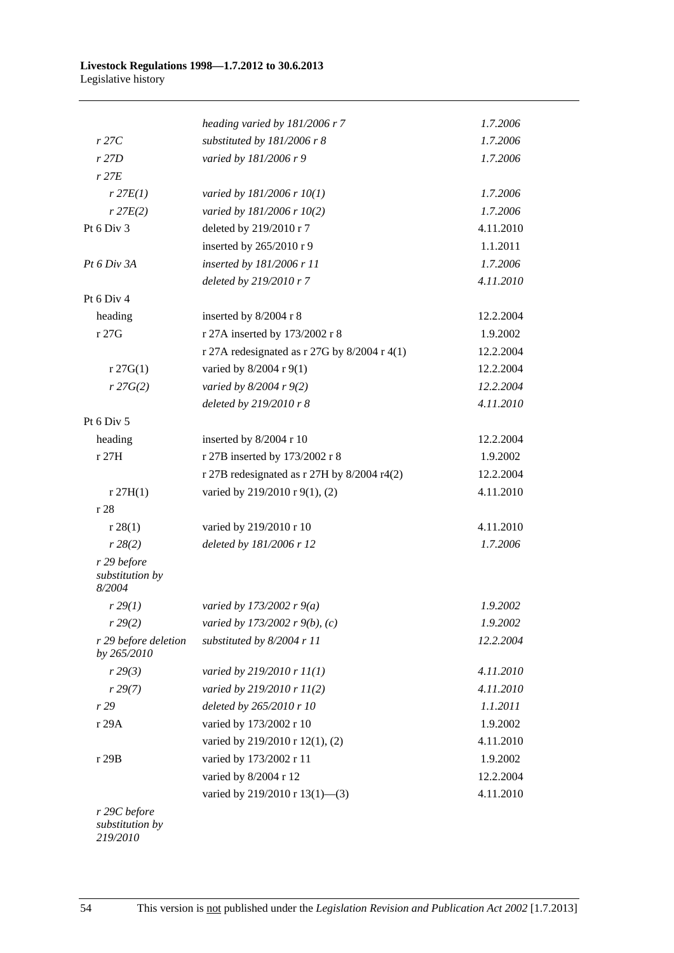|                                          | heading varied by 181/2006 r 7                 | 1.7.2006  |
|------------------------------------------|------------------------------------------------|-----------|
| r27C                                     | substituted by 181/2006 r 8                    | 1.7.2006  |
| r27D                                     | varied by 181/2006 r 9                         | 1.7.2006  |
| $r$ 27 $E$                               |                                                |           |
| $r$ 27 $E(1)$                            | varied by 181/2006 r 10(1)                     | 1.7.2006  |
| $r$ 27 $E(2)$                            | varied by 181/2006 r 10(2)                     | 1.7.2006  |
| Pt 6 Div 3                               | deleted by 219/2010 r 7                        | 4.11.2010 |
|                                          | inserted by 265/2010 r 9                       | 1.1.2011  |
| Pt 6 Div 3A                              | inserted by 181/2006 r 11                      | 1.7.2006  |
|                                          | deleted by 219/2010 r 7                        | 4.11.2010 |
| Pt 6 Div 4                               |                                                |           |
| heading                                  | inserted by 8/2004 r 8                         | 12.2.2004 |
| r 27G                                    | r 27A inserted by 173/2002 r 8                 | 1.9.2002  |
|                                          | r 27A redesignated as r 27G by $8/2004$ r 4(1) | 12.2.2004 |
| $r \, 27G(1)$                            | varied by 8/2004 r 9(1)                        | 12.2.2004 |
| r 27G(2)                                 | varied by $8/2004 r 9(2)$                      | 12.2.2004 |
|                                          | deleted by 219/2010 r 8                        | 4.11.2010 |
| Pt 6 Div 5                               |                                                |           |
| heading                                  | inserted by 8/2004 r 10                        | 12.2.2004 |
| r 27H                                    | r 27B inserted by 173/2002 r 8                 | 1.9.2002  |
|                                          | r 27B redesignated as r 27H by 8/2004 r4(2)    | 12.2.2004 |
| r 27H(1)                                 | varied by 219/2010 r 9(1), (2)                 | 4.11.2010 |
| r 28                                     |                                                |           |
| r 28(1)                                  | varied by 219/2010 r 10                        | 4.11.2010 |
| r 28(2)                                  | deleted by 181/2006 r 12                       | 1.7.2006  |
| r 29 before<br>substitution by<br>8/2004 |                                                |           |
| r 29(1)                                  | varied by 173/2002 r $9(a)$                    | 1.9.2002  |
| r 29(2)                                  | varied by 173/2002 r 9(b), (c)                 | 1.9.2002  |
| r 29 before deletion<br>by 265/2010      | substituted by 8/2004 r 11                     | 12.2.2004 |
| r 29(3)                                  | varied by 219/2010 r 11(1)                     | 4.11.2010 |
| r 29(7)                                  | varied by 219/2010 r 11(2)                     | 4.11.2010 |
| r 29                                     | deleted by 265/2010 r 10                       | 1.1.2011  |
| r 29A                                    | varied by 173/2002 r 10                        | 1.9.2002  |
|                                          | varied by 219/2010 r 12(1), (2)                | 4.11.2010 |
| r 29B                                    | varied by 173/2002 r 11                        | 1.9.2002  |
|                                          | varied by 8/2004 r 12                          | 12.2.2004 |
|                                          | varied by 219/2010 r 13(1)-(3)                 | 4.11.2010 |
| r 29C before<br>substitution by          |                                                |           |

*219/2010*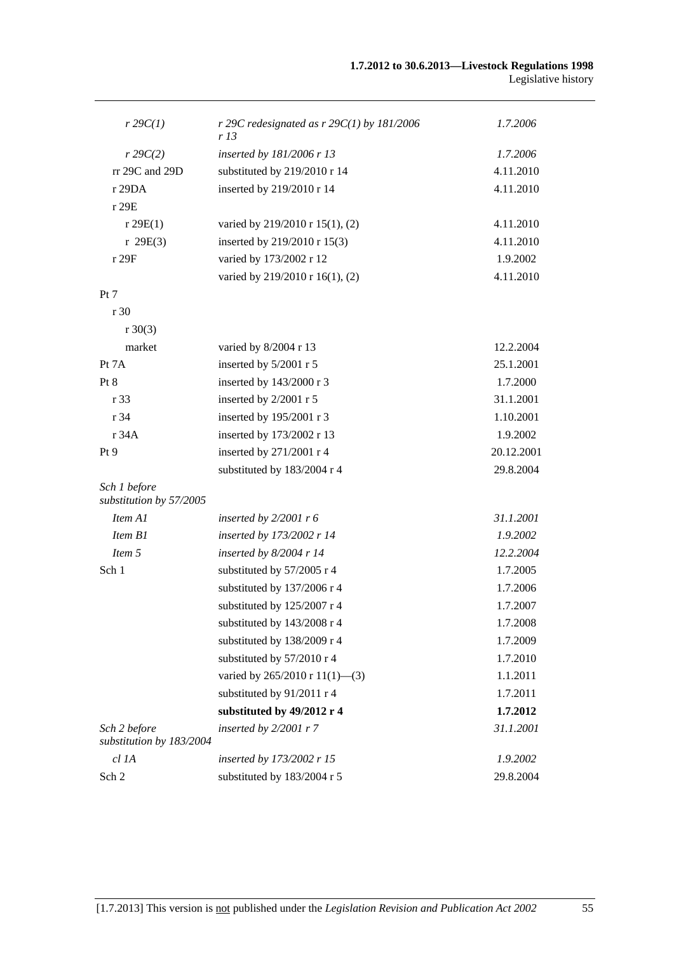| $r \, 29C(1)$                            | r 29C redesignated as $r$ 29C(1) by 181/2006<br>r 13 | 1.7.2006   |
|------------------------------------------|------------------------------------------------------|------------|
| $r \, 29C(2)$                            | inserted by 181/2006 r 13                            | 1.7.2006   |
| rr 29C and 29D                           | substituted by 219/2010 r 14                         | 4.11.2010  |
| r29DA                                    | inserted by 219/2010 r 14                            | 4.11.2010  |
| r 29E                                    |                                                      |            |
| r 29E(1)                                 | varied by 219/2010 r 15(1), (2)                      | 4.11.2010  |
| r 29E(3)                                 | inserted by 219/2010 r 15(3)                         | 4.11.2010  |
| r 29F                                    | varied by 173/2002 r 12                              | 1.9.2002   |
|                                          | varied by 219/2010 r 16(1), (2)                      | 4.11.2010  |
| Pt 7                                     |                                                      |            |
| r 30                                     |                                                      |            |
| $r \ 30(3)$                              |                                                      |            |
| market                                   | varied by 8/2004 r 13                                | 12.2.2004  |
| Pt 7A                                    | inserted by 5/2001 r 5                               | 25.1.2001  |
| Pt 8                                     | inserted by 143/2000 r 3                             | 1.7.2000   |
| r 33                                     | inserted by 2/2001 r 5                               | 31.1.2001  |
| r 34                                     | inserted by 195/2001 r 3                             | 1.10.2001  |
| r 34A                                    | inserted by 173/2002 r 13                            | 1.9.2002   |
| Pt 9                                     | inserted by 271/2001 r 4                             | 20.12.2001 |
|                                          | substituted by 183/2004 r 4                          | 29.8.2004  |
| Sch 1 before<br>substitution by 57/2005  |                                                      |            |
| Item A1                                  | inserted by $2/2001$ r 6                             | 31.1.2001  |
| Item B1                                  | inserted by 173/2002 r 14                            | 1.9.2002   |
| Item 5                                   | inserted by $8/2004$ r 14                            | 12.2.2004  |
| Sch 1                                    | substituted by 57/2005 r 4                           | 1.7.2005   |
|                                          | substituted by 137/2006 r 4                          | 1.7.2006   |
|                                          | substituted by 125/2007 r 4                          | 1.7.2007   |
|                                          | substituted by 143/2008 r 4                          | 1.7.2008   |
|                                          | substituted by 138/2009 r 4                          | 1.7.2009   |
|                                          | substituted by 57/2010 r 4                           | 1.7.2010   |
|                                          | varied by $265/2010$ r $11(1)$ —(3)                  | 1.1.2011   |
|                                          | substituted by 91/2011 r 4                           | 1.7.2011   |
|                                          | substituted by 49/2012 r 4                           | 1.7.2012   |
| Sch 2 before<br>substitution by 183/2004 | inserted by 2/2001 r 7                               | 31.1.2001  |
| cl 1A                                    | inserted by 173/2002 r 15                            | 1.9.2002   |
| Sch 2                                    | substituted by 183/2004 r 5                          | 29.8.2004  |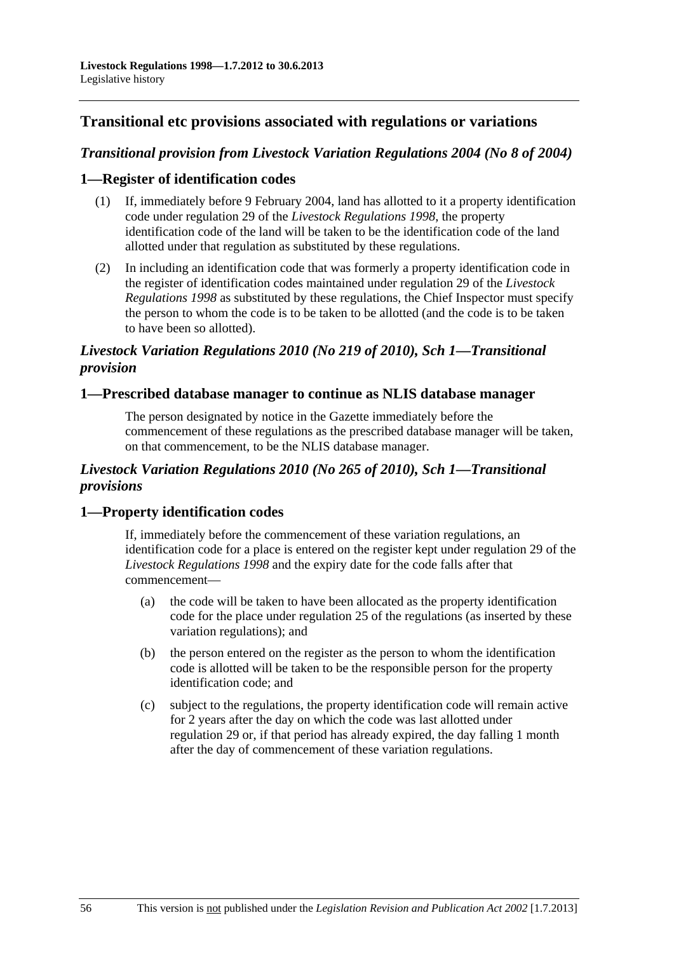## **Transitional etc provisions associated with regulations or variations**

## *Transitional provision from Livestock Variation Regulations 2004 (No 8 of 2004)*

## **1—Register of identification codes**

- (1) If, immediately before 9 February 2004, land has allotted to it a property identification code under regulation 29 of the *[Livestock Regulations 1998](http://www.legislation.sa.gov.au/index.aspx?action=legref&type=act&legtitle=Livestock%20Regulations%201998)*, the property identification code of the land will be taken to be the identification code of the land allotted under that regulation as substituted by these regulations.
- (2) In including an identification code that was formerly a property identification code in the register of identification codes maintained under regulation 29 of the *[Livestock](http://www.legislation.sa.gov.au/index.aspx?action=legref&type=act&legtitle=Livestock%20Regulations%201998)  [Regulations 1998](http://www.legislation.sa.gov.au/index.aspx?action=legref&type=act&legtitle=Livestock%20Regulations%201998)* as substituted by these regulations, the Chief Inspector must specify the person to whom the code is to be taken to be allotted (and the code is to be taken to have been so allotted).

## *Livestock Variation Regulations 2010 (No 219 of 2010), Sch 1—Transitional provision*

#### **1—Prescribed database manager to continue as NLIS database manager**

The person designated by notice in the Gazette immediately before the commencement of these regulations as the prescribed database manager will be taken, on that commencement, to be the NLIS database manager.

## *Livestock Variation Regulations 2010 (No 265 of 2010), Sch 1—Transitional provisions*

## **1—Property identification codes**

If, immediately before the commencement of these variation regulations, an identification code for a place is entered on the register kept under regulation 29 of the *[Livestock Regulations 1998](http://www.legislation.sa.gov.au/index.aspx?action=legref&type=subordleg&legtitle=Livestock%20Regulations%201998)* and the expiry date for the code falls after that commencement—

- (a) the code will be taken to have been allocated as the property identification code for the place under regulation 25 of the regulations (as inserted by these variation regulations); and
- (b) the person entered on the register as the person to whom the identification code is allotted will be taken to be the responsible person for the property identification code; and
- (c) subject to the regulations, the property identification code will remain active for 2 years after the day on which the code was last allotted under regulation 29 or, if that period has already expired, the day falling 1 month after the day of commencement of these variation regulations.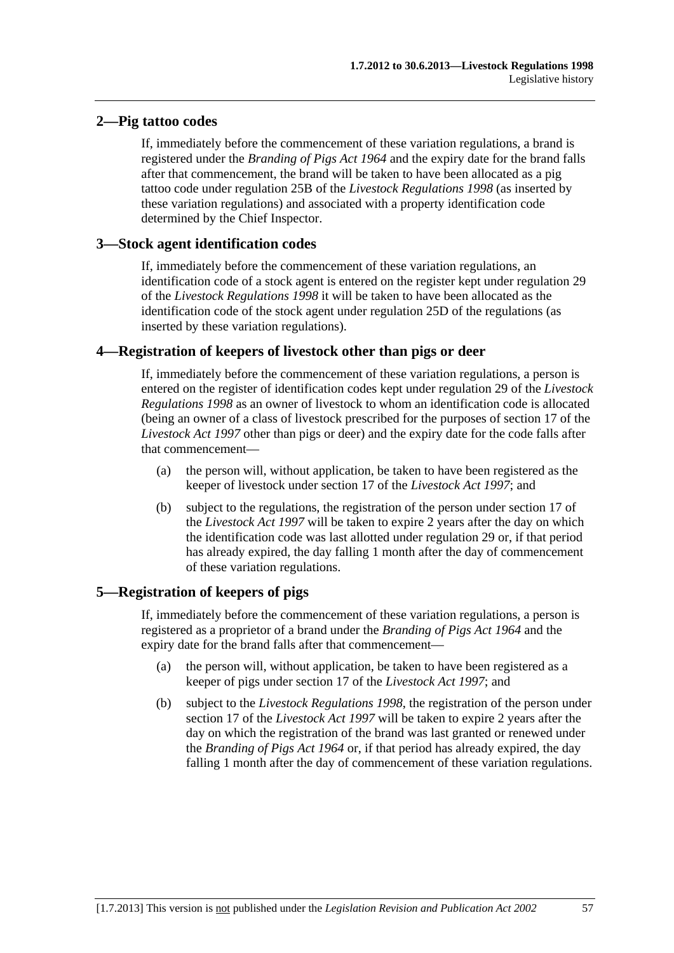## **2—Pig tattoo codes**

If, immediately before the commencement of these variation regulations, a brand is registered under the *[Branding of Pigs Act 1964](http://www.legislation.sa.gov.au/index.aspx?action=legref&type=act&legtitle=Branding%20of%20Pigs%20Act%201964)* and the expiry date for the brand falls after that commencement, the brand will be taken to have been allocated as a pig tattoo code under regulation 25B of the *[Livestock Regulations 1998](http://www.legislation.sa.gov.au/index.aspx?action=legref&type=subordleg&legtitle=Livestock%20Regulations%201998)* (as inserted by these variation regulations) and associated with a property identification code determined by the Chief Inspector.

## **3—Stock agent identification codes**

If, immediately before the commencement of these variation regulations, an identification code of a stock agent is entered on the register kept under regulation 29 of the *[Livestock Regulations 1998](http://www.legislation.sa.gov.au/index.aspx?action=legref&type=subordleg&legtitle=Livestock%20Regulations%201998)* it will be taken to have been allocated as the identification code of the stock agent under regulation 25D of the regulations (as inserted by these variation regulations).

## **4—Registration of keepers of livestock other than pigs or deer**

If, immediately before the commencement of these variation regulations, a person is entered on the register of identification codes kept under regulation 29 of the *[Livestock](http://www.legislation.sa.gov.au/index.aspx?action=legref&type=subordleg&legtitle=Livestock%20Regulations%201998)  [Regulations 1998](http://www.legislation.sa.gov.au/index.aspx?action=legref&type=subordleg&legtitle=Livestock%20Regulations%201998)* as an owner of livestock to whom an identification code is allocated (being an owner of a class of livestock prescribed for the purposes of section 17 of the *[Livestock Act 1997](http://www.legislation.sa.gov.au/index.aspx?action=legref&type=act&legtitle=Livestock%20Act%201997)* other than pigs or deer) and the expiry date for the code falls after that commencement—

- (a) the person will, without application, be taken to have been registered as the keeper of livestock under section 17 of the *[Livestock Act 1997](http://www.legislation.sa.gov.au/index.aspx?action=legref&type=act&legtitle=Livestock%20Act%201997)*; and
- (b) subject to the regulations, the registration of the person under section 17 of the *[Livestock Act 1997](http://www.legislation.sa.gov.au/index.aspx?action=legref&type=act&legtitle=Livestock%20Act%201997)* will be taken to expire 2 years after the day on which the identification code was last allotted under regulation 29 or, if that period has already expired, the day falling 1 month after the day of commencement of these variation regulations.

## **5—Registration of keepers of pigs**

If, immediately before the commencement of these variation regulations, a person is registered as a proprietor of a brand under the *[Branding of Pigs Act 1964](http://www.legislation.sa.gov.au/index.aspx?action=legref&type=act&legtitle=Branding%20of%20Pigs%20Act%201964)* and the expiry date for the brand falls after that commencement—

- (a) the person will, without application, be taken to have been registered as a keeper of pigs under section 17 of the *[Livestock Act 1997](http://www.legislation.sa.gov.au/index.aspx?action=legref&type=act&legtitle=Livestock%20Act%201997)*; and
- (b) subject to the *[Livestock Regulations 1998](http://www.legislation.sa.gov.au/index.aspx?action=legref&type=subordleg&legtitle=Livestock%20Regulations%201998)*, the registration of the person under section 17 of the *[Livestock Act 1997](http://www.legislation.sa.gov.au/index.aspx?action=legref&type=act&legtitle=Livestock%20Act%201997)* will be taken to expire 2 years after the day on which the registration of the brand was last granted or renewed under the *[Branding of Pigs Act 1964](http://www.legislation.sa.gov.au/index.aspx?action=legref&type=act&legtitle=Branding%20of%20Pigs%20Act%201964)* or, if that period has already expired, the day falling 1 month after the day of commencement of these variation regulations.